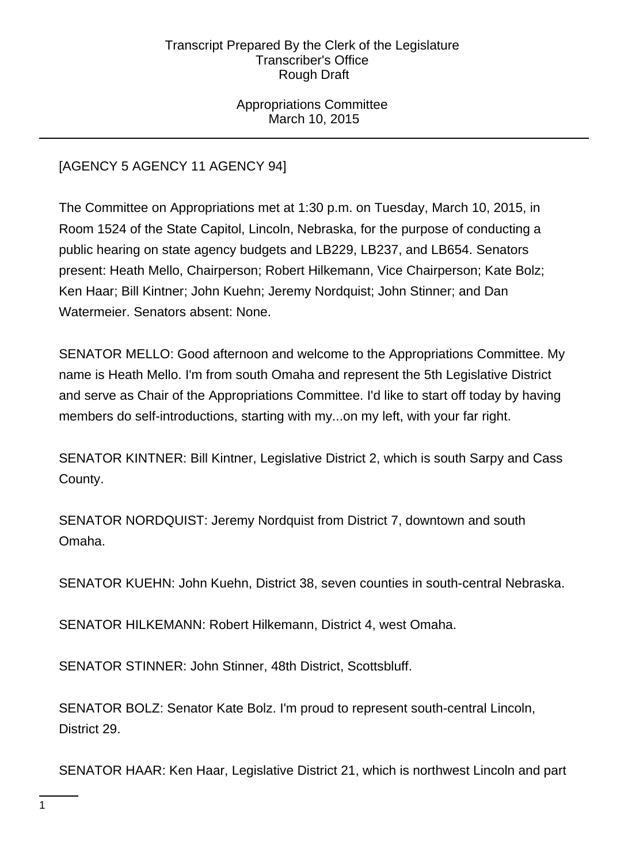Appropriations Committee March 10, 2015

# [AGENCY 5 AGENCY 11 AGENCY 94]

The Committee on Appropriations met at 1:30 p.m. on Tuesday, March 10, 2015, in Room 1524 of the State Capitol, Lincoln, Nebraska, for the purpose of conducting a public hearing on state agency budgets and LB229, LB237, and LB654. Senators present: Heath Mello, Chairperson; Robert Hilkemann, Vice Chairperson; Kate Bolz; Ken Haar; Bill Kintner; John Kuehn; Jeremy Nordquist; John Stinner; and Dan Watermeier. Senators absent: None.

SENATOR MELLO: Good afternoon and welcome to the Appropriations Committee. My name is Heath Mello. I'm from south Omaha and represent the 5th Legislative District and serve as Chair of the Appropriations Committee. I'd like to start off today by having members do self-introductions, starting with my...on my left, with your far right.

SENATOR KINTNER: Bill Kintner, Legislative District 2, which is south Sarpy and Cass County.

SENATOR NORDQUIST: Jeremy Nordquist from District 7, downtown and south Omaha.

SENATOR KUEHN: John Kuehn, District 38, seven counties in south-central Nebraska.

SENATOR HILKEMANN: Robert Hilkemann, District 4, west Omaha.

SENATOR STINNER: John Stinner, 48th District, Scottsbluff.

SENATOR BOLZ: Senator Kate Bolz. I'm proud to represent south-central Lincoln, District 29.

SENATOR HAAR: Ken Haar, Legislative District 21, which is northwest Lincoln and part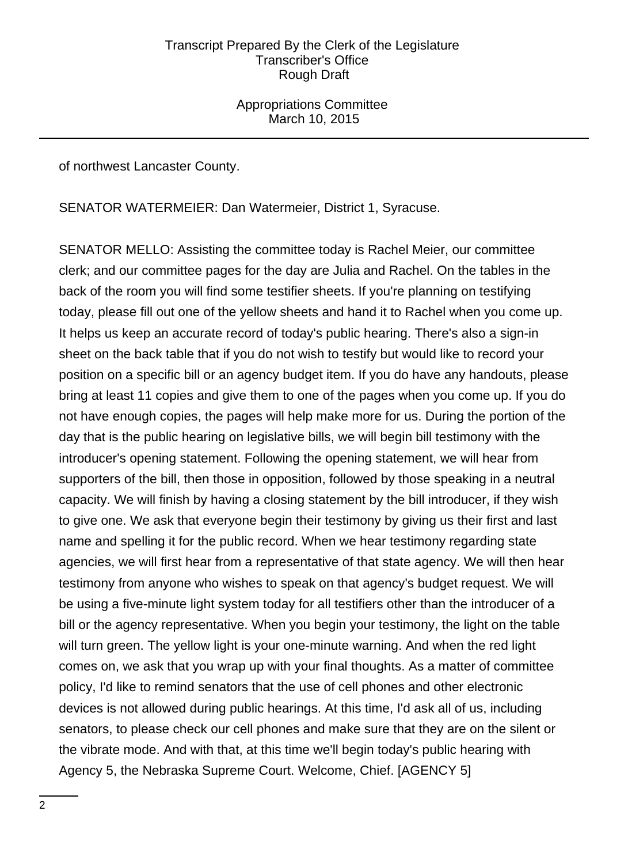Appropriations Committee March 10, 2015

of northwest Lancaster County.

SENATOR WATERMEIER: Dan Watermeier, District 1, Syracuse.

SENATOR MELLO: Assisting the committee today is Rachel Meier, our committee clerk; and our committee pages for the day are Julia and Rachel. On the tables in the back of the room you will find some testifier sheets. If you're planning on testifying today, please fill out one of the yellow sheets and hand it to Rachel when you come up. It helps us keep an accurate record of today's public hearing. There's also a sign-in sheet on the back table that if you do not wish to testify but would like to record your position on a specific bill or an agency budget item. If you do have any handouts, please bring at least 11 copies and give them to one of the pages when you come up. If you do not have enough copies, the pages will help make more for us. During the portion of the day that is the public hearing on legislative bills, we will begin bill testimony with the introducer's opening statement. Following the opening statement, we will hear from supporters of the bill, then those in opposition, followed by those speaking in a neutral capacity. We will finish by having a closing statement by the bill introducer, if they wish to give one. We ask that everyone begin their testimony by giving us their first and last name and spelling it for the public record. When we hear testimony regarding state agencies, we will first hear from a representative of that state agency. We will then hear testimony from anyone who wishes to speak on that agency's budget request. We will be using a five-minute light system today for all testifiers other than the introducer of a bill or the agency representative. When you begin your testimony, the light on the table will turn green. The yellow light is your one-minute warning. And when the red light comes on, we ask that you wrap up with your final thoughts. As a matter of committee policy, I'd like to remind senators that the use of cell phones and other electronic devices is not allowed during public hearings. At this time, I'd ask all of us, including senators, to please check our cell phones and make sure that they are on the silent or the vibrate mode. And with that, at this time we'll begin today's public hearing with Agency 5, the Nebraska Supreme Court. Welcome, Chief. [AGENCY 5]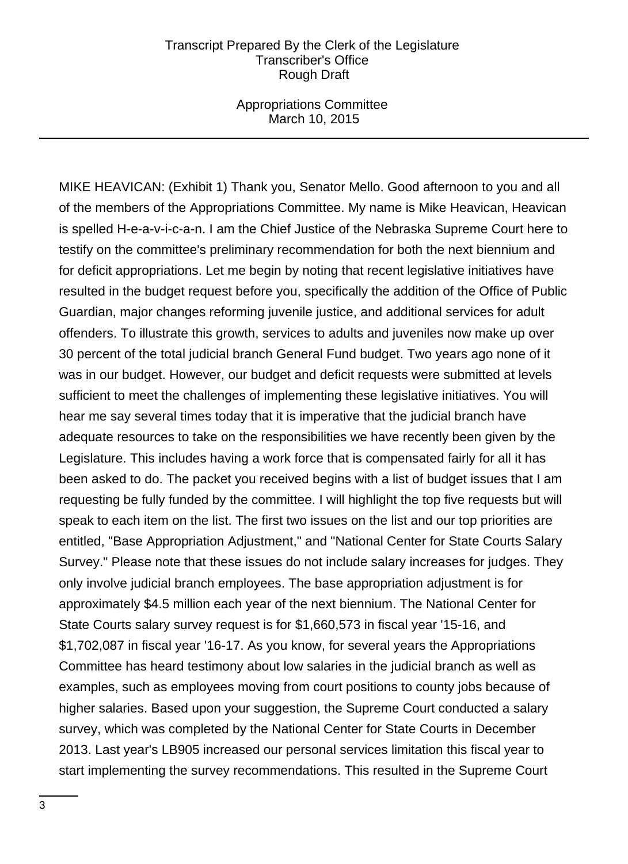Appropriations Committee March 10, 2015

MIKE HEAVICAN: (Exhibit 1) Thank you, Senator Mello. Good afternoon to you and all of the members of the Appropriations Committee. My name is Mike Heavican, Heavican is spelled H-e-a-v-i-c-a-n. I am the Chief Justice of the Nebraska Supreme Court here to testify on the committee's preliminary recommendation for both the next biennium and for deficit appropriations. Let me begin by noting that recent legislative initiatives have resulted in the budget request before you, specifically the addition of the Office of Public Guardian, major changes reforming juvenile justice, and additional services for adult offenders. To illustrate this growth, services to adults and juveniles now make up over 30 percent of the total judicial branch General Fund budget. Two years ago none of it was in our budget. However, our budget and deficit requests were submitted at levels sufficient to meet the challenges of implementing these legislative initiatives. You will hear me say several times today that it is imperative that the judicial branch have adequate resources to take on the responsibilities we have recently been given by the Legislature. This includes having a work force that is compensated fairly for all it has been asked to do. The packet you received begins with a list of budget issues that I am requesting be fully funded by the committee. I will highlight the top five requests but will speak to each item on the list. The first two issues on the list and our top priorities are entitled, "Base Appropriation Adjustment," and "National Center for State Courts Salary Survey." Please note that these issues do not include salary increases for judges. They only involve judicial branch employees. The base appropriation adjustment is for approximately \$4.5 million each year of the next biennium. The National Center for State Courts salary survey request is for \$1,660,573 in fiscal year '15-16, and \$1,702,087 in fiscal year '16-17. As you know, for several years the Appropriations Committee has heard testimony about low salaries in the judicial branch as well as examples, such as employees moving from court positions to county jobs because of higher salaries. Based upon your suggestion, the Supreme Court conducted a salary survey, which was completed by the National Center for State Courts in December 2013. Last year's LB905 increased our personal services limitation this fiscal year to start implementing the survey recommendations. This resulted in the Supreme Court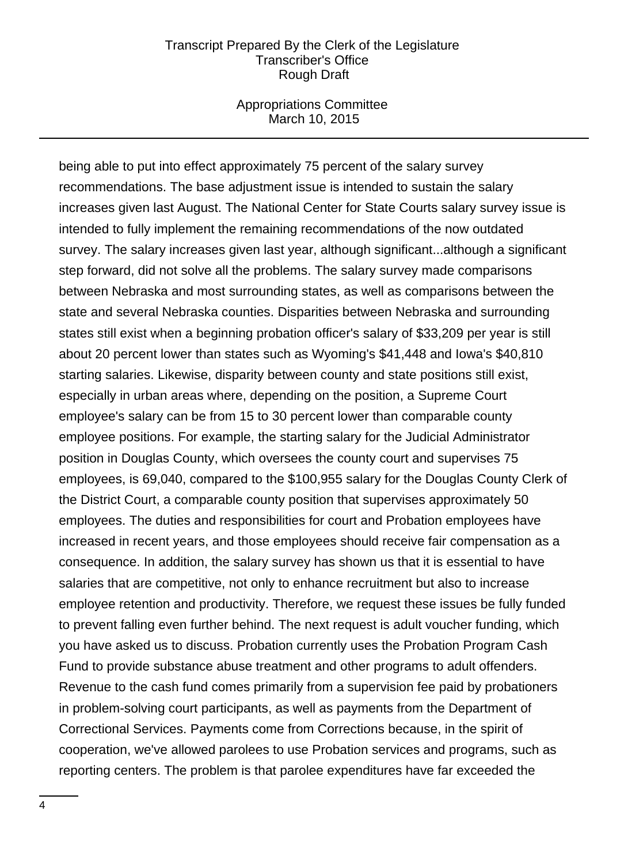Appropriations Committee March 10, 2015

being able to put into effect approximately 75 percent of the salary survey recommendations. The base adjustment issue is intended to sustain the salary increases given last August. The National Center for State Courts salary survey issue is intended to fully implement the remaining recommendations of the now outdated survey. The salary increases given last year, although significant...although a significant step forward, did not solve all the problems. The salary survey made comparisons between Nebraska and most surrounding states, as well as comparisons between the state and several Nebraska counties. Disparities between Nebraska and surrounding states still exist when a beginning probation officer's salary of \$33,209 per year is still about 20 percent lower than states such as Wyoming's \$41,448 and Iowa's \$40,810 starting salaries. Likewise, disparity between county and state positions still exist, especially in urban areas where, depending on the position, a Supreme Court employee's salary can be from 15 to 30 percent lower than comparable county employee positions. For example, the starting salary for the Judicial Administrator position in Douglas County, which oversees the county court and supervises 75 employees, is 69,040, compared to the \$100,955 salary for the Douglas County Clerk of the District Court, a comparable county position that supervises approximately 50 employees. The duties and responsibilities for court and Probation employees have increased in recent years, and those employees should receive fair compensation as a consequence. In addition, the salary survey has shown us that it is essential to have salaries that are competitive, not only to enhance recruitment but also to increase employee retention and productivity. Therefore, we request these issues be fully funded to prevent falling even further behind. The next request is adult voucher funding, which you have asked us to discuss. Probation currently uses the Probation Program Cash Fund to provide substance abuse treatment and other programs to adult offenders. Revenue to the cash fund comes primarily from a supervision fee paid by probationers in problem-solving court participants, as well as payments from the Department of Correctional Services. Payments come from Corrections because, in the spirit of cooperation, we've allowed parolees to use Probation services and programs, such as reporting centers. The problem is that parolee expenditures have far exceeded the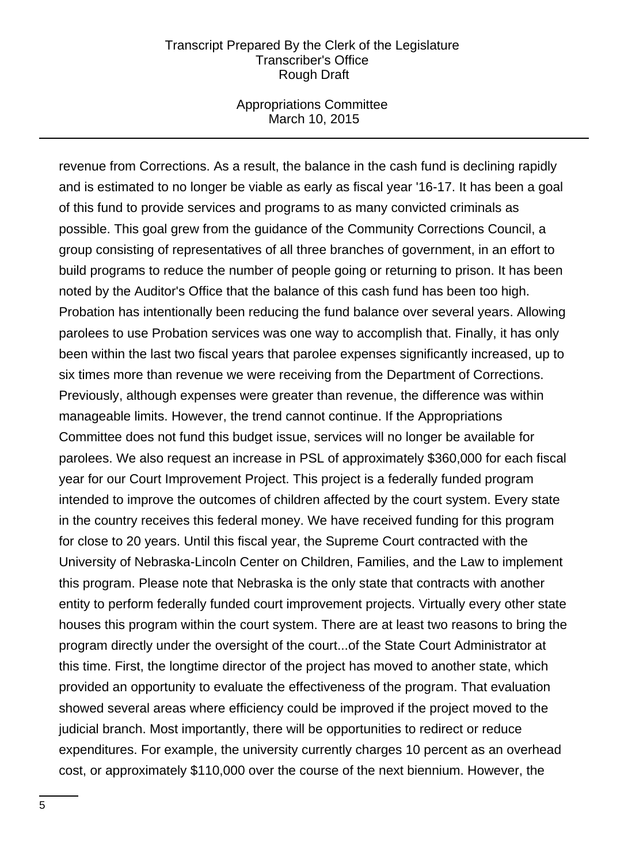### Appropriations Committee March 10, 2015

revenue from Corrections. As a result, the balance in the cash fund is declining rapidly and is estimated to no longer be viable as early as fiscal year '16-17. It has been a goal of this fund to provide services and programs to as many convicted criminals as possible. This goal grew from the guidance of the Community Corrections Council, a group consisting of representatives of all three branches of government, in an effort to build programs to reduce the number of people going or returning to prison. It has been noted by the Auditor's Office that the balance of this cash fund has been too high. Probation has intentionally been reducing the fund balance over several years. Allowing parolees to use Probation services was one way to accomplish that. Finally, it has only been within the last two fiscal years that parolee expenses significantly increased, up to six times more than revenue we were receiving from the Department of Corrections. Previously, although expenses were greater than revenue, the difference was within manageable limits. However, the trend cannot continue. If the Appropriations Committee does not fund this budget issue, services will no longer be available for parolees. We also request an increase in PSL of approximately \$360,000 for each fiscal year for our Court Improvement Project. This project is a federally funded program intended to improve the outcomes of children affected by the court system. Every state in the country receives this federal money. We have received funding for this program for close to 20 years. Until this fiscal year, the Supreme Court contracted with the University of Nebraska-Lincoln Center on Children, Families, and the Law to implement this program. Please note that Nebraska is the only state that contracts with another entity to perform federally funded court improvement projects. Virtually every other state houses this program within the court system. There are at least two reasons to bring the program directly under the oversight of the court...of the State Court Administrator at this time. First, the longtime director of the project has moved to another state, which provided an opportunity to evaluate the effectiveness of the program. That evaluation showed several areas where efficiency could be improved if the project moved to the judicial branch. Most importantly, there will be opportunities to redirect or reduce expenditures. For example, the university currently charges 10 percent as an overhead cost, or approximately \$110,000 over the course of the next biennium. However, the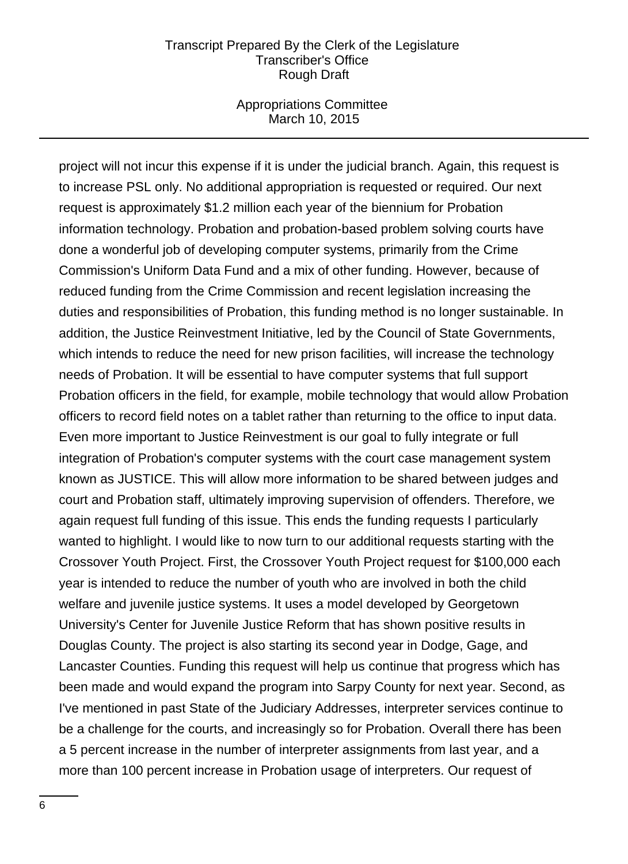### Appropriations Committee March 10, 2015

project will not incur this expense if it is under the judicial branch. Again, this request is to increase PSL only. No additional appropriation is requested or required. Our next request is approximately \$1.2 million each year of the biennium for Probation information technology. Probation and probation-based problem solving courts have done a wonderful job of developing computer systems, primarily from the Crime Commission's Uniform Data Fund and a mix of other funding. However, because of reduced funding from the Crime Commission and recent legislation increasing the duties and responsibilities of Probation, this funding method is no longer sustainable. In addition, the Justice Reinvestment Initiative, led by the Council of State Governments, which intends to reduce the need for new prison facilities, will increase the technology needs of Probation. It will be essential to have computer systems that full support Probation officers in the field, for example, mobile technology that would allow Probation officers to record field notes on a tablet rather than returning to the office to input data. Even more important to Justice Reinvestment is our goal to fully integrate or full integration of Probation's computer systems with the court case management system known as JUSTICE. This will allow more information to be shared between judges and court and Probation staff, ultimately improving supervision of offenders. Therefore, we again request full funding of this issue. This ends the funding requests I particularly wanted to highlight. I would like to now turn to our additional requests starting with the Crossover Youth Project. First, the Crossover Youth Project request for \$100,000 each year is intended to reduce the number of youth who are involved in both the child welfare and juvenile justice systems. It uses a model developed by Georgetown University's Center for Juvenile Justice Reform that has shown positive results in Douglas County. The project is also starting its second year in Dodge, Gage, and Lancaster Counties. Funding this request will help us continue that progress which has been made and would expand the program into Sarpy County for next year. Second, as I've mentioned in past State of the Judiciary Addresses, interpreter services continue to be a challenge for the courts, and increasingly so for Probation. Overall there has been a 5 percent increase in the number of interpreter assignments from last year, and a more than 100 percent increase in Probation usage of interpreters. Our request of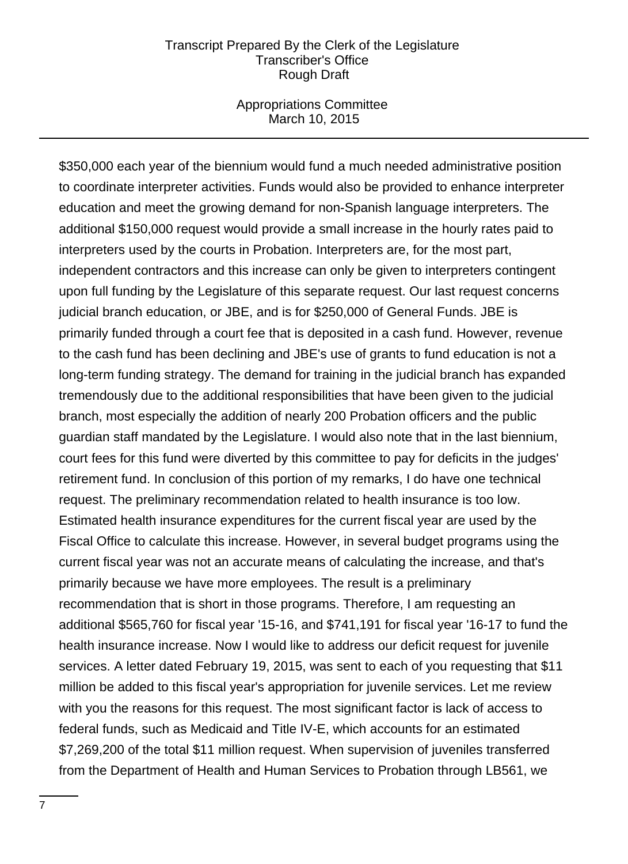### Appropriations Committee March 10, 2015

\$350,000 each year of the biennium would fund a much needed administrative position to coordinate interpreter activities. Funds would also be provided to enhance interpreter education and meet the growing demand for non-Spanish language interpreters. The additional \$150,000 request would provide a small increase in the hourly rates paid to interpreters used by the courts in Probation. Interpreters are, for the most part, independent contractors and this increase can only be given to interpreters contingent upon full funding by the Legislature of this separate request. Our last request concerns judicial branch education, or JBE, and is for \$250,000 of General Funds. JBE is primarily funded through a court fee that is deposited in a cash fund. However, revenue to the cash fund has been declining and JBE's use of grants to fund education is not a long-term funding strategy. The demand for training in the judicial branch has expanded tremendously due to the additional responsibilities that have been given to the judicial branch, most especially the addition of nearly 200 Probation officers and the public guardian staff mandated by the Legislature. I would also note that in the last biennium, court fees for this fund were diverted by this committee to pay for deficits in the judges' retirement fund. In conclusion of this portion of my remarks, I do have one technical request. The preliminary recommendation related to health insurance is too low. Estimated health insurance expenditures for the current fiscal year are used by the Fiscal Office to calculate this increase. However, in several budget programs using the current fiscal year was not an accurate means of calculating the increase, and that's primarily because we have more employees. The result is a preliminary recommendation that is short in those programs. Therefore, I am requesting an additional \$565,760 for fiscal year '15-16, and \$741,191 for fiscal year '16-17 to fund the health insurance increase. Now I would like to address our deficit request for juvenile services. A letter dated February 19, 2015, was sent to each of you requesting that \$11 million be added to this fiscal year's appropriation for juvenile services. Let me review with you the reasons for this request. The most significant factor is lack of access to federal funds, such as Medicaid and Title IV-E, which accounts for an estimated \$7,269,200 of the total \$11 million request. When supervision of juveniles transferred from the Department of Health and Human Services to Probation through LB561, we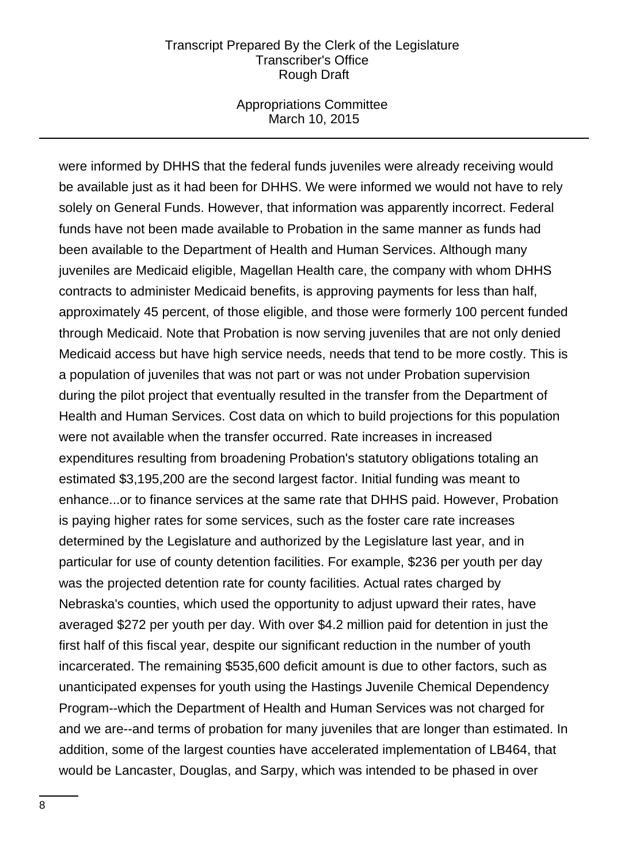### Appropriations Committee March 10, 2015

were informed by DHHS that the federal funds juveniles were already receiving would be available just as it had been for DHHS. We were informed we would not have to rely solely on General Funds. However, that information was apparently incorrect. Federal funds have not been made available to Probation in the same manner as funds had been available to the Department of Health and Human Services. Although many juveniles are Medicaid eligible, Magellan Health care, the company with whom DHHS contracts to administer Medicaid benefits, is approving payments for less than half, approximately 45 percent, of those eligible, and those were formerly 100 percent funded through Medicaid. Note that Probation is now serving juveniles that are not only denied Medicaid access but have high service needs, needs that tend to be more costly. This is a population of juveniles that was not part or was not under Probation supervision during the pilot project that eventually resulted in the transfer from the Department of Health and Human Services. Cost data on which to build projections for this population were not available when the transfer occurred. Rate increases in increased expenditures resulting from broadening Probation's statutory obligations totaling an estimated \$3,195,200 are the second largest factor. Initial funding was meant to enhance...or to finance services at the same rate that DHHS paid. However, Probation is paying higher rates for some services, such as the foster care rate increases determined by the Legislature and authorized by the Legislature last year, and in particular for use of county detention facilities. For example, \$236 per youth per day was the projected detention rate for county facilities. Actual rates charged by Nebraska's counties, which used the opportunity to adjust upward their rates, have averaged \$272 per youth per day. With over \$4.2 million paid for detention in just the first half of this fiscal year, despite our significant reduction in the number of youth incarcerated. The remaining \$535,600 deficit amount is due to other factors, such as unanticipated expenses for youth using the Hastings Juvenile Chemical Dependency Program--which the Department of Health and Human Services was not charged for and we are--and terms of probation for many juveniles that are longer than estimated. In addition, some of the largest counties have accelerated implementation of LB464, that would be Lancaster, Douglas, and Sarpy, which was intended to be phased in over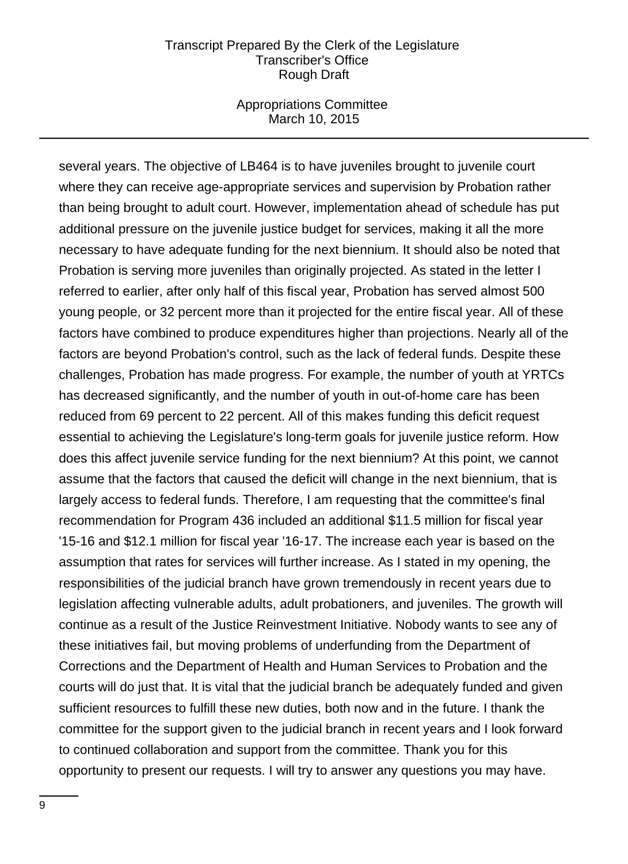### Appropriations Committee March 10, 2015

several years. The objective of LB464 is to have juveniles brought to juvenile court where they can receive age-appropriate services and supervision by Probation rather than being brought to adult court. However, implementation ahead of schedule has put additional pressure on the juvenile justice budget for services, making it all the more necessary to have adequate funding for the next biennium. It should also be noted that Probation is serving more juveniles than originally projected. As stated in the letter I referred to earlier, after only half of this fiscal year, Probation has served almost 500 young people, or 32 percent more than it projected for the entire fiscal year. All of these factors have combined to produce expenditures higher than projections. Nearly all of the factors are beyond Probation's control, such as the lack of federal funds. Despite these challenges, Probation has made progress. For example, the number of youth at YRTCs has decreased significantly, and the number of youth in out-of-home care has been reduced from 69 percent to 22 percent. All of this makes funding this deficit request essential to achieving the Legislature's long-term goals for juvenile justice reform. How does this affect juvenile service funding for the next biennium? At this point, we cannot assume that the factors that caused the deficit will change in the next biennium, that is largely access to federal funds. Therefore, I am requesting that the committee's final recommendation for Program 436 included an additional \$11.5 million for fiscal year '15-16 and \$12.1 million for fiscal year '16-17. The increase each year is based on the assumption that rates for services will further increase. As I stated in my opening, the responsibilities of the judicial branch have grown tremendously in recent years due to legislation affecting vulnerable adults, adult probationers, and juveniles. The growth will continue as a result of the Justice Reinvestment Initiative. Nobody wants to see any of these initiatives fail, but moving problems of underfunding from the Department of Corrections and the Department of Health and Human Services to Probation and the courts will do just that. It is vital that the judicial branch be adequately funded and given sufficient resources to fulfill these new duties, both now and in the future. I thank the committee for the support given to the judicial branch in recent years and I look forward to continued collaboration and support from the committee. Thank you for this opportunity to present our requests. I will try to answer any questions you may have.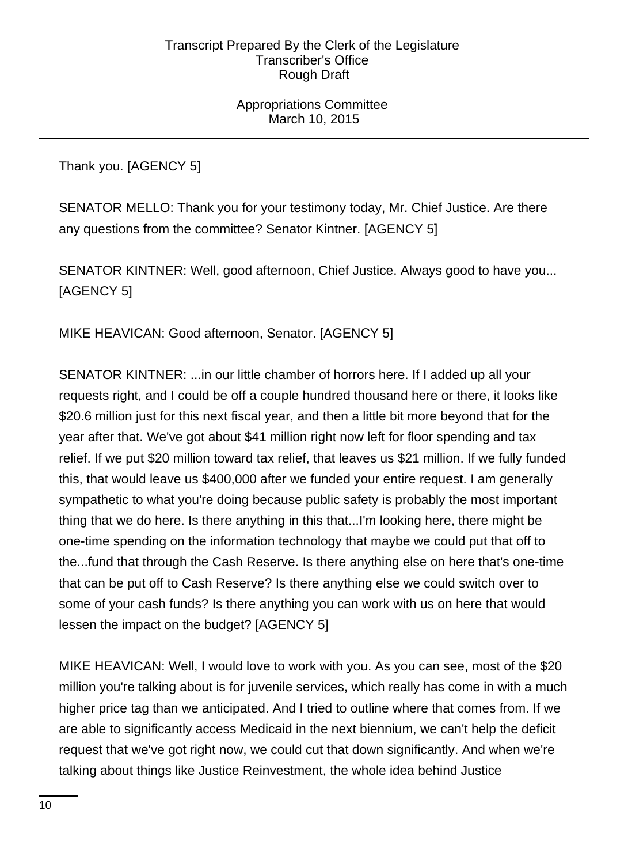Appropriations Committee March 10, 2015

Thank you. [AGENCY 5]

SENATOR MELLO: Thank you for your testimony today, Mr. Chief Justice. Are there any questions from the committee? Senator Kintner. [AGENCY 5]

SENATOR KINTNER: Well, good afternoon, Chief Justice. Always good to have you... [AGENCY 5]

MIKE HEAVICAN: Good afternoon, Senator. [AGENCY 5]

SENATOR KINTNER: ...in our little chamber of horrors here. If I added up all your requests right, and I could be off a couple hundred thousand here or there, it looks like \$20.6 million just for this next fiscal year, and then a little bit more beyond that for the year after that. We've got about \$41 million right now left for floor spending and tax relief. If we put \$20 million toward tax relief, that leaves us \$21 million. If we fully funded this, that would leave us \$400,000 after we funded your entire request. I am generally sympathetic to what you're doing because public safety is probably the most important thing that we do here. Is there anything in this that...I'm looking here, there might be one-time spending on the information technology that maybe we could put that off to the...fund that through the Cash Reserve. Is there anything else on here that's one-time that can be put off to Cash Reserve? Is there anything else we could switch over to some of your cash funds? Is there anything you can work with us on here that would lessen the impact on the budget? [AGENCY 5]

MIKE HEAVICAN: Well, I would love to work with you. As you can see, most of the \$20 million you're talking about is for juvenile services, which really has come in with a much higher price tag than we anticipated. And I tried to outline where that comes from. If we are able to significantly access Medicaid in the next biennium, we can't help the deficit request that we've got right now, we could cut that down significantly. And when we're talking about things like Justice Reinvestment, the whole idea behind Justice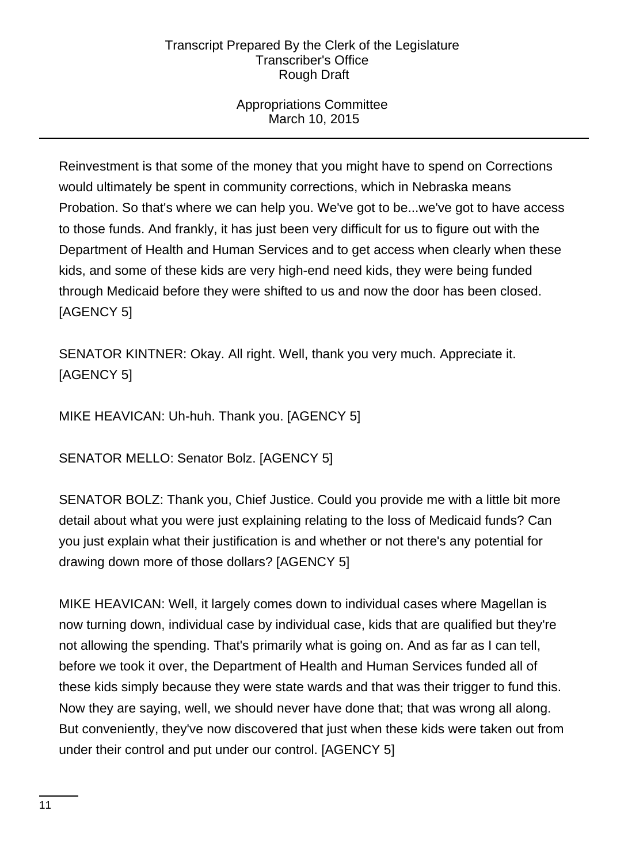# Appropriations Committee March 10, 2015

Reinvestment is that some of the money that you might have to spend on Corrections would ultimately be spent in community corrections, which in Nebraska means Probation. So that's where we can help you. We've got to be...we've got to have access to those funds. And frankly, it has just been very difficult for us to figure out with the Department of Health and Human Services and to get access when clearly when these kids, and some of these kids are very high-end need kids, they were being funded through Medicaid before they were shifted to us and now the door has been closed. [AGENCY 5]

SENATOR KINTNER: Okay. All right. Well, thank you very much. Appreciate it. [AGENCY 5]

MIKE HEAVICAN: Uh-huh. Thank you. [AGENCY 5]

SENATOR MELLO: Senator Bolz. [AGENCY 5]

SENATOR BOLZ: Thank you, Chief Justice. Could you provide me with a little bit more detail about what you were just explaining relating to the loss of Medicaid funds? Can you just explain what their justification is and whether or not there's any potential for drawing down more of those dollars? [AGENCY 5]

MIKE HEAVICAN: Well, it largely comes down to individual cases where Magellan is now turning down, individual case by individual case, kids that are qualified but they're not allowing the spending. That's primarily what is going on. And as far as I can tell, before we took it over, the Department of Health and Human Services funded all of these kids simply because they were state wards and that was their trigger to fund this. Now they are saying, well, we should never have done that; that was wrong all along. But conveniently, they've now discovered that just when these kids were taken out from under their control and put under our control. [AGENCY 5]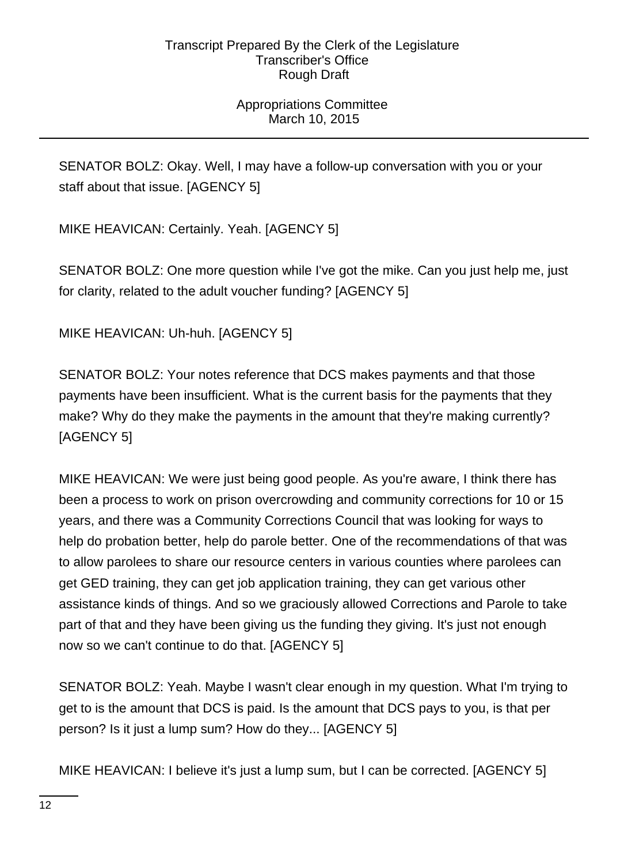# Appropriations Committee March 10, 2015

SENATOR BOLZ: Okay. Well, I may have a follow-up conversation with you or your staff about that issue. [AGENCY 5]

MIKE HEAVICAN: Certainly. Yeah. [AGENCY 5]

SENATOR BOLZ: One more question while I've got the mike. Can you just help me, just for clarity, related to the adult voucher funding? [AGENCY 5]

MIKE HEAVICAN: Uh-huh. [AGENCY 5]

SENATOR BOLZ: Your notes reference that DCS makes payments and that those payments have been insufficient. What is the current basis for the payments that they make? Why do they make the payments in the amount that they're making currently? [AGENCY 5]

MIKE HEAVICAN: We were just being good people. As you're aware, I think there has been a process to work on prison overcrowding and community corrections for 10 or 15 years, and there was a Community Corrections Council that was looking for ways to help do probation better, help do parole better. One of the recommendations of that was to allow parolees to share our resource centers in various counties where parolees can get GED training, they can get job application training, they can get various other assistance kinds of things. And so we graciously allowed Corrections and Parole to take part of that and they have been giving us the funding they giving. It's just not enough now so we can't continue to do that. [AGENCY 5]

SENATOR BOLZ: Yeah. Maybe I wasn't clear enough in my question. What I'm trying to get to is the amount that DCS is paid. Is the amount that DCS pays to you, is that per person? Is it just a lump sum? How do they... [AGENCY 5]

MIKE HEAVICAN: I believe it's just a lump sum, but I can be corrected. [AGENCY 5]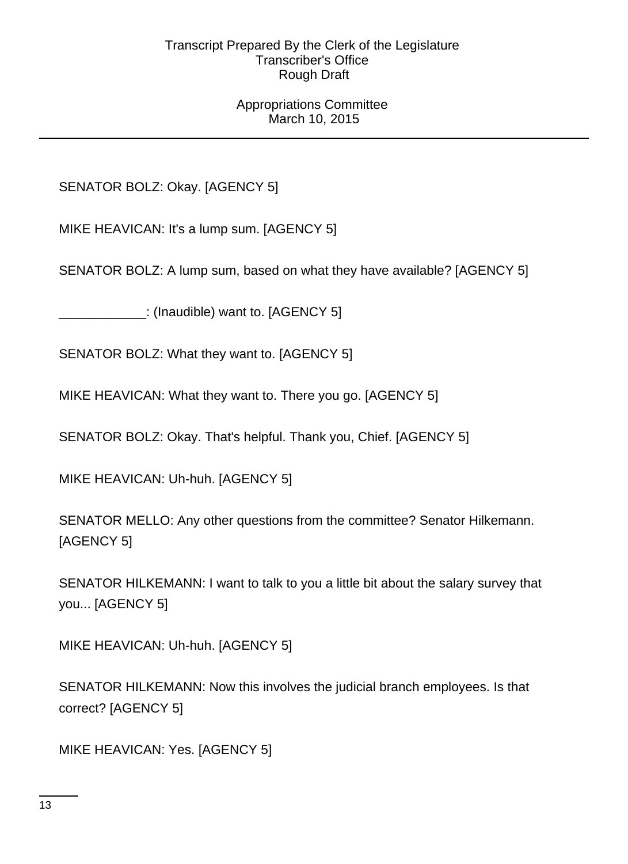## Appropriations Committee March 10, 2015

SENATOR BOLZ: Okay. [AGENCY 5]

MIKE HEAVICAN: It's a lump sum. [AGENCY 5]

SENATOR BOLZ: A lump sum, based on what they have available? [AGENCY 5]

\_\_\_\_\_\_\_\_\_\_\_\_: (Inaudible) want to. [AGENCY 5]

SENATOR BOLZ: What they want to. [AGENCY 5]

MIKE HEAVICAN: What they want to. There you go. [AGENCY 5]

SENATOR BOLZ: Okay. That's helpful. Thank you, Chief. [AGENCY 5]

MIKE HEAVICAN: Uh-huh. [AGENCY 5]

SENATOR MELLO: Any other questions from the committee? Senator Hilkemann. [AGENCY 5]

SENATOR HILKEMANN: I want to talk to you a little bit about the salary survey that you... [AGENCY 5]

MIKE HEAVICAN: Uh-huh. [AGENCY 5]

SENATOR HILKEMANN: Now this involves the judicial branch employees. Is that correct? [AGENCY 5]

MIKE HEAVICAN: Yes. [AGENCY 5]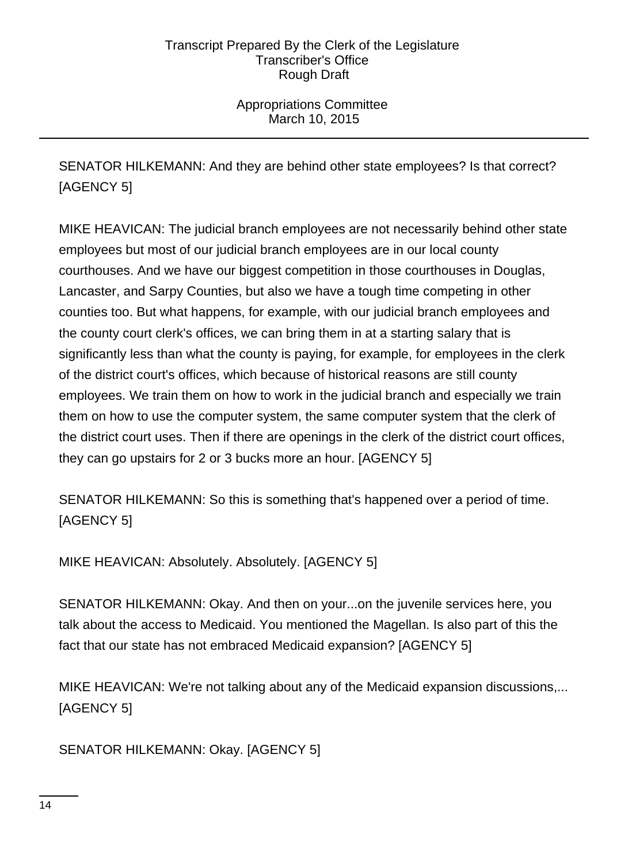Appropriations Committee March 10, 2015

SENATOR HILKEMANN: And they are behind other state employees? Is that correct? [AGENCY 5]

MIKE HEAVICAN: The judicial branch employees are not necessarily behind other state employees but most of our judicial branch employees are in our local county courthouses. And we have our biggest competition in those courthouses in Douglas, Lancaster, and Sarpy Counties, but also we have a tough time competing in other counties too. But what happens, for example, with our judicial branch employees and the county court clerk's offices, we can bring them in at a starting salary that is significantly less than what the county is paying, for example, for employees in the clerk of the district court's offices, which because of historical reasons are still county employees. We train them on how to work in the judicial branch and especially we train them on how to use the computer system, the same computer system that the clerk of the district court uses. Then if there are openings in the clerk of the district court offices, they can go upstairs for 2 or 3 bucks more an hour. [AGENCY 5]

SENATOR HILKEMANN: So this is something that's happened over a period of time. [AGENCY 5]

MIKE HEAVICAN: Absolutely. Absolutely. [AGENCY 5]

SENATOR HILKEMANN: Okay. And then on your...on the juvenile services here, you talk about the access to Medicaid. You mentioned the Magellan. Is also part of this the fact that our state has not embraced Medicaid expansion? [AGENCY 5]

MIKE HEAVICAN: We're not talking about any of the Medicaid expansion discussions,... [AGENCY 5]

SENATOR HILKEMANN: Okay. [AGENCY 5]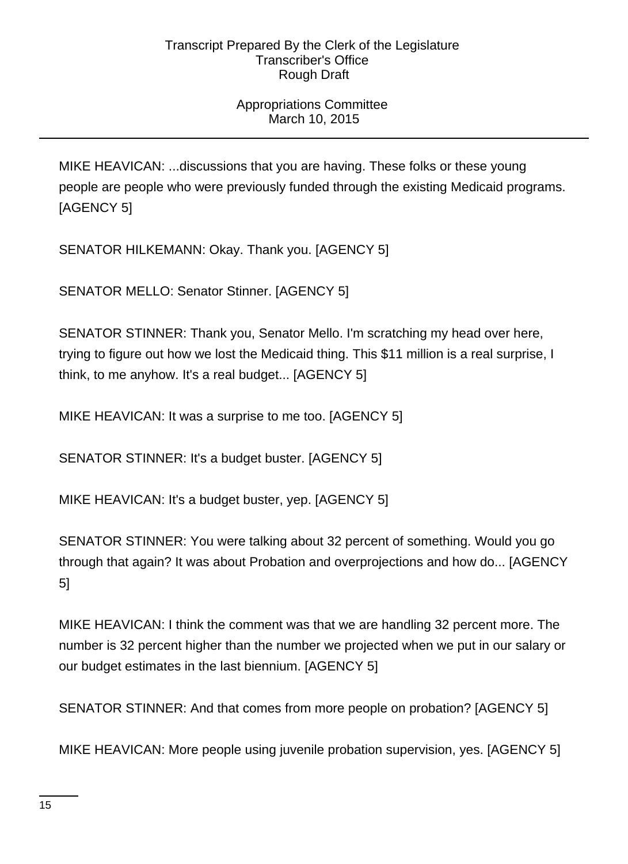# Appropriations Committee March 10, 2015

MIKE HEAVICAN: ...discussions that you are having. These folks or these young people are people who were previously funded through the existing Medicaid programs. [AGENCY 5]

SENATOR HILKEMANN: Okay. Thank you. [AGENCY 5]

SENATOR MELLO: Senator Stinner. [AGENCY 5]

SENATOR STINNER: Thank you, Senator Mello. I'm scratching my head over here, trying to figure out how we lost the Medicaid thing. This \$11 million is a real surprise, I think, to me anyhow. It's a real budget... [AGENCY 5]

MIKE HEAVICAN: It was a surprise to me too. [AGENCY 5]

SENATOR STINNER: It's a budget buster. [AGENCY 5]

MIKE HEAVICAN: It's a budget buster, yep. [AGENCY 5]

SENATOR STINNER: You were talking about 32 percent of something. Would you go through that again? It was about Probation and overprojections and how do... [AGENCY 5]

MIKE HEAVICAN: I think the comment was that we are handling 32 percent more. The number is 32 percent higher than the number we projected when we put in our salary or our budget estimates in the last biennium. [AGENCY 5]

SENATOR STINNER: And that comes from more people on probation? [AGENCY 5]

MIKE HEAVICAN: More people using juvenile probation supervision, yes. [AGENCY 5]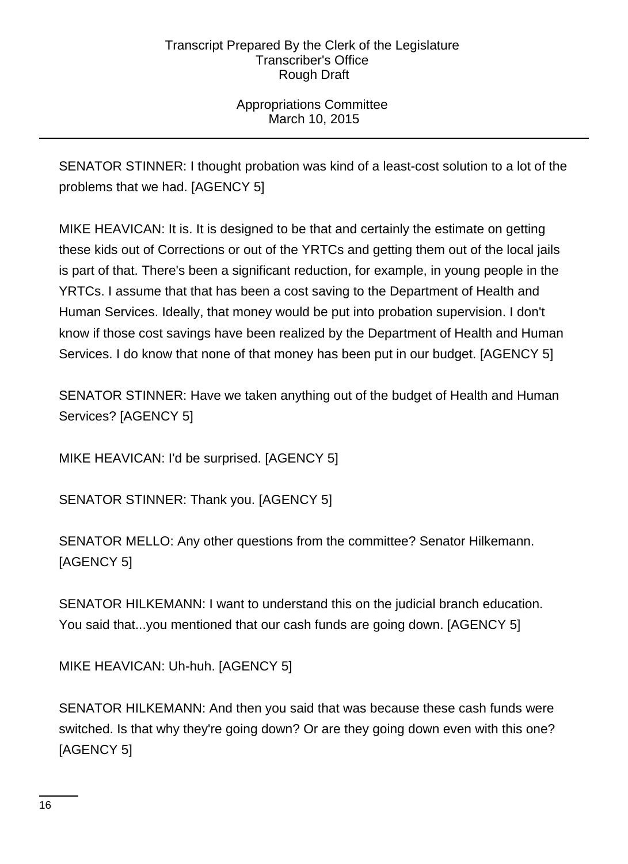# Appropriations Committee March 10, 2015

SENATOR STINNER: I thought probation was kind of a least-cost solution to a lot of the problems that we had. [AGENCY 5]

MIKE HEAVICAN: It is. It is designed to be that and certainly the estimate on getting these kids out of Corrections or out of the YRTCs and getting them out of the local jails is part of that. There's been a significant reduction, for example, in young people in the YRTCs. I assume that that has been a cost saving to the Department of Health and Human Services. Ideally, that money would be put into probation supervision. I don't know if those cost savings have been realized by the Department of Health and Human Services. I do know that none of that money has been put in our budget. [AGENCY 5]

SENATOR STINNER: Have we taken anything out of the budget of Health and Human Services? [AGENCY 5]

MIKE HEAVICAN: I'd be surprised. [AGENCY 5]

SENATOR STINNER: Thank you. [AGENCY 5]

SENATOR MELLO: Any other questions from the committee? Senator Hilkemann. [AGENCY 5]

SENATOR HILKEMANN: I want to understand this on the judicial branch education. You said that...you mentioned that our cash funds are going down. [AGENCY 5]

MIKE HEAVICAN: Uh-huh. [AGENCY 5]

SENATOR HILKEMANN: And then you said that was because these cash funds were switched. Is that why they're going down? Or are they going down even with this one? [AGENCY 5]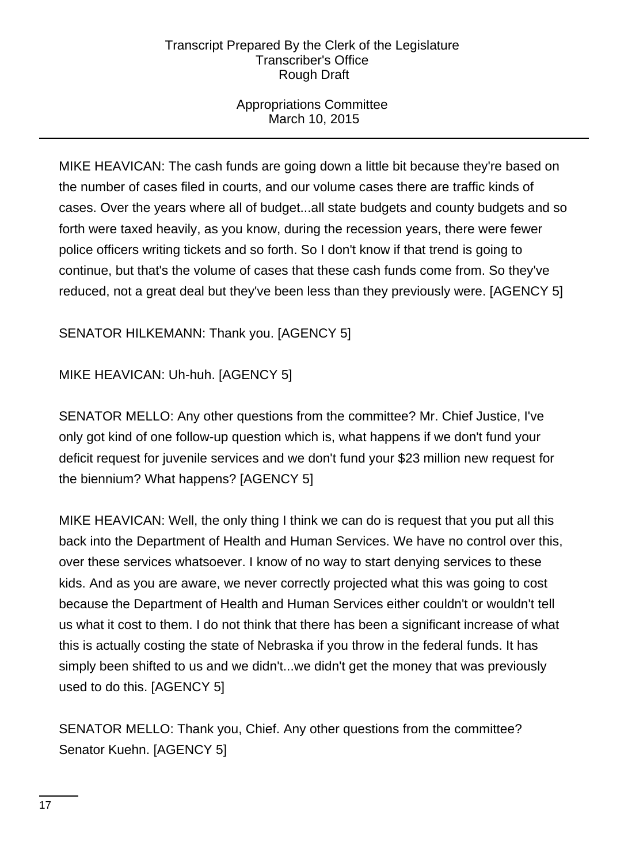# Appropriations Committee March 10, 2015

MIKE HEAVICAN: The cash funds are going down a little bit because they're based on the number of cases filed in courts, and our volume cases there are traffic kinds of cases. Over the years where all of budget...all state budgets and county budgets and so forth were taxed heavily, as you know, during the recession years, there were fewer police officers writing tickets and so forth. So I don't know if that trend is going to continue, but that's the volume of cases that these cash funds come from. So they've reduced, not a great deal but they've been less than they previously were. [AGENCY 5]

# SENATOR HILKEMANN: Thank you. [AGENCY 5]

# MIKE HEAVICAN: Uh-huh. [AGENCY 5]

SENATOR MELLO: Any other questions from the committee? Mr. Chief Justice, I've only got kind of one follow-up question which is, what happens if we don't fund your deficit request for juvenile services and we don't fund your \$23 million new request for the biennium? What happens? [AGENCY 5]

MIKE HEAVICAN: Well, the only thing I think we can do is request that you put all this back into the Department of Health and Human Services. We have no control over this, over these services whatsoever. I know of no way to start denying services to these kids. And as you are aware, we never correctly projected what this was going to cost because the Department of Health and Human Services either couldn't or wouldn't tell us what it cost to them. I do not think that there has been a significant increase of what this is actually costing the state of Nebraska if you throw in the federal funds. It has simply been shifted to us and we didn't...we didn't get the money that was previously used to do this. [AGENCY 5]

SENATOR MELLO: Thank you, Chief. Any other questions from the committee? Senator Kuehn. [AGENCY 5]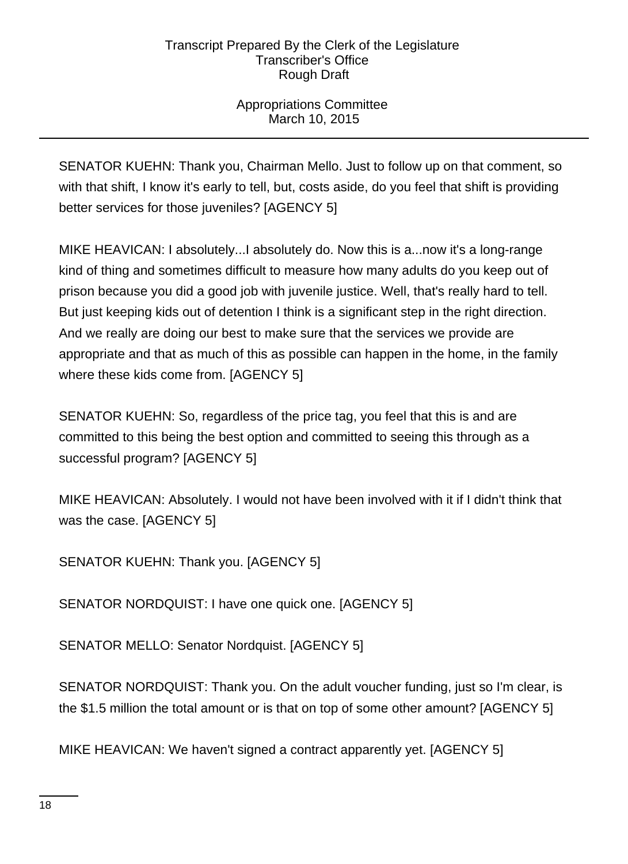# Appropriations Committee March 10, 2015

SENATOR KUEHN: Thank you, Chairman Mello. Just to follow up on that comment, so with that shift, I know it's early to tell, but, costs aside, do you feel that shift is providing better services for those juveniles? [AGENCY 5]

MIKE HEAVICAN: I absolutely...I absolutely do. Now this is a...now it's a long-range kind of thing and sometimes difficult to measure how many adults do you keep out of prison because you did a good job with juvenile justice. Well, that's really hard to tell. But just keeping kids out of detention I think is a significant step in the right direction. And we really are doing our best to make sure that the services we provide are appropriate and that as much of this as possible can happen in the home, in the family where these kids come from. [AGENCY 5]

SENATOR KUEHN: So, regardless of the price tag, you feel that this is and are committed to this being the best option and committed to seeing this through as a successful program? [AGENCY 5]

MIKE HEAVICAN: Absolutely. I would not have been involved with it if I didn't think that was the case. [AGENCY 5]

SENATOR KUEHN: Thank you. [AGENCY 5]

SENATOR NORDQUIST: I have one quick one. [AGENCY 5]

SENATOR MELLO: Senator Nordquist. [AGENCY 5]

SENATOR NORDQUIST: Thank you. On the adult voucher funding, just so I'm clear, is the \$1.5 million the total amount or is that on top of some other amount? [AGENCY 5]

MIKE HEAVICAN: We haven't signed a contract apparently yet. [AGENCY 5]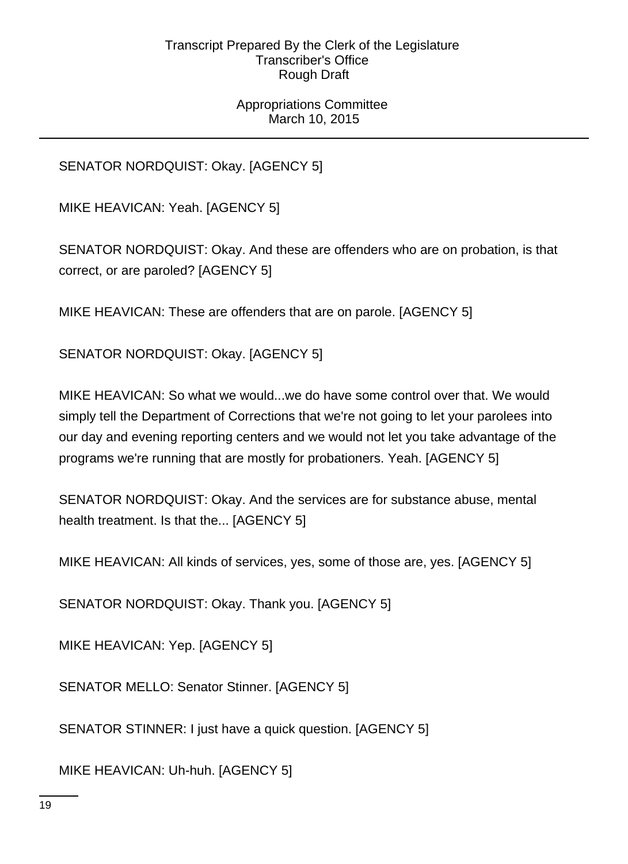# Appropriations Committee March 10, 2015

SENATOR NORDQUIST: Okay. [AGENCY 5]

MIKE HEAVICAN: Yeah. [AGENCY 5]

SENATOR NORDQUIST: Okay. And these are offenders who are on probation, is that correct, or are paroled? [AGENCY 5]

MIKE HEAVICAN: These are offenders that are on parole. [AGENCY 5]

SENATOR NORDQUIST: Okay. [AGENCY 5]

MIKE HEAVICAN: So what we would...we do have some control over that. We would simply tell the Department of Corrections that we're not going to let your parolees into our day and evening reporting centers and we would not let you take advantage of the programs we're running that are mostly for probationers. Yeah. [AGENCY 5]

SENATOR NORDQUIST: Okay. And the services are for substance abuse, mental health treatment. Is that the... [AGENCY 5]

MIKE HEAVICAN: All kinds of services, yes, some of those are, yes. [AGENCY 5]

SENATOR NORDQUIST: Okay. Thank you. [AGENCY 5]

MIKE HEAVICAN: Yep. [AGENCY 5]

SENATOR MELLO: Senator Stinner. [AGENCY 5]

SENATOR STINNER: I just have a quick question. [AGENCY 5]

MIKE HEAVICAN: Uh-huh. [AGENCY 5]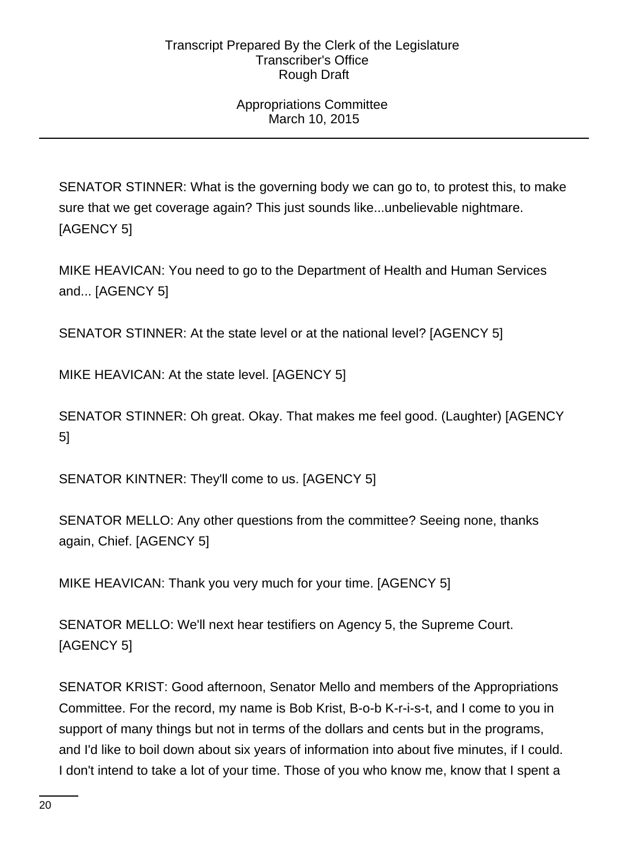# Appropriations Committee March 10, 2015

SENATOR STINNER: What is the governing body we can go to, to protest this, to make sure that we get coverage again? This just sounds like...unbelievable nightmare. [AGENCY 5]

MIKE HEAVICAN: You need to go to the Department of Health and Human Services and... [AGENCY 5]

SENATOR STINNER: At the state level or at the national level? [AGENCY 5]

MIKE HEAVICAN: At the state level. [AGENCY 5]

SENATOR STINNER: Oh great. Okay. That makes me feel good. (Laughter) [AGENCY 5]

SENATOR KINTNER: They'll come to us. [AGENCY 5]

SENATOR MELLO: Any other questions from the committee? Seeing none, thanks again, Chief. [AGENCY 5]

MIKE HEAVICAN: Thank you very much for your time. [AGENCY 5]

SENATOR MELLO: We'll next hear testifiers on Agency 5, the Supreme Court. [AGENCY 5]

SENATOR KRIST: Good afternoon, Senator Mello and members of the Appropriations Committee. For the record, my name is Bob Krist, B-o-b K-r-i-s-t, and I come to you in support of many things but not in terms of the dollars and cents but in the programs, and I'd like to boil down about six years of information into about five minutes, if I could. I don't intend to take a lot of your time. Those of you who know me, know that I spent a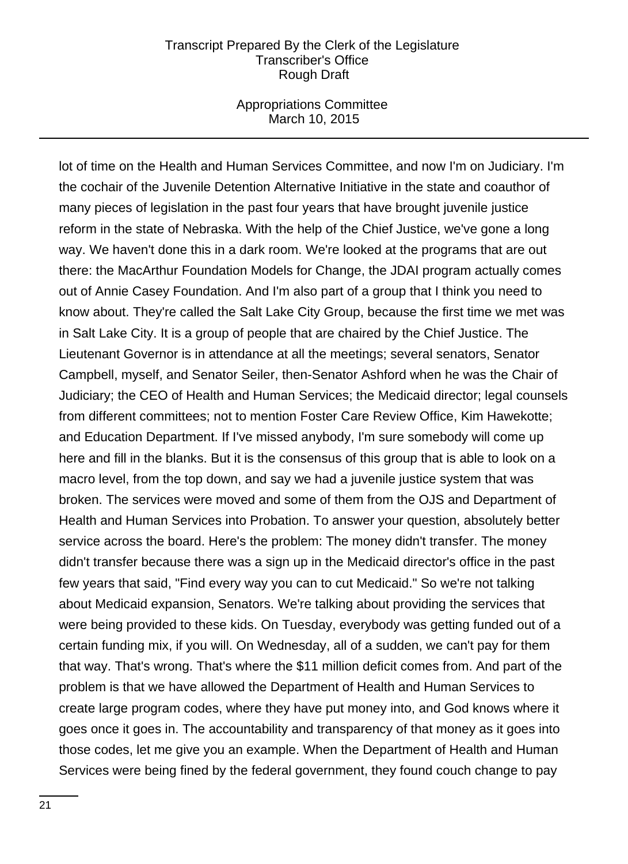### Appropriations Committee March 10, 2015

lot of time on the Health and Human Services Committee, and now I'm on Judiciary. I'm the cochair of the Juvenile Detention Alternative Initiative in the state and coauthor of many pieces of legislation in the past four years that have brought juvenile justice reform in the state of Nebraska. With the help of the Chief Justice, we've gone a long way. We haven't done this in a dark room. We're looked at the programs that are out there: the MacArthur Foundation Models for Change, the JDAI program actually comes out of Annie Casey Foundation. And I'm also part of a group that I think you need to know about. They're called the Salt Lake City Group, because the first time we met was in Salt Lake City. It is a group of people that are chaired by the Chief Justice. The Lieutenant Governor is in attendance at all the meetings; several senators, Senator Campbell, myself, and Senator Seiler, then-Senator Ashford when he was the Chair of Judiciary; the CEO of Health and Human Services; the Medicaid director; legal counsels from different committees; not to mention Foster Care Review Office, Kim Hawekotte; and Education Department. If I've missed anybody, I'm sure somebody will come up here and fill in the blanks. But it is the consensus of this group that is able to look on a macro level, from the top down, and say we had a juvenile justice system that was broken. The services were moved and some of them from the OJS and Department of Health and Human Services into Probation. To answer your question, absolutely better service across the board. Here's the problem: The money didn't transfer. The money didn't transfer because there was a sign up in the Medicaid director's office in the past few years that said, "Find every way you can to cut Medicaid." So we're not talking about Medicaid expansion, Senators. We're talking about providing the services that were being provided to these kids. On Tuesday, everybody was getting funded out of a certain funding mix, if you will. On Wednesday, all of a sudden, we can't pay for them that way. That's wrong. That's where the \$11 million deficit comes from. And part of the problem is that we have allowed the Department of Health and Human Services to create large program codes, where they have put money into, and God knows where it goes once it goes in. The accountability and transparency of that money as it goes into those codes, let me give you an example. When the Department of Health and Human Services were being fined by the federal government, they found couch change to pay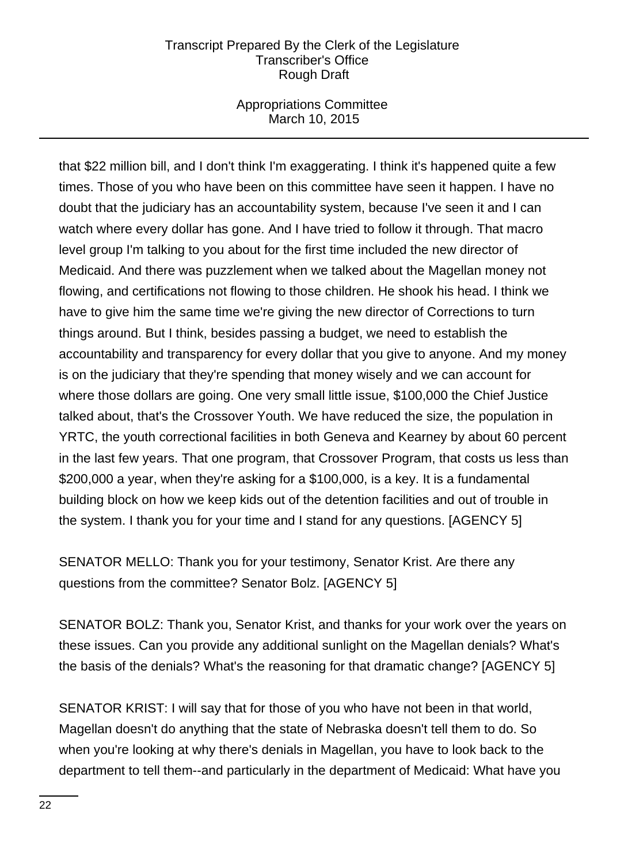# Appropriations Committee March 10, 2015

that \$22 million bill, and I don't think I'm exaggerating. I think it's happened quite a few times. Those of you who have been on this committee have seen it happen. I have no doubt that the judiciary has an accountability system, because I've seen it and I can watch where every dollar has gone. And I have tried to follow it through. That macro level group I'm talking to you about for the first time included the new director of Medicaid. And there was puzzlement when we talked about the Magellan money not flowing, and certifications not flowing to those children. He shook his head. I think we have to give him the same time we're giving the new director of Corrections to turn things around. But I think, besides passing a budget, we need to establish the accountability and transparency for every dollar that you give to anyone. And my money is on the judiciary that they're spending that money wisely and we can account for where those dollars are going. One very small little issue, \$100,000 the Chief Justice talked about, that's the Crossover Youth. We have reduced the size, the population in YRTC, the youth correctional facilities in both Geneva and Kearney by about 60 percent in the last few years. That one program, that Crossover Program, that costs us less than \$200,000 a year, when they're asking for a \$100,000, is a key. It is a fundamental building block on how we keep kids out of the detention facilities and out of trouble in the system. I thank you for your time and I stand for any questions. [AGENCY 5]

SENATOR MELLO: Thank you for your testimony, Senator Krist. Are there any questions from the committee? Senator Bolz. [AGENCY 5]

SENATOR BOLZ: Thank you, Senator Krist, and thanks for your work over the years on these issues. Can you provide any additional sunlight on the Magellan denials? What's the basis of the denials? What's the reasoning for that dramatic change? [AGENCY 5]

SENATOR KRIST: I will say that for those of you who have not been in that world, Magellan doesn't do anything that the state of Nebraska doesn't tell them to do. So when you're looking at why there's denials in Magellan, you have to look back to the department to tell them--and particularly in the department of Medicaid: What have you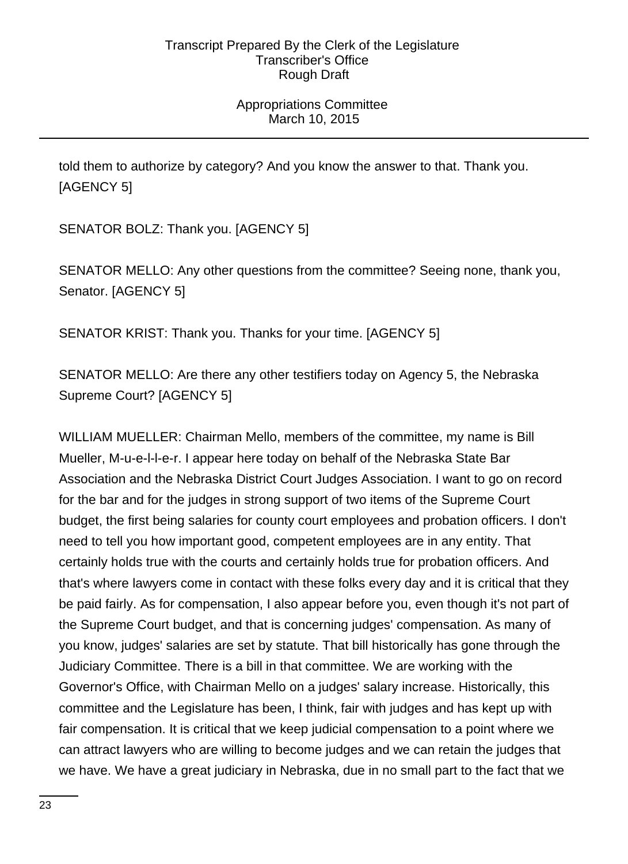# Appropriations Committee March 10, 2015

told them to authorize by category? And you know the answer to that. Thank you. [AGENCY 5]

SENATOR BOLZ: Thank you. [AGENCY 5]

SENATOR MELLO: Any other questions from the committee? Seeing none, thank you, Senator. [AGENCY 5]

SENATOR KRIST: Thank you. Thanks for your time. [AGENCY 5]

SENATOR MELLO: Are there any other testifiers today on Agency 5, the Nebraska Supreme Court? [AGENCY 5]

WILLIAM MUELLER: Chairman Mello, members of the committee, my name is Bill Mueller, M-u-e-l-l-e-r. I appear here today on behalf of the Nebraska State Bar Association and the Nebraska District Court Judges Association. I want to go on record for the bar and for the judges in strong support of two items of the Supreme Court budget, the first being salaries for county court employees and probation officers. I don't need to tell you how important good, competent employees are in any entity. That certainly holds true with the courts and certainly holds true for probation officers. And that's where lawyers come in contact with these folks every day and it is critical that they be paid fairly. As for compensation, I also appear before you, even though it's not part of the Supreme Court budget, and that is concerning judges' compensation. As many of you know, judges' salaries are set by statute. That bill historically has gone through the Judiciary Committee. There is a bill in that committee. We are working with the Governor's Office, with Chairman Mello on a judges' salary increase. Historically, this committee and the Legislature has been, I think, fair with judges and has kept up with fair compensation. It is critical that we keep judicial compensation to a point where we can attract lawyers who are willing to become judges and we can retain the judges that we have. We have a great judiciary in Nebraska, due in no small part to the fact that we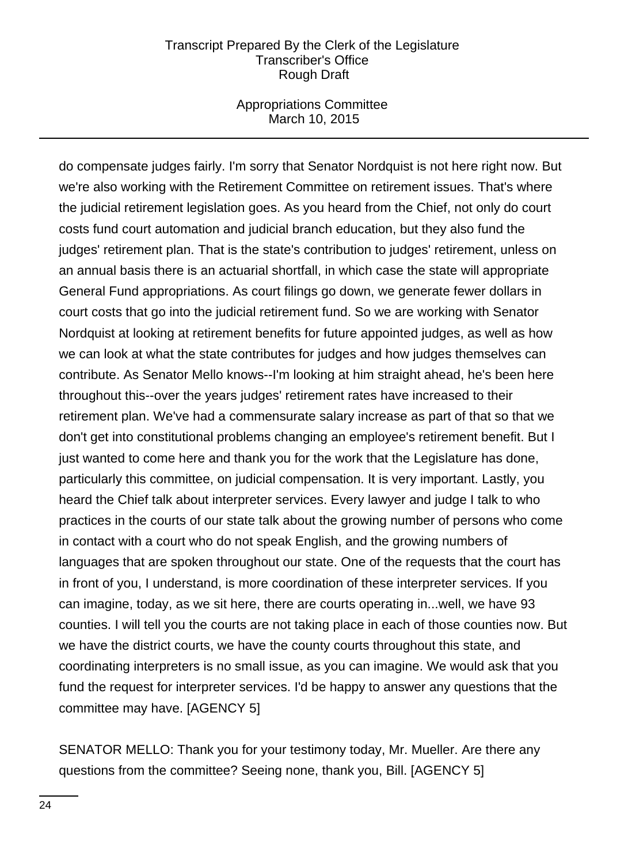### Appropriations Committee March 10, 2015

do compensate judges fairly. I'm sorry that Senator Nordquist is not here right now. But we're also working with the Retirement Committee on retirement issues. That's where the judicial retirement legislation goes. As you heard from the Chief, not only do court costs fund court automation and judicial branch education, but they also fund the judges' retirement plan. That is the state's contribution to judges' retirement, unless on an annual basis there is an actuarial shortfall, in which case the state will appropriate General Fund appropriations. As court filings go down, we generate fewer dollars in court costs that go into the judicial retirement fund. So we are working with Senator Nordquist at looking at retirement benefits for future appointed judges, as well as how we can look at what the state contributes for judges and how judges themselves can contribute. As Senator Mello knows--I'm looking at him straight ahead, he's been here throughout this--over the years judges' retirement rates have increased to their retirement plan. We've had a commensurate salary increase as part of that so that we don't get into constitutional problems changing an employee's retirement benefit. But I just wanted to come here and thank you for the work that the Legislature has done, particularly this committee, on judicial compensation. It is very important. Lastly, you heard the Chief talk about interpreter services. Every lawyer and judge I talk to who practices in the courts of our state talk about the growing number of persons who come in contact with a court who do not speak English, and the growing numbers of languages that are spoken throughout our state. One of the requests that the court has in front of you, I understand, is more coordination of these interpreter services. If you can imagine, today, as we sit here, there are courts operating in...well, we have 93 counties. I will tell you the courts are not taking place in each of those counties now. But we have the district courts, we have the county courts throughout this state, and coordinating interpreters is no small issue, as you can imagine. We would ask that you fund the request for interpreter services. I'd be happy to answer any questions that the committee may have. [AGENCY 5]

SENATOR MELLO: Thank you for your testimony today, Mr. Mueller. Are there any questions from the committee? Seeing none, thank you, Bill. [AGENCY 5]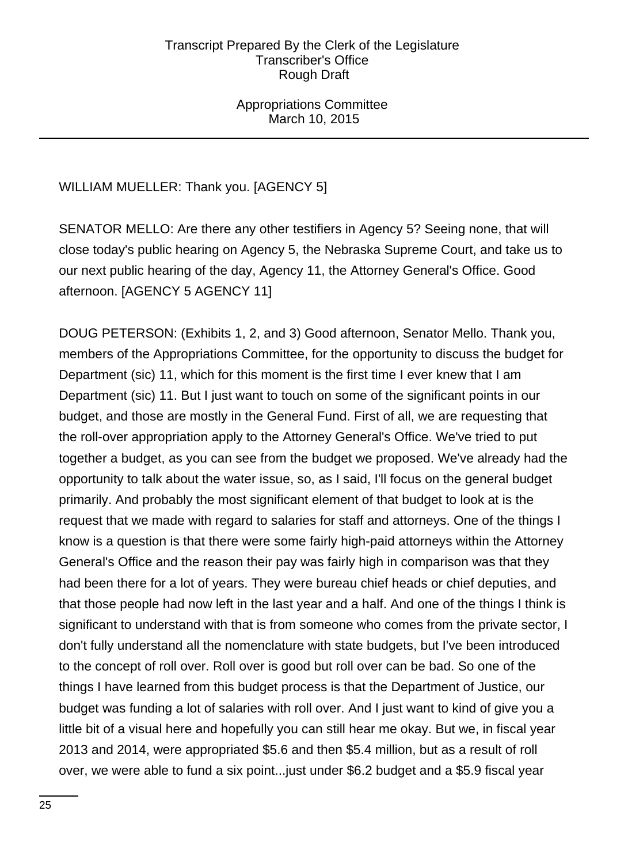Appropriations Committee March 10, 2015

# WILLIAM MUELLER: Thank you. [AGENCY 5]

SENATOR MELLO: Are there any other testifiers in Agency 5? Seeing none, that will close today's public hearing on Agency 5, the Nebraska Supreme Court, and take us to our next public hearing of the day, Agency 11, the Attorney General's Office. Good afternoon. [AGENCY 5 AGENCY 11]

DOUG PETERSON: (Exhibits 1, 2, and 3) Good afternoon, Senator Mello. Thank you, members of the Appropriations Committee, for the opportunity to discuss the budget for Department (sic) 11, which for this moment is the first time I ever knew that I am Department (sic) 11. But I just want to touch on some of the significant points in our budget, and those are mostly in the General Fund. First of all, we are requesting that the roll-over appropriation apply to the Attorney General's Office. We've tried to put together a budget, as you can see from the budget we proposed. We've already had the opportunity to talk about the water issue, so, as I said, I'll focus on the general budget primarily. And probably the most significant element of that budget to look at is the request that we made with regard to salaries for staff and attorneys. One of the things I know is a question is that there were some fairly high-paid attorneys within the Attorney General's Office and the reason their pay was fairly high in comparison was that they had been there for a lot of years. They were bureau chief heads or chief deputies, and that those people had now left in the last year and a half. And one of the things I think is significant to understand with that is from someone who comes from the private sector, I don't fully understand all the nomenclature with state budgets, but I've been introduced to the concept of roll over. Roll over is good but roll over can be bad. So one of the things I have learned from this budget process is that the Department of Justice, our budget was funding a lot of salaries with roll over. And I just want to kind of give you a little bit of a visual here and hopefully you can still hear me okay. But we, in fiscal year 2013 and 2014, were appropriated \$5.6 and then \$5.4 million, but as a result of roll over, we were able to fund a six point...just under \$6.2 budget and a \$5.9 fiscal year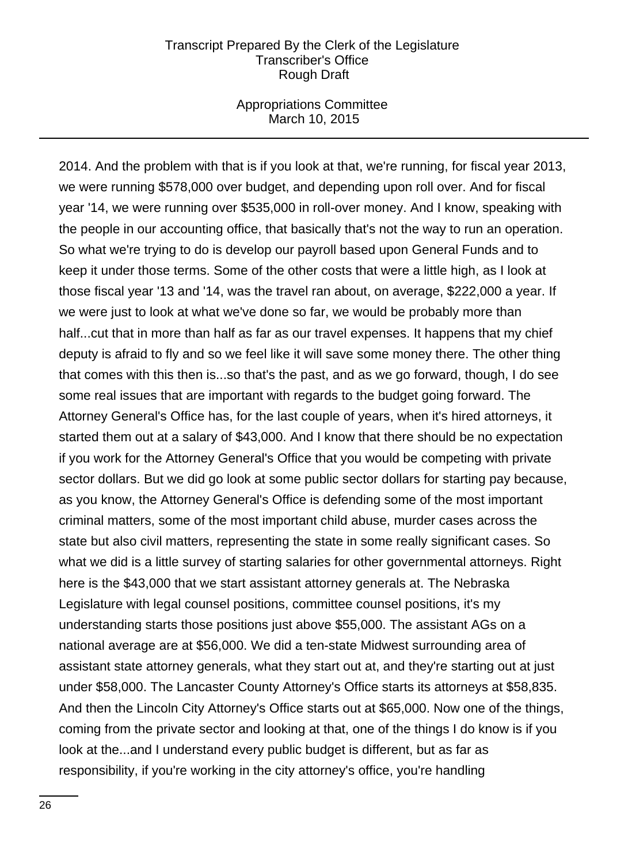### Appropriations Committee March 10, 2015

2014. And the problem with that is if you look at that, we're running, for fiscal year 2013, we were running \$578,000 over budget, and depending upon roll over. And for fiscal year '14, we were running over \$535,000 in roll-over money. And I know, speaking with the people in our accounting office, that basically that's not the way to run an operation. So what we're trying to do is develop our payroll based upon General Funds and to keep it under those terms. Some of the other costs that were a little high, as I look at those fiscal year '13 and '14, was the travel ran about, on average, \$222,000 a year. If we were just to look at what we've done so far, we would be probably more than half...cut that in more than half as far as our travel expenses. It happens that my chief deputy is afraid to fly and so we feel like it will save some money there. The other thing that comes with this then is...so that's the past, and as we go forward, though, I do see some real issues that are important with regards to the budget going forward. The Attorney General's Office has, for the last couple of years, when it's hired attorneys, it started them out at a salary of \$43,000. And I know that there should be no expectation if you work for the Attorney General's Office that you would be competing with private sector dollars. But we did go look at some public sector dollars for starting pay because, as you know, the Attorney General's Office is defending some of the most important criminal matters, some of the most important child abuse, murder cases across the state but also civil matters, representing the state in some really significant cases. So what we did is a little survey of starting salaries for other governmental attorneys. Right here is the \$43,000 that we start assistant attorney generals at. The Nebraska Legislature with legal counsel positions, committee counsel positions, it's my understanding starts those positions just above \$55,000. The assistant AGs on a national average are at \$56,000. We did a ten-state Midwest surrounding area of assistant state attorney generals, what they start out at, and they're starting out at just under \$58,000. The Lancaster County Attorney's Office starts its attorneys at \$58,835. And then the Lincoln City Attorney's Office starts out at \$65,000. Now one of the things, coming from the private sector and looking at that, one of the things I do know is if you look at the...and I understand every public budget is different, but as far as responsibility, if you're working in the city attorney's office, you're handling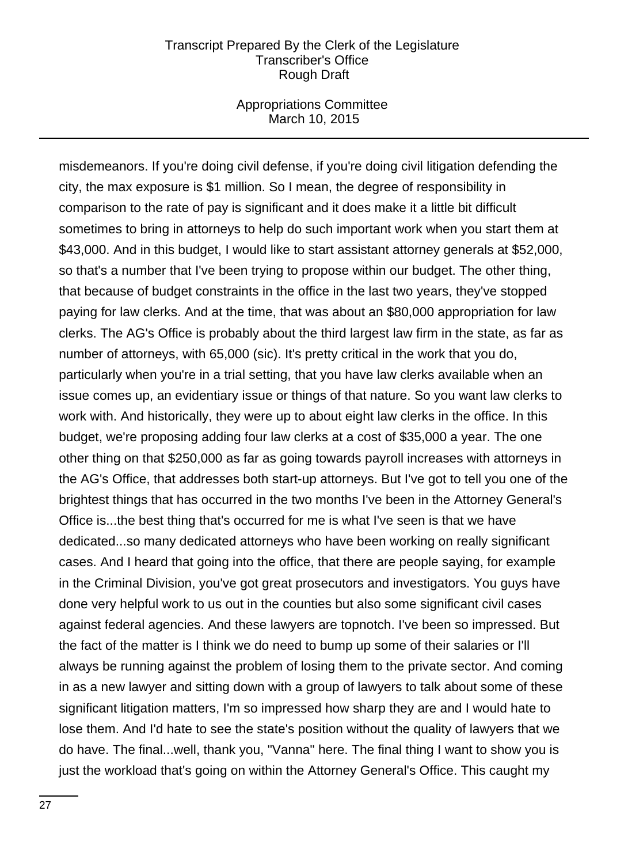### Appropriations Committee March 10, 2015

misdemeanors. If you're doing civil defense, if you're doing civil litigation defending the city, the max exposure is \$1 million. So I mean, the degree of responsibility in comparison to the rate of pay is significant and it does make it a little bit difficult sometimes to bring in attorneys to help do such important work when you start them at \$43,000. And in this budget, I would like to start assistant attorney generals at \$52,000, so that's a number that I've been trying to propose within our budget. The other thing, that because of budget constraints in the office in the last two years, they've stopped paying for law clerks. And at the time, that was about an \$80,000 appropriation for law clerks. The AG's Office is probably about the third largest law firm in the state, as far as number of attorneys, with 65,000 (sic). It's pretty critical in the work that you do, particularly when you're in a trial setting, that you have law clerks available when an issue comes up, an evidentiary issue or things of that nature. So you want law clerks to work with. And historically, they were up to about eight law clerks in the office. In this budget, we're proposing adding four law clerks at a cost of \$35,000 a year. The one other thing on that \$250,000 as far as going towards payroll increases with attorneys in the AG's Office, that addresses both start-up attorneys. But I've got to tell you one of the brightest things that has occurred in the two months I've been in the Attorney General's Office is...the best thing that's occurred for me is what I've seen is that we have dedicated...so many dedicated attorneys who have been working on really significant cases. And I heard that going into the office, that there are people saying, for example in the Criminal Division, you've got great prosecutors and investigators. You guys have done very helpful work to us out in the counties but also some significant civil cases against federal agencies. And these lawyers are topnotch. I've been so impressed. But the fact of the matter is I think we do need to bump up some of their salaries or I'll always be running against the problem of losing them to the private sector. And coming in as a new lawyer and sitting down with a group of lawyers to talk about some of these significant litigation matters, I'm so impressed how sharp they are and I would hate to lose them. And I'd hate to see the state's position without the quality of lawyers that we do have. The final...well, thank you, "Vanna" here. The final thing I want to show you is just the workload that's going on within the Attorney General's Office. This caught my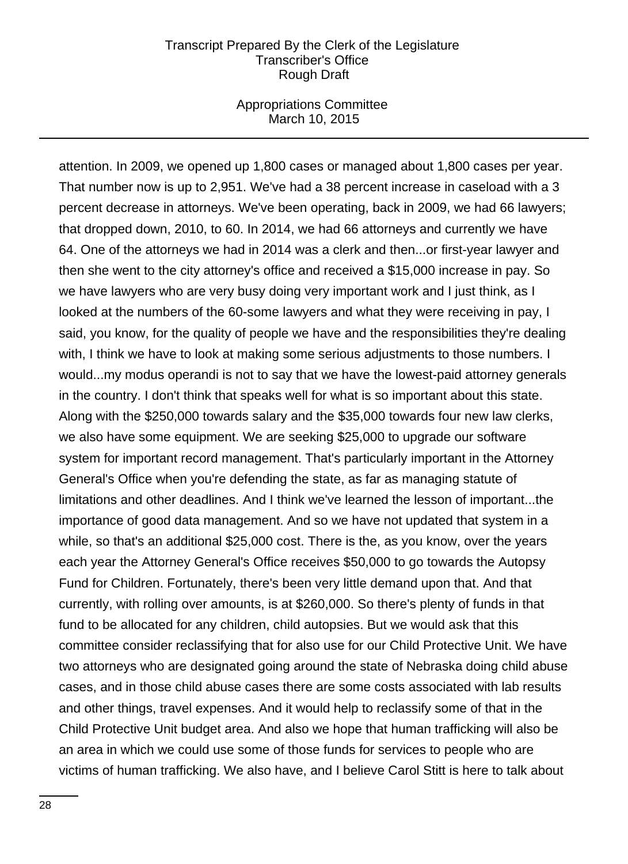### Appropriations Committee March 10, 2015

attention. In 2009, we opened up 1,800 cases or managed about 1,800 cases per year. That number now is up to 2,951. We've had a 38 percent increase in caseload with a 3 percent decrease in attorneys. We've been operating, back in 2009, we had 66 lawyers; that dropped down, 2010, to 60. In 2014, we had 66 attorneys and currently we have 64. One of the attorneys we had in 2014 was a clerk and then...or first-year lawyer and then she went to the city attorney's office and received a \$15,000 increase in pay. So we have lawyers who are very busy doing very important work and I just think, as I looked at the numbers of the 60-some lawyers and what they were receiving in pay, I said, you know, for the quality of people we have and the responsibilities they're dealing with, I think we have to look at making some serious adjustments to those numbers. I would...my modus operandi is not to say that we have the lowest-paid attorney generals in the country. I don't think that speaks well for what is so important about this state. Along with the \$250,000 towards salary and the \$35,000 towards four new law clerks, we also have some equipment. We are seeking \$25,000 to upgrade our software system for important record management. That's particularly important in the Attorney General's Office when you're defending the state, as far as managing statute of limitations and other deadlines. And I think we've learned the lesson of important...the importance of good data management. And so we have not updated that system in a while, so that's an additional \$25,000 cost. There is the, as you know, over the years each year the Attorney General's Office receives \$50,000 to go towards the Autopsy Fund for Children. Fortunately, there's been very little demand upon that. And that currently, with rolling over amounts, is at \$260,000. So there's plenty of funds in that fund to be allocated for any children, child autopsies. But we would ask that this committee consider reclassifying that for also use for our Child Protective Unit. We have two attorneys who are designated going around the state of Nebraska doing child abuse cases, and in those child abuse cases there are some costs associated with lab results and other things, travel expenses. And it would help to reclassify some of that in the Child Protective Unit budget area. And also we hope that human trafficking will also be an area in which we could use some of those funds for services to people who are victims of human trafficking. We also have, and I believe Carol Stitt is here to talk about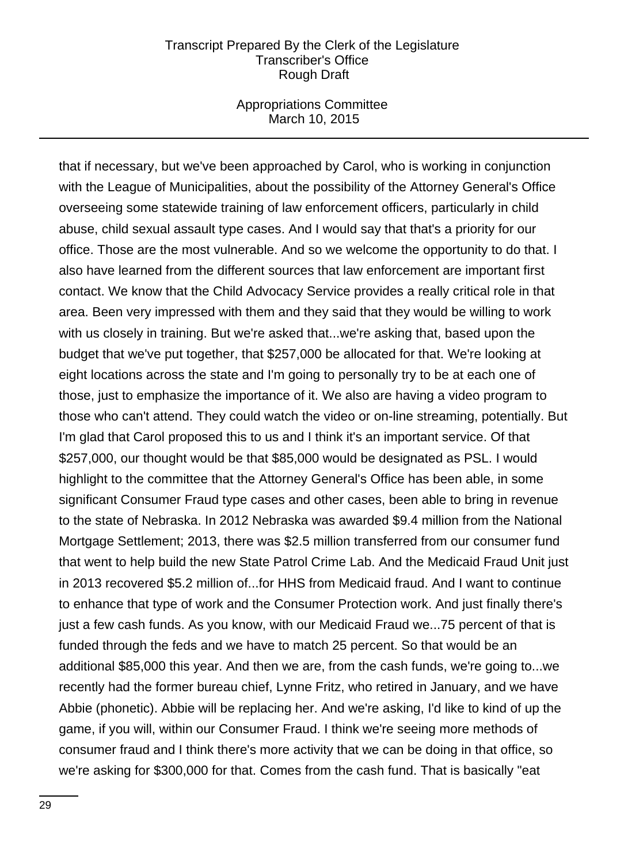### Appropriations Committee March 10, 2015

that if necessary, but we've been approached by Carol, who is working in conjunction with the League of Municipalities, about the possibility of the Attorney General's Office overseeing some statewide training of law enforcement officers, particularly in child abuse, child sexual assault type cases. And I would say that that's a priority for our office. Those are the most vulnerable. And so we welcome the opportunity to do that. I also have learned from the different sources that law enforcement are important first contact. We know that the Child Advocacy Service provides a really critical role in that area. Been very impressed with them and they said that they would be willing to work with us closely in training. But we're asked that...we're asking that, based upon the budget that we've put together, that \$257,000 be allocated for that. We're looking at eight locations across the state and I'm going to personally try to be at each one of those, just to emphasize the importance of it. We also are having a video program to those who can't attend. They could watch the video or on-line streaming, potentially. But I'm glad that Carol proposed this to us and I think it's an important service. Of that \$257,000, our thought would be that \$85,000 would be designated as PSL. I would highlight to the committee that the Attorney General's Office has been able, in some significant Consumer Fraud type cases and other cases, been able to bring in revenue to the state of Nebraska. In 2012 Nebraska was awarded \$9.4 million from the National Mortgage Settlement; 2013, there was \$2.5 million transferred from our consumer fund that went to help build the new State Patrol Crime Lab. And the Medicaid Fraud Unit just in 2013 recovered \$5.2 million of...for HHS from Medicaid fraud. And I want to continue to enhance that type of work and the Consumer Protection work. And just finally there's just a few cash funds. As you know, with our Medicaid Fraud we...75 percent of that is funded through the feds and we have to match 25 percent. So that would be an additional \$85,000 this year. And then we are, from the cash funds, we're going to...we recently had the former bureau chief, Lynne Fritz, who retired in January, and we have Abbie (phonetic). Abbie will be replacing her. And we're asking, I'd like to kind of up the game, if you will, within our Consumer Fraud. I think we're seeing more methods of consumer fraud and I think there's more activity that we can be doing in that office, so we're asking for \$300,000 for that. Comes from the cash fund. That is basically "eat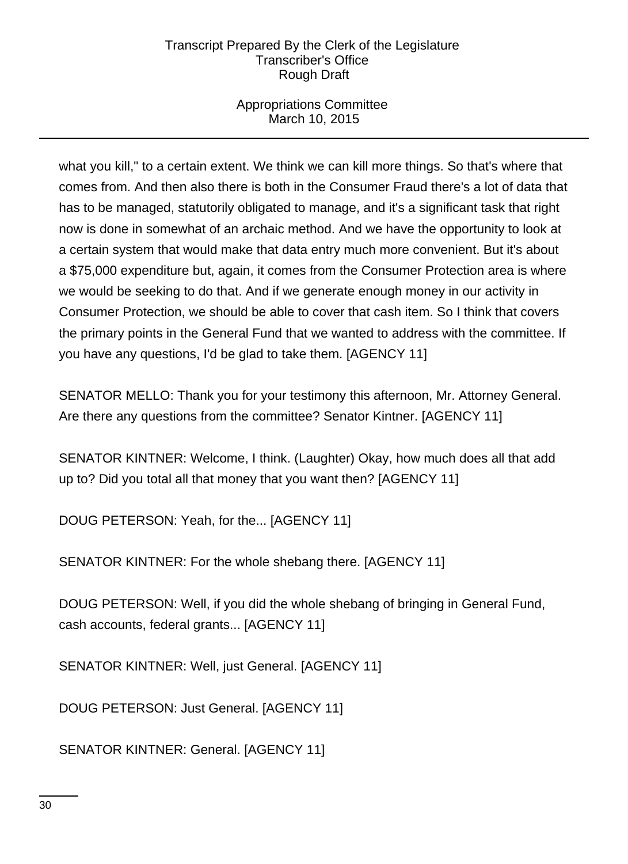# Appropriations Committee March 10, 2015

what you kill," to a certain extent. We think we can kill more things. So that's where that comes from. And then also there is both in the Consumer Fraud there's a lot of data that has to be managed, statutorily obligated to manage, and it's a significant task that right now is done in somewhat of an archaic method. And we have the opportunity to look at a certain system that would make that data entry much more convenient. But it's about a \$75,000 expenditure but, again, it comes from the Consumer Protection area is where we would be seeking to do that. And if we generate enough money in our activity in Consumer Protection, we should be able to cover that cash item. So I think that covers the primary points in the General Fund that we wanted to address with the committee. If you have any questions, I'd be glad to take them. [AGENCY 11]

SENATOR MELLO: Thank you for your testimony this afternoon, Mr. Attorney General. Are there any questions from the committee? Senator Kintner. [AGENCY 11]

SENATOR KINTNER: Welcome, I think. (Laughter) Okay, how much does all that add up to? Did you total all that money that you want then? [AGENCY 11]

DOUG PETERSON: Yeah, for the... [AGENCY 11]

SENATOR KINTNER: For the whole shebang there. [AGENCY 11]

DOUG PETERSON: Well, if you did the whole shebang of bringing in General Fund, cash accounts, federal grants... [AGENCY 11]

SENATOR KINTNER: Well, just General. [AGENCY 11]

DOUG PETERSON: Just General. [AGENCY 11]

SENATOR KINTNER: General. [AGENCY 11]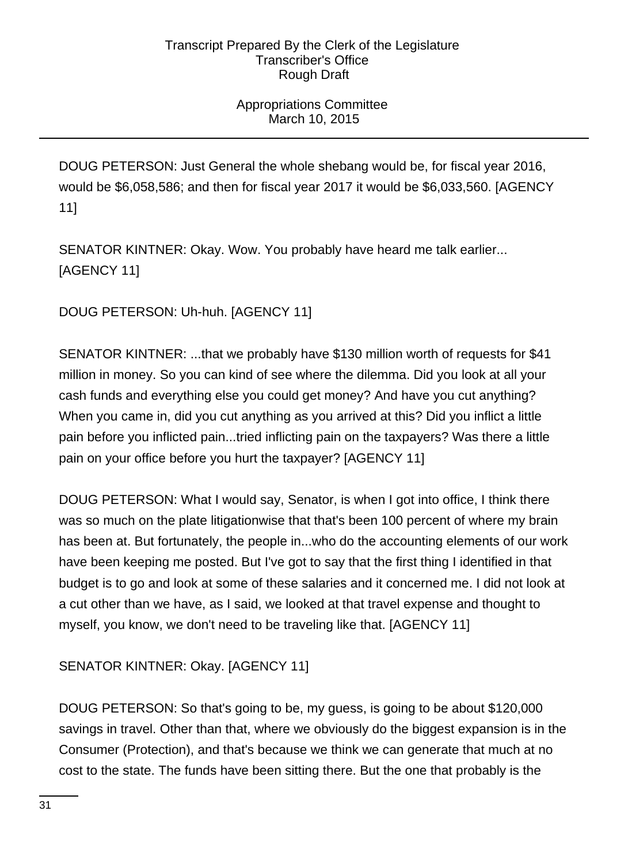# Appropriations Committee March 10, 2015

DOUG PETERSON: Just General the whole shebang would be, for fiscal year 2016, would be \$6,058,586; and then for fiscal year 2017 it would be \$6,033,560. [AGENCY 11]

SENATOR KINTNER: Okay. Wow. You probably have heard me talk earlier... [AGENCY 11]

DOUG PETERSON: Uh-huh. [AGENCY 11]

SENATOR KINTNER: ...that we probably have \$130 million worth of requests for \$41 million in money. So you can kind of see where the dilemma. Did you look at all your cash funds and everything else you could get money? And have you cut anything? When you came in, did you cut anything as you arrived at this? Did you inflict a little pain before you inflicted pain...tried inflicting pain on the taxpayers? Was there a little pain on your office before you hurt the taxpayer? [AGENCY 11]

DOUG PETERSON: What I would say, Senator, is when I got into office, I think there was so much on the plate litigationwise that that's been 100 percent of where my brain has been at. But fortunately, the people in...who do the accounting elements of our work have been keeping me posted. But I've got to say that the first thing I identified in that budget is to go and look at some of these salaries and it concerned me. I did not look at a cut other than we have, as I said, we looked at that travel expense and thought to myself, you know, we don't need to be traveling like that. [AGENCY 11]

SENATOR KINTNER: Okay. [AGENCY 11]

DOUG PETERSON: So that's going to be, my guess, is going to be about \$120,000 savings in travel. Other than that, where we obviously do the biggest expansion is in the Consumer (Protection), and that's because we think we can generate that much at no cost to the state. The funds have been sitting there. But the one that probably is the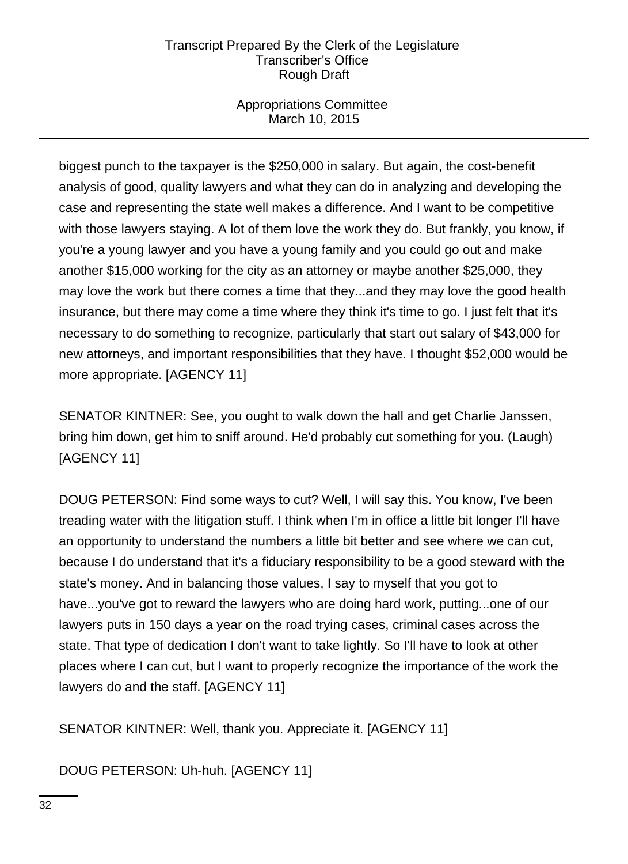# Appropriations Committee March 10, 2015

biggest punch to the taxpayer is the \$250,000 in salary. But again, the cost-benefit analysis of good, quality lawyers and what they can do in analyzing and developing the case and representing the state well makes a difference. And I want to be competitive with those lawyers staying. A lot of them love the work they do. But frankly, you know, if you're a young lawyer and you have a young family and you could go out and make another \$15,000 working for the city as an attorney or maybe another \$25,000, they may love the work but there comes a time that they...and they may love the good health insurance, but there may come a time where they think it's time to go. I just felt that it's necessary to do something to recognize, particularly that start out salary of \$43,000 for new attorneys, and important responsibilities that they have. I thought \$52,000 would be more appropriate. [AGENCY 11]

SENATOR KINTNER: See, you ought to walk down the hall and get Charlie Janssen, bring him down, get him to sniff around. He'd probably cut something for you. (Laugh) [AGENCY 11]

DOUG PETERSON: Find some ways to cut? Well, I will say this. You know, I've been treading water with the litigation stuff. I think when I'm in office a little bit longer I'll have an opportunity to understand the numbers a little bit better and see where we can cut, because I do understand that it's a fiduciary responsibility to be a good steward with the state's money. And in balancing those values, I say to myself that you got to have...you've got to reward the lawyers who are doing hard work, putting...one of our lawyers puts in 150 days a year on the road trying cases, criminal cases across the state. That type of dedication I don't want to take lightly. So I'll have to look at other places where I can cut, but I want to properly recognize the importance of the work the lawyers do and the staff. [AGENCY 11]

SENATOR KINTNER: Well, thank you. Appreciate it. [AGENCY 11]

DOUG PETERSON: Uh-huh. [AGENCY 11]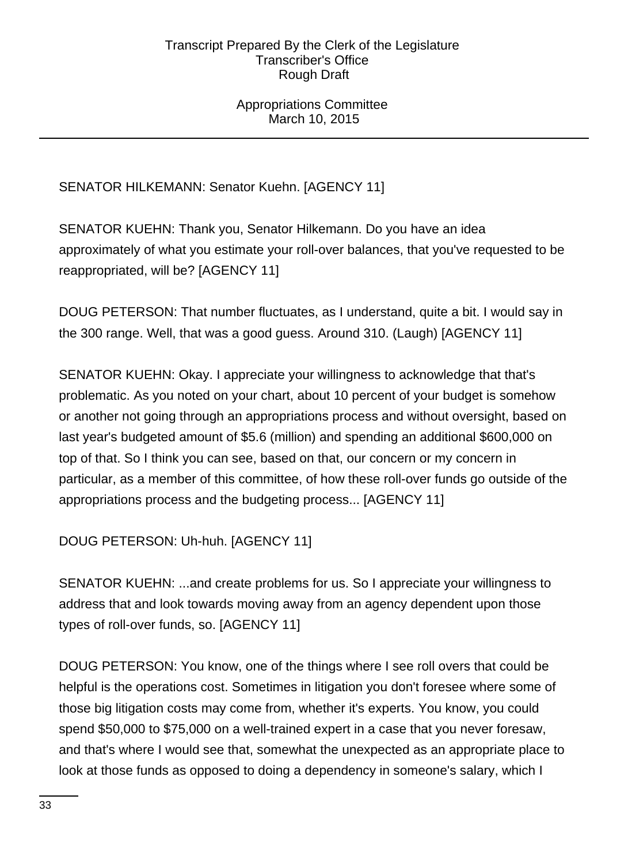# Appropriations Committee March 10, 2015

# SENATOR HILKEMANN: Senator Kuehn. [AGENCY 11]

SENATOR KUEHN: Thank you, Senator Hilkemann. Do you have an idea approximately of what you estimate your roll-over balances, that you've requested to be reappropriated, will be? [AGENCY 11]

DOUG PETERSON: That number fluctuates, as I understand, quite a bit. I would say in the 300 range. Well, that was a good guess. Around 310. (Laugh) [AGENCY 11]

SENATOR KUEHN: Okay. I appreciate your willingness to acknowledge that that's problematic. As you noted on your chart, about 10 percent of your budget is somehow or another not going through an appropriations process and without oversight, based on last year's budgeted amount of \$5.6 (million) and spending an additional \$600,000 on top of that. So I think you can see, based on that, our concern or my concern in particular, as a member of this committee, of how these roll-over funds go outside of the appropriations process and the budgeting process... [AGENCY 11]

DOUG PETERSON: Uh-huh. [AGENCY 11]

SENATOR KUEHN: ...and create problems for us. So I appreciate your willingness to address that and look towards moving away from an agency dependent upon those types of roll-over funds, so. [AGENCY 11]

DOUG PETERSON: You know, one of the things where I see roll overs that could be helpful is the operations cost. Sometimes in litigation you don't foresee where some of those big litigation costs may come from, whether it's experts. You know, you could spend \$50,000 to \$75,000 on a well-trained expert in a case that you never foresaw, and that's where I would see that, somewhat the unexpected as an appropriate place to look at those funds as opposed to doing a dependency in someone's salary, which I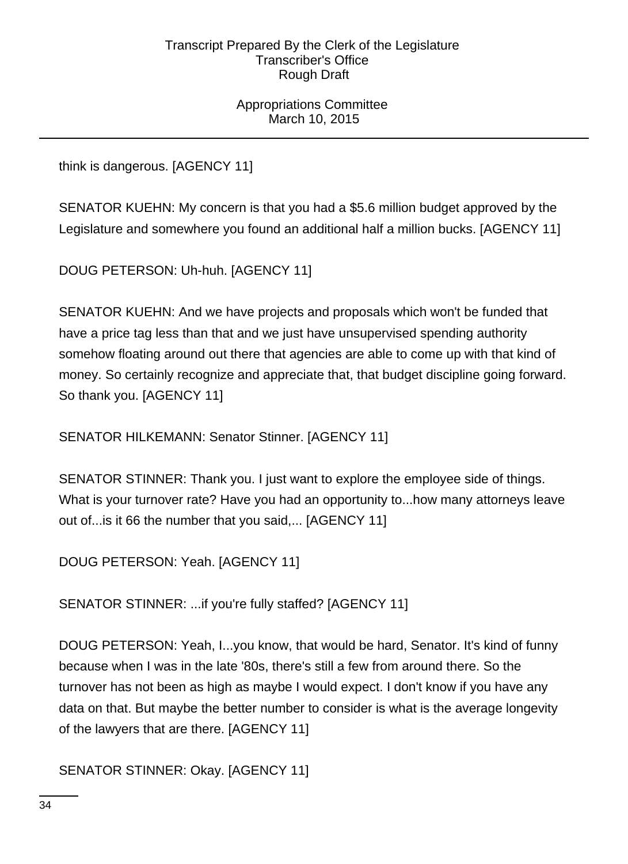Appropriations Committee March 10, 2015

think is dangerous. [AGENCY 11]

SENATOR KUEHN: My concern is that you had a \$5.6 million budget approved by the Legislature and somewhere you found an additional half a million bucks. [AGENCY 11]

DOUG PETERSON: Uh-huh. [AGENCY 11]

SENATOR KUEHN: And we have projects and proposals which won't be funded that have a price tag less than that and we just have unsupervised spending authority somehow floating around out there that agencies are able to come up with that kind of money. So certainly recognize and appreciate that, that budget discipline going forward. So thank you. [AGENCY 11]

SENATOR HILKEMANN: Senator Stinner. [AGENCY 11]

SENATOR STINNER: Thank you. I just want to explore the employee side of things. What is your turnover rate? Have you had an opportunity to...how many attorneys leave out of...is it 66 the number that you said,... [AGENCY 11]

DOUG PETERSON: Yeah. [AGENCY 11]

SENATOR STINNER: ...if you're fully staffed? [AGENCY 11]

DOUG PETERSON: Yeah, I...you know, that would be hard, Senator. It's kind of funny because when I was in the late '80s, there's still a few from around there. So the turnover has not been as high as maybe I would expect. I don't know if you have any data on that. But maybe the better number to consider is what is the average longevity of the lawyers that are there. [AGENCY 11]

SENATOR STINNER: Okay. [AGENCY 11]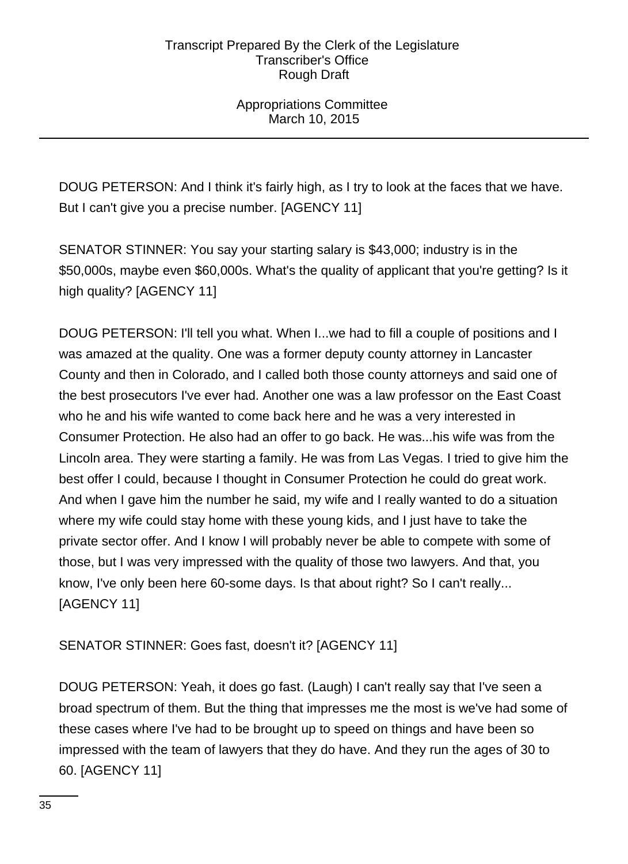Appropriations Committee March 10, 2015

DOUG PETERSON: And I think it's fairly high, as I try to look at the faces that we have. But I can't give you a precise number. [AGENCY 11]

SENATOR STINNER: You say your starting salary is \$43,000; industry is in the \$50,000s, maybe even \$60,000s. What's the quality of applicant that you're getting? Is it high quality? [AGENCY 11]

DOUG PETERSON: I'll tell you what. When I...we had to fill a couple of positions and I was amazed at the quality. One was a former deputy county attorney in Lancaster County and then in Colorado, and I called both those county attorneys and said one of the best prosecutors I've ever had. Another one was a law professor on the East Coast who he and his wife wanted to come back here and he was a very interested in Consumer Protection. He also had an offer to go back. He was...his wife was from the Lincoln area. They were starting a family. He was from Las Vegas. I tried to give him the best offer I could, because I thought in Consumer Protection he could do great work. And when I gave him the number he said, my wife and I really wanted to do a situation where my wife could stay home with these young kids, and I just have to take the private sector offer. And I know I will probably never be able to compete with some of those, but I was very impressed with the quality of those two lawyers. And that, you know, I've only been here 60-some days. Is that about right? So I can't really... [AGENCY 11]

SENATOR STINNER: Goes fast, doesn't it? [AGENCY 11]

DOUG PETERSON: Yeah, it does go fast. (Laugh) I can't really say that I've seen a broad spectrum of them. But the thing that impresses me the most is we've had some of these cases where I've had to be brought up to speed on things and have been so impressed with the team of lawyers that they do have. And they run the ages of 30 to 60. [AGENCY 11]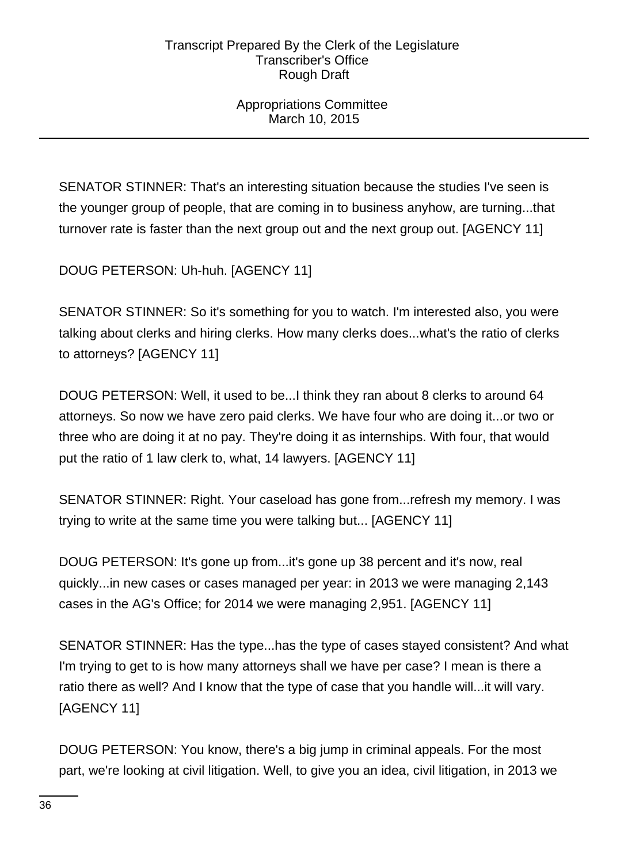Appropriations Committee March 10, 2015

SENATOR STINNER: That's an interesting situation because the studies I've seen is the younger group of people, that are coming in to business anyhow, are turning...that turnover rate is faster than the next group out and the next group out. [AGENCY 11]

DOUG PETERSON: Uh-huh. [AGENCY 11]

SENATOR STINNER: So it's something for you to watch. I'm interested also, you were talking about clerks and hiring clerks. How many clerks does...what's the ratio of clerks to attorneys? [AGENCY 11]

DOUG PETERSON: Well, it used to be...I think they ran about 8 clerks to around 64 attorneys. So now we have zero paid clerks. We have four who are doing it...or two or three who are doing it at no pay. They're doing it as internships. With four, that would put the ratio of 1 law clerk to, what, 14 lawyers. [AGENCY 11]

SENATOR STINNER: Right. Your caseload has gone from...refresh my memory. I was trying to write at the same time you were talking but... [AGENCY 11]

DOUG PETERSON: It's gone up from...it's gone up 38 percent and it's now, real quickly...in new cases or cases managed per year: in 2013 we were managing 2,143 cases in the AG's Office; for 2014 we were managing 2,951. [AGENCY 11]

SENATOR STINNER: Has the type...has the type of cases stayed consistent? And what I'm trying to get to is how many attorneys shall we have per case? I mean is there a ratio there as well? And I know that the type of case that you handle will...it will vary. [AGENCY 11]

DOUG PETERSON: You know, there's a big jump in criminal appeals. For the most part, we're looking at civil litigation. Well, to give you an idea, civil litigation, in 2013 we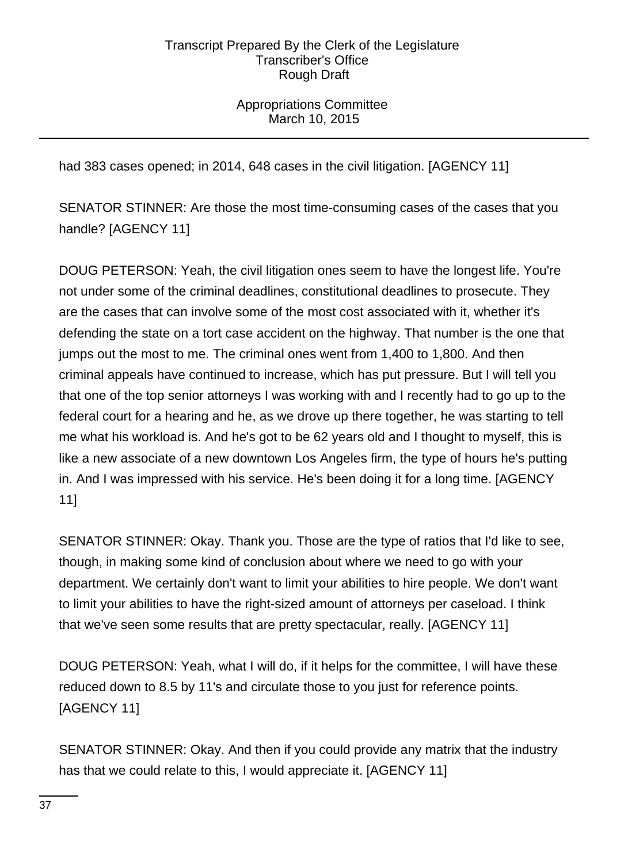# Appropriations Committee March 10, 2015

had 383 cases opened; in 2014, 648 cases in the civil litigation. [AGENCY 11]

SENATOR STINNER: Are those the most time-consuming cases of the cases that you handle? [AGENCY 11]

DOUG PETERSON: Yeah, the civil litigation ones seem to have the longest life. You're not under some of the criminal deadlines, constitutional deadlines to prosecute. They are the cases that can involve some of the most cost associated with it, whether it's defending the state on a tort case accident on the highway. That number is the one that jumps out the most to me. The criminal ones went from 1,400 to 1,800. And then criminal appeals have continued to increase, which has put pressure. But I will tell you that one of the top senior attorneys I was working with and I recently had to go up to the federal court for a hearing and he, as we drove up there together, he was starting to tell me what his workload is. And he's got to be 62 years old and I thought to myself, this is like a new associate of a new downtown Los Angeles firm, the type of hours he's putting in. And I was impressed with his service. He's been doing it for a long time. [AGENCY 11]

SENATOR STINNER: Okay. Thank you. Those are the type of ratios that I'd like to see, though, in making some kind of conclusion about where we need to go with your department. We certainly don't want to limit your abilities to hire people. We don't want to limit your abilities to have the right-sized amount of attorneys per caseload. I think that we've seen some results that are pretty spectacular, really. [AGENCY 11]

DOUG PETERSON: Yeah, what I will do, if it helps for the committee, I will have these reduced down to 8.5 by 11's and circulate those to you just for reference points. [AGENCY 11]

SENATOR STINNER: Okay. And then if you could provide any matrix that the industry has that we could relate to this, I would appreciate it. [AGENCY 11]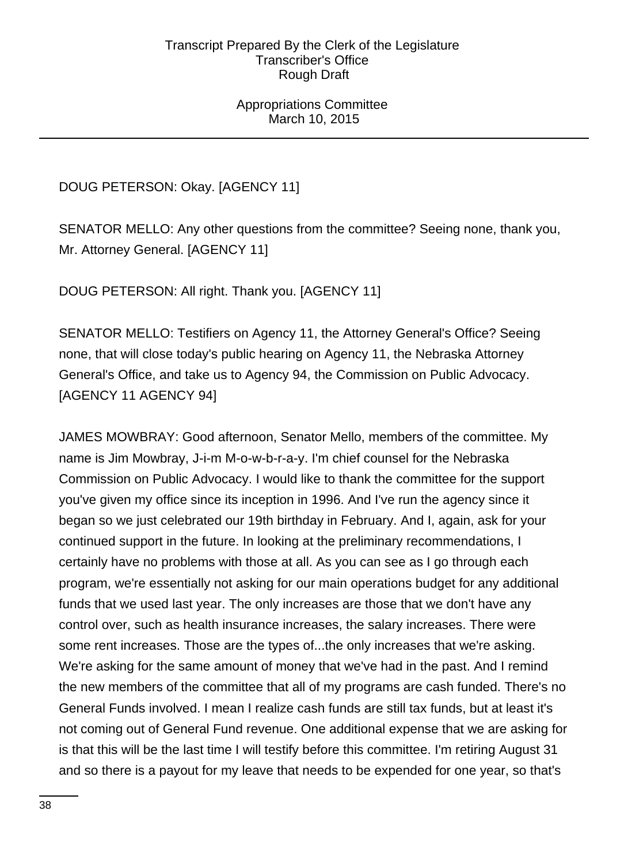Appropriations Committee March 10, 2015

DOUG PETERSON: Okay. [AGENCY 11]

SENATOR MELLO: Any other questions from the committee? Seeing none, thank you, Mr. Attorney General. [AGENCY 11]

DOUG PETERSON: All right. Thank you. [AGENCY 11]

SENATOR MELLO: Testifiers on Agency 11, the Attorney General's Office? Seeing none, that will close today's public hearing on Agency 11, the Nebraska Attorney General's Office, and take us to Agency 94, the Commission on Public Advocacy. [AGENCY 11 AGENCY 94]

JAMES MOWBRAY: Good afternoon, Senator Mello, members of the committee. My name is Jim Mowbray, J-i-m M-o-w-b-r-a-y. I'm chief counsel for the Nebraska Commission on Public Advocacy. I would like to thank the committee for the support you've given my office since its inception in 1996. And I've run the agency since it began so we just celebrated our 19th birthday in February. And I, again, ask for your continued support in the future. In looking at the preliminary recommendations, I certainly have no problems with those at all. As you can see as I go through each program, we're essentially not asking for our main operations budget for any additional funds that we used last year. The only increases are those that we don't have any control over, such as health insurance increases, the salary increases. There were some rent increases. Those are the types of...the only increases that we're asking. We're asking for the same amount of money that we've had in the past. And I remind the new members of the committee that all of my programs are cash funded. There's no General Funds involved. I mean I realize cash funds are still tax funds, but at least it's not coming out of General Fund revenue. One additional expense that we are asking for is that this will be the last time I will testify before this committee. I'm retiring August 31 and so there is a payout for my leave that needs to be expended for one year, so that's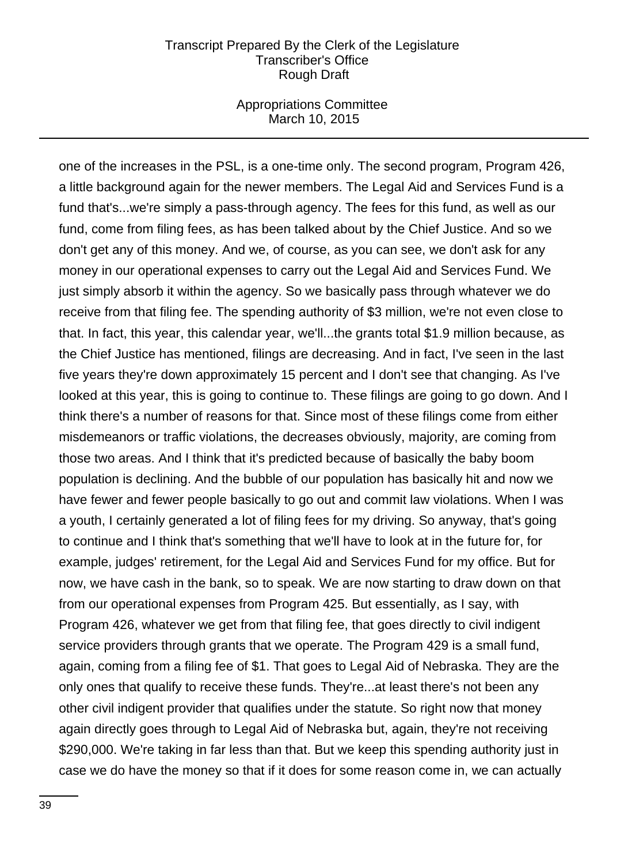### Appropriations Committee March 10, 2015

one of the increases in the PSL, is a one-time only. The second program, Program 426, a little background again for the newer members. The Legal Aid and Services Fund is a fund that's...we're simply a pass-through agency. The fees for this fund, as well as our fund, come from filing fees, as has been talked about by the Chief Justice. And so we don't get any of this money. And we, of course, as you can see, we don't ask for any money in our operational expenses to carry out the Legal Aid and Services Fund. We just simply absorb it within the agency. So we basically pass through whatever we do receive from that filing fee. The spending authority of \$3 million, we're not even close to that. In fact, this year, this calendar year, we'll...the grants total \$1.9 million because, as the Chief Justice has mentioned, filings are decreasing. And in fact, I've seen in the last five years they're down approximately 15 percent and I don't see that changing. As I've looked at this year, this is going to continue to. These filings are going to go down. And I think there's a number of reasons for that. Since most of these filings come from either misdemeanors or traffic violations, the decreases obviously, majority, are coming from those two areas. And I think that it's predicted because of basically the baby boom population is declining. And the bubble of our population has basically hit and now we have fewer and fewer people basically to go out and commit law violations. When I was a youth, I certainly generated a lot of filing fees for my driving. So anyway, that's going to continue and I think that's something that we'll have to look at in the future for, for example, judges' retirement, for the Legal Aid and Services Fund for my office. But for now, we have cash in the bank, so to speak. We are now starting to draw down on that from our operational expenses from Program 425. But essentially, as I say, with Program 426, whatever we get from that filing fee, that goes directly to civil indigent service providers through grants that we operate. The Program 429 is a small fund, again, coming from a filing fee of \$1. That goes to Legal Aid of Nebraska. They are the only ones that qualify to receive these funds. They're...at least there's not been any other civil indigent provider that qualifies under the statute. So right now that money again directly goes through to Legal Aid of Nebraska but, again, they're not receiving \$290,000. We're taking in far less than that. But we keep this spending authority just in case we do have the money so that if it does for some reason come in, we can actually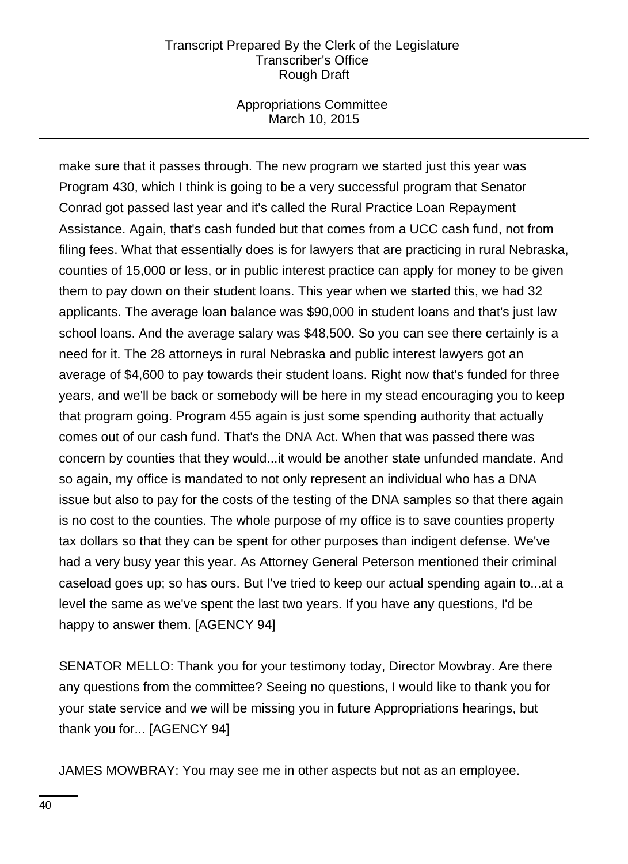### Appropriations Committee March 10, 2015

make sure that it passes through. The new program we started just this year was Program 430, which I think is going to be a very successful program that Senator Conrad got passed last year and it's called the Rural Practice Loan Repayment Assistance. Again, that's cash funded but that comes from a UCC cash fund, not from filing fees. What that essentially does is for lawyers that are practicing in rural Nebraska, counties of 15,000 or less, or in public interest practice can apply for money to be given them to pay down on their student loans. This year when we started this, we had 32 applicants. The average loan balance was \$90,000 in student loans and that's just law school loans. And the average salary was \$48,500. So you can see there certainly is a need for it. The 28 attorneys in rural Nebraska and public interest lawyers got an average of \$4,600 to pay towards their student loans. Right now that's funded for three years, and we'll be back or somebody will be here in my stead encouraging you to keep that program going. Program 455 again is just some spending authority that actually comes out of our cash fund. That's the DNA Act. When that was passed there was concern by counties that they would...it would be another state unfunded mandate. And so again, my office is mandated to not only represent an individual who has a DNA issue but also to pay for the costs of the testing of the DNA samples so that there again is no cost to the counties. The whole purpose of my office is to save counties property tax dollars so that they can be spent for other purposes than indigent defense. We've had a very busy year this year. As Attorney General Peterson mentioned their criminal caseload goes up; so has ours. But I've tried to keep our actual spending again to...at a level the same as we've spent the last two years. If you have any questions, I'd be happy to answer them. [AGENCY 94]

SENATOR MELLO: Thank you for your testimony today, Director Mowbray. Are there any questions from the committee? Seeing no questions, I would like to thank you for your state service and we will be missing you in future Appropriations hearings, but thank you for... [AGENCY 94]

JAMES MOWBRAY: You may see me in other aspects but not as an employee.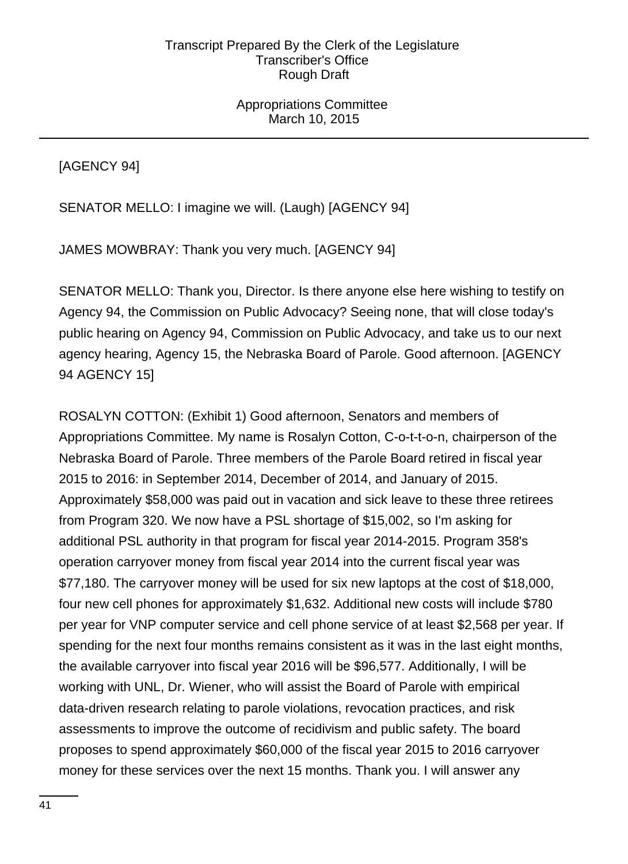[AGENCY 94]

SENATOR MELLO: I imagine we will. (Laugh) [AGENCY 94]

JAMES MOWBRAY: Thank you very much. [AGENCY 94]

SENATOR MELLO: Thank you, Director. Is there anyone else here wishing to testify on Agency 94, the Commission on Public Advocacy? Seeing none, that will close today's public hearing on Agency 94, Commission on Public Advocacy, and take us to our next agency hearing, Agency 15, the Nebraska Board of Parole. Good afternoon. [AGENCY 94 AGENCY 15]

ROSALYN COTTON: (Exhibit 1) Good afternoon, Senators and members of Appropriations Committee. My name is Rosalyn Cotton, C-o-t-t-o-n, chairperson of the Nebraska Board of Parole. Three members of the Parole Board retired in fiscal year 2015 to 2016: in September 2014, December of 2014, and January of 2015. Approximately \$58,000 was paid out in vacation and sick leave to these three retirees from Program 320. We now have a PSL shortage of \$15,002, so I'm asking for additional PSL authority in that program for fiscal year 2014-2015. Program 358's operation carryover money from fiscal year 2014 into the current fiscal year was \$77,180. The carryover money will be used for six new laptops at the cost of \$18,000, four new cell phones for approximately \$1,632. Additional new costs will include \$780 per year for VNP computer service and cell phone service of at least \$2,568 per year. If spending for the next four months remains consistent as it was in the last eight months, the available carryover into fiscal year 2016 will be \$96,577. Additionally, I will be working with UNL, Dr. Wiener, who will assist the Board of Parole with empirical data-driven research relating to parole violations, revocation practices, and risk assessments to improve the outcome of recidivism and public safety. The board proposes to spend approximately \$60,000 of the fiscal year 2015 to 2016 carryover money for these services over the next 15 months. Thank you. I will answer any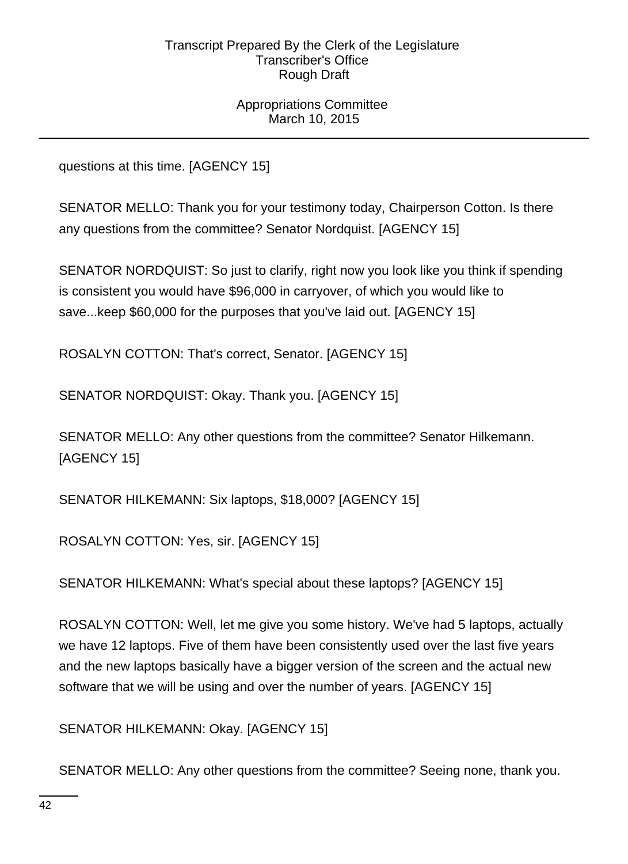Appropriations Committee March 10, 2015

questions at this time. [AGENCY 15]

SENATOR MELLO: Thank you for your testimony today, Chairperson Cotton. Is there any questions from the committee? Senator Nordquist. [AGENCY 15]

SENATOR NORDQUIST: So just to clarify, right now you look like you think if spending is consistent you would have \$96,000 in carryover, of which you would like to save...keep \$60,000 for the purposes that you've laid out. [AGENCY 15]

ROSALYN COTTON: That's correct, Senator. [AGENCY 15]

SENATOR NORDQUIST: Okay. Thank you. [AGENCY 15]

SENATOR MELLO: Any other questions from the committee? Senator Hilkemann. [AGENCY 15]

SENATOR HILKEMANN: Six laptops, \$18,000? [AGENCY 15]

ROSALYN COTTON: Yes, sir. [AGENCY 15]

SENATOR HILKEMANN: What's special about these laptops? [AGENCY 15]

ROSALYN COTTON: Well, let me give you some history. We've had 5 laptops, actually we have 12 laptops. Five of them have been consistently used over the last five years and the new laptops basically have a bigger version of the screen and the actual new software that we will be using and over the number of years. [AGENCY 15]

SENATOR HILKEMANN: Okay. [AGENCY 15]

SENATOR MELLO: Any other questions from the committee? Seeing none, thank you.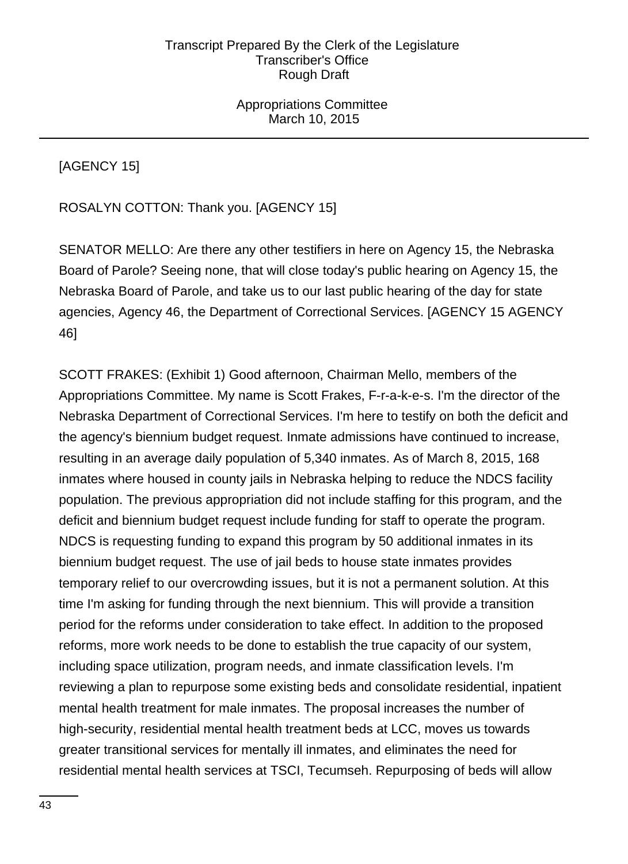Appropriations Committee March 10, 2015

[AGENCY 15]

ROSALYN COTTON: Thank you. [AGENCY 15]

SENATOR MELLO: Are there any other testifiers in here on Agency 15, the Nebraska Board of Parole? Seeing none, that will close today's public hearing on Agency 15, the Nebraska Board of Parole, and take us to our last public hearing of the day for state agencies, Agency 46, the Department of Correctional Services. [AGENCY 15 AGENCY 46]

SCOTT FRAKES: (Exhibit 1) Good afternoon, Chairman Mello, members of the Appropriations Committee. My name is Scott Frakes, F-r-a-k-e-s. I'm the director of the Nebraska Department of Correctional Services. I'm here to testify on both the deficit and the agency's biennium budget request. Inmate admissions have continued to increase, resulting in an average daily population of 5,340 inmates. As of March 8, 2015, 168 inmates where housed in county jails in Nebraska helping to reduce the NDCS facility population. The previous appropriation did not include staffing for this program, and the deficit and biennium budget request include funding for staff to operate the program. NDCS is requesting funding to expand this program by 50 additional inmates in its biennium budget request. The use of jail beds to house state inmates provides temporary relief to our overcrowding issues, but it is not a permanent solution. At this time I'm asking for funding through the next biennium. This will provide a transition period for the reforms under consideration to take effect. In addition to the proposed reforms, more work needs to be done to establish the true capacity of our system, including space utilization, program needs, and inmate classification levels. I'm reviewing a plan to repurpose some existing beds and consolidate residential, inpatient mental health treatment for male inmates. The proposal increases the number of high-security, residential mental health treatment beds at LCC, moves us towards greater transitional services for mentally ill inmates, and eliminates the need for residential mental health services at TSCI, Tecumseh. Repurposing of beds will allow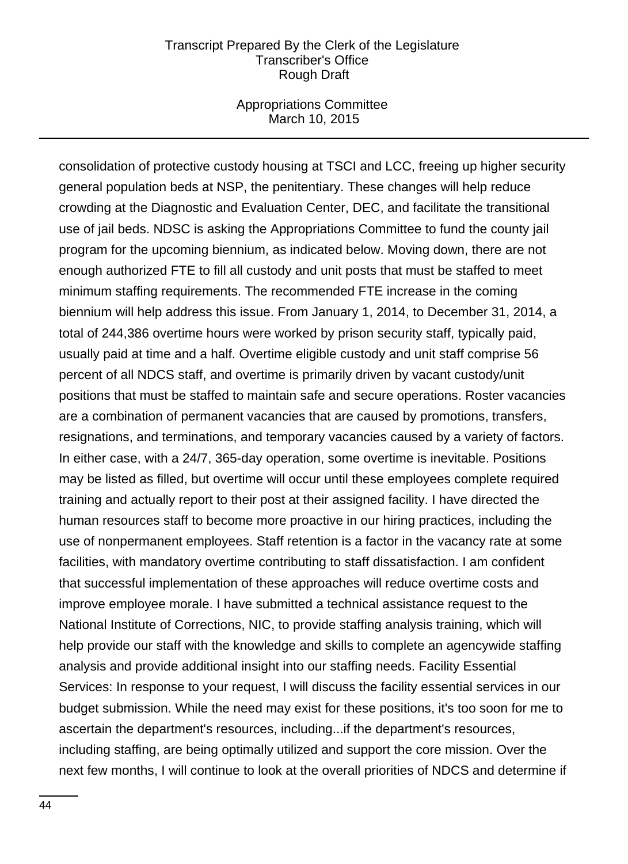### Appropriations Committee March 10, 2015

consolidation of protective custody housing at TSCI and LCC, freeing up higher security general population beds at NSP, the penitentiary. These changes will help reduce crowding at the Diagnostic and Evaluation Center, DEC, and facilitate the transitional use of jail beds. NDSC is asking the Appropriations Committee to fund the county jail program for the upcoming biennium, as indicated below. Moving down, there are not enough authorized FTE to fill all custody and unit posts that must be staffed to meet minimum staffing requirements. The recommended FTE increase in the coming biennium will help address this issue. From January 1, 2014, to December 31, 2014, a total of 244,386 overtime hours were worked by prison security staff, typically paid, usually paid at time and a half. Overtime eligible custody and unit staff comprise 56 percent of all NDCS staff, and overtime is primarily driven by vacant custody/unit positions that must be staffed to maintain safe and secure operations. Roster vacancies are a combination of permanent vacancies that are caused by promotions, transfers, resignations, and terminations, and temporary vacancies caused by a variety of factors. In either case, with a 24/7, 365-day operation, some overtime is inevitable. Positions may be listed as filled, but overtime will occur until these employees complete required training and actually report to their post at their assigned facility. I have directed the human resources staff to become more proactive in our hiring practices, including the use of nonpermanent employees. Staff retention is a factor in the vacancy rate at some facilities, with mandatory overtime contributing to staff dissatisfaction. I am confident that successful implementation of these approaches will reduce overtime costs and improve employee morale. I have submitted a technical assistance request to the National Institute of Corrections, NIC, to provide staffing analysis training, which will help provide our staff with the knowledge and skills to complete an agencywide staffing analysis and provide additional insight into our staffing needs. Facility Essential Services: In response to your request, I will discuss the facility essential services in our budget submission. While the need may exist for these positions, it's too soon for me to ascertain the department's resources, including...if the department's resources, including staffing, are being optimally utilized and support the core mission. Over the next few months, I will continue to look at the overall priorities of NDCS and determine if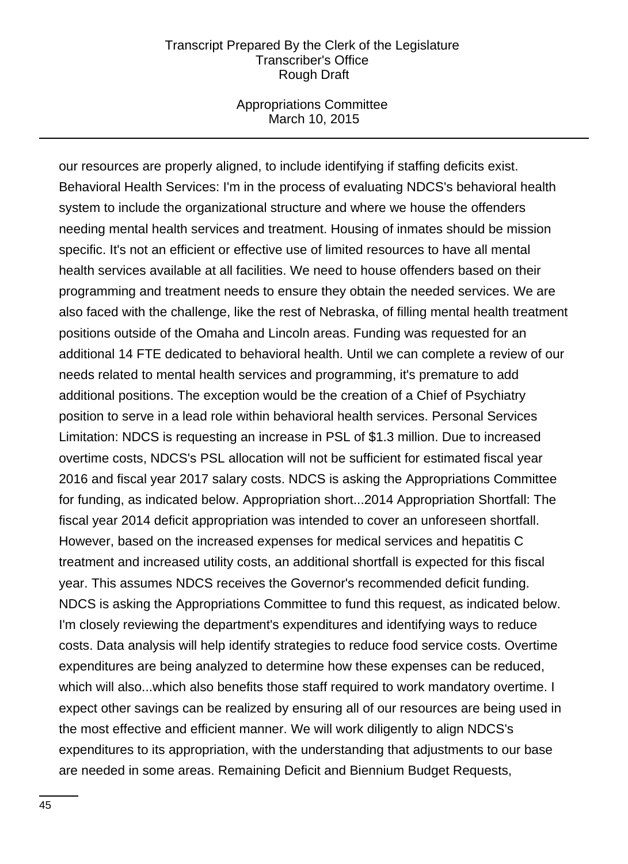### Appropriations Committee March 10, 2015

our resources are properly aligned, to include identifying if staffing deficits exist. Behavioral Health Services: I'm in the process of evaluating NDCS's behavioral health system to include the organizational structure and where we house the offenders needing mental health services and treatment. Housing of inmates should be mission specific. It's not an efficient or effective use of limited resources to have all mental health services available at all facilities. We need to house offenders based on their programming and treatment needs to ensure they obtain the needed services. We are also faced with the challenge, like the rest of Nebraska, of filling mental health treatment positions outside of the Omaha and Lincoln areas. Funding was requested for an additional 14 FTE dedicated to behavioral health. Until we can complete a review of our needs related to mental health services and programming, it's premature to add additional positions. The exception would be the creation of a Chief of Psychiatry position to serve in a lead role within behavioral health services. Personal Services Limitation: NDCS is requesting an increase in PSL of \$1.3 million. Due to increased overtime costs, NDCS's PSL allocation will not be sufficient for estimated fiscal year 2016 and fiscal year 2017 salary costs. NDCS is asking the Appropriations Committee for funding, as indicated below. Appropriation short...2014 Appropriation Shortfall: The fiscal year 2014 deficit appropriation was intended to cover an unforeseen shortfall. However, based on the increased expenses for medical services and hepatitis C treatment and increased utility costs, an additional shortfall is expected for this fiscal year. This assumes NDCS receives the Governor's recommended deficit funding. NDCS is asking the Appropriations Committee to fund this request, as indicated below. I'm closely reviewing the department's expenditures and identifying ways to reduce costs. Data analysis will help identify strategies to reduce food service costs. Overtime expenditures are being analyzed to determine how these expenses can be reduced, which will also...which also benefits those staff required to work mandatory overtime. I expect other savings can be realized by ensuring all of our resources are being used in the most effective and efficient manner. We will work diligently to align NDCS's expenditures to its appropriation, with the understanding that adjustments to our base are needed in some areas. Remaining Deficit and Biennium Budget Requests,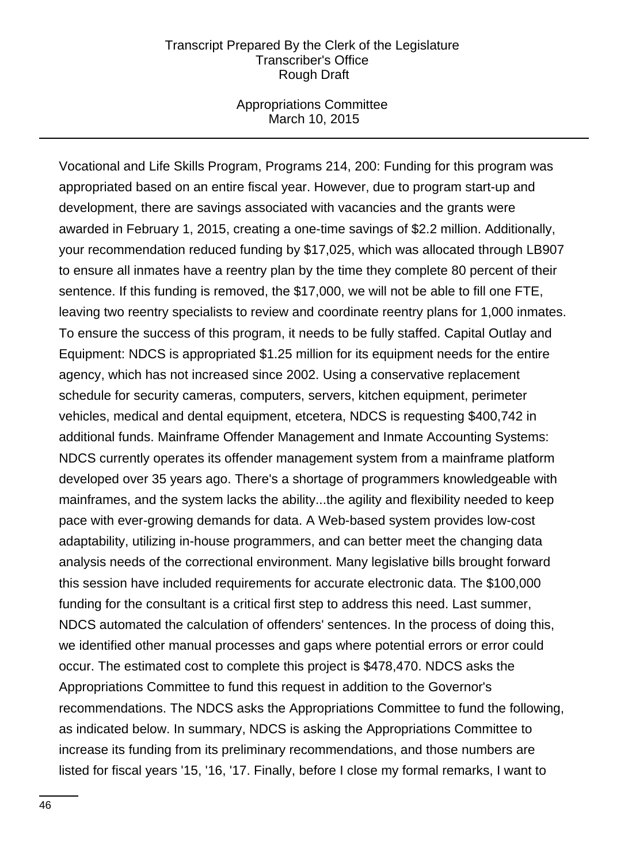### Appropriations Committee March 10, 2015

Vocational and Life Skills Program, Programs 214, 200: Funding for this program was appropriated based on an entire fiscal year. However, due to program start-up and development, there are savings associated with vacancies and the grants were awarded in February 1, 2015, creating a one-time savings of \$2.2 million. Additionally, your recommendation reduced funding by \$17,025, which was allocated through LB907 to ensure all inmates have a reentry plan by the time they complete 80 percent of their sentence. If this funding is removed, the \$17,000, we will not be able to fill one FTE, leaving two reentry specialists to review and coordinate reentry plans for 1,000 inmates. To ensure the success of this program, it needs to be fully staffed. Capital Outlay and Equipment: NDCS is appropriated \$1.25 million for its equipment needs for the entire agency, which has not increased since 2002. Using a conservative replacement schedule for security cameras, computers, servers, kitchen equipment, perimeter vehicles, medical and dental equipment, etcetera, NDCS is requesting \$400,742 in additional funds. Mainframe Offender Management and Inmate Accounting Systems: NDCS currently operates its offender management system from a mainframe platform developed over 35 years ago. There's a shortage of programmers knowledgeable with mainframes, and the system lacks the ability...the agility and flexibility needed to keep pace with ever-growing demands for data. A Web-based system provides low-cost adaptability, utilizing in-house programmers, and can better meet the changing data analysis needs of the correctional environment. Many legislative bills brought forward this session have included requirements for accurate electronic data. The \$100,000 funding for the consultant is a critical first step to address this need. Last summer, NDCS automated the calculation of offenders' sentences. In the process of doing this, we identified other manual processes and gaps where potential errors or error could occur. The estimated cost to complete this project is \$478,470. NDCS asks the Appropriations Committee to fund this request in addition to the Governor's recommendations. The NDCS asks the Appropriations Committee to fund the following, as indicated below. In summary, NDCS is asking the Appropriations Committee to increase its funding from its preliminary recommendations, and those numbers are listed for fiscal years '15, '16, '17. Finally, before I close my formal remarks, I want to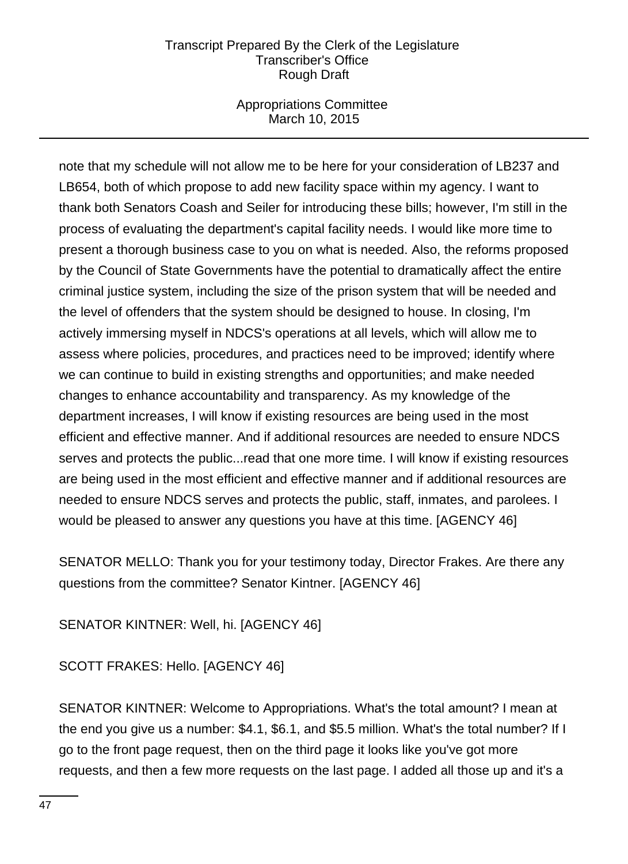## Appropriations Committee March 10, 2015

note that my schedule will not allow me to be here for your consideration of LB237 and LB654, both of which propose to add new facility space within my agency. I want to thank both Senators Coash and Seiler for introducing these bills; however, I'm still in the process of evaluating the department's capital facility needs. I would like more time to present a thorough business case to you on what is needed. Also, the reforms proposed by the Council of State Governments have the potential to dramatically affect the entire criminal justice system, including the size of the prison system that will be needed and the level of offenders that the system should be designed to house. In closing, I'm actively immersing myself in NDCS's operations at all levels, which will allow me to assess where policies, procedures, and practices need to be improved; identify where we can continue to build in existing strengths and opportunities; and make needed changes to enhance accountability and transparency. As my knowledge of the department increases, I will know if existing resources are being used in the most efficient and effective manner. And if additional resources are needed to ensure NDCS serves and protects the public...read that one more time. I will know if existing resources are being used in the most efficient and effective manner and if additional resources are needed to ensure NDCS serves and protects the public, staff, inmates, and parolees. I would be pleased to answer any questions you have at this time. [AGENCY 46]

SENATOR MELLO: Thank you for your testimony today, Director Frakes. Are there any questions from the committee? Senator Kintner. [AGENCY 46]

SENATOR KINTNER: Well, hi. [AGENCY 46]

SCOTT FRAKES: Hello. [AGENCY 46]

SENATOR KINTNER: Welcome to Appropriations. What's the total amount? I mean at the end you give us a number: \$4.1, \$6.1, and \$5.5 million. What's the total number? If I go to the front page request, then on the third page it looks like you've got more requests, and then a few more requests on the last page. I added all those up and it's a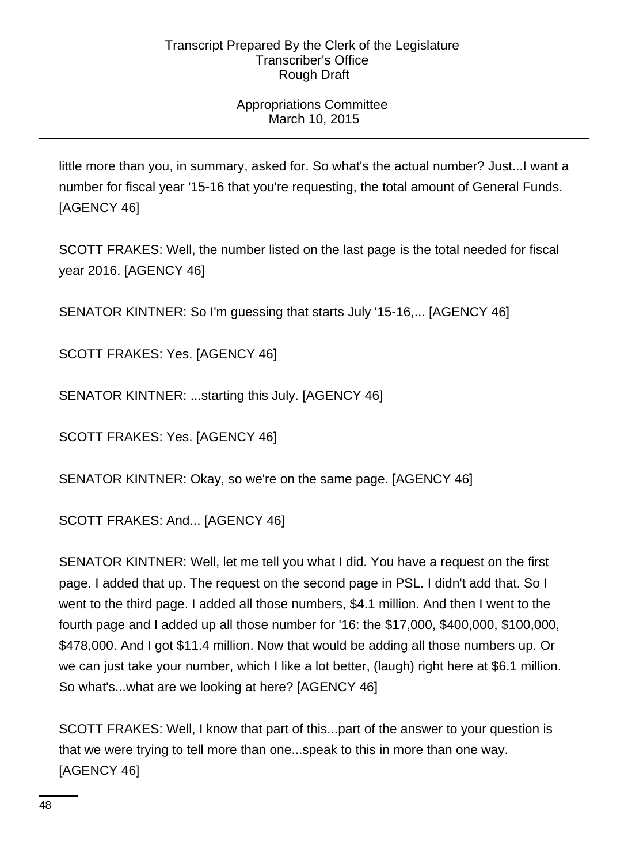# Appropriations Committee March 10, 2015

little more than you, in summary, asked for. So what's the actual number? Just...I want a number for fiscal year '15-16 that you're requesting, the total amount of General Funds. [AGENCY 46]

SCOTT FRAKES: Well, the number listed on the last page is the total needed for fiscal year 2016. [AGENCY 46]

SENATOR KINTNER: So I'm guessing that starts July '15-16,... [AGENCY 46]

SCOTT FRAKES: Yes. [AGENCY 46]

SENATOR KINTNER: ...starting this July. [AGENCY 46]

SCOTT FRAKES: Yes. [AGENCY 46]

SENATOR KINTNER: Okay, so we're on the same page. [AGENCY 46]

SCOTT FRAKES: And... [AGENCY 46]

SENATOR KINTNER: Well, let me tell you what I did. You have a request on the first page. I added that up. The request on the second page in PSL. I didn't add that. So I went to the third page. I added all those numbers, \$4.1 million. And then I went to the fourth page and I added up all those number for '16: the \$17,000, \$400,000, \$100,000, \$478,000. And I got \$11.4 million. Now that would be adding all those numbers up. Or we can just take your number, which I like a lot better, (laugh) right here at \$6.1 million. So what's...what are we looking at here? [AGENCY 46]

SCOTT FRAKES: Well, I know that part of this...part of the answer to your question is that we were trying to tell more than one...speak to this in more than one way. [AGENCY 46]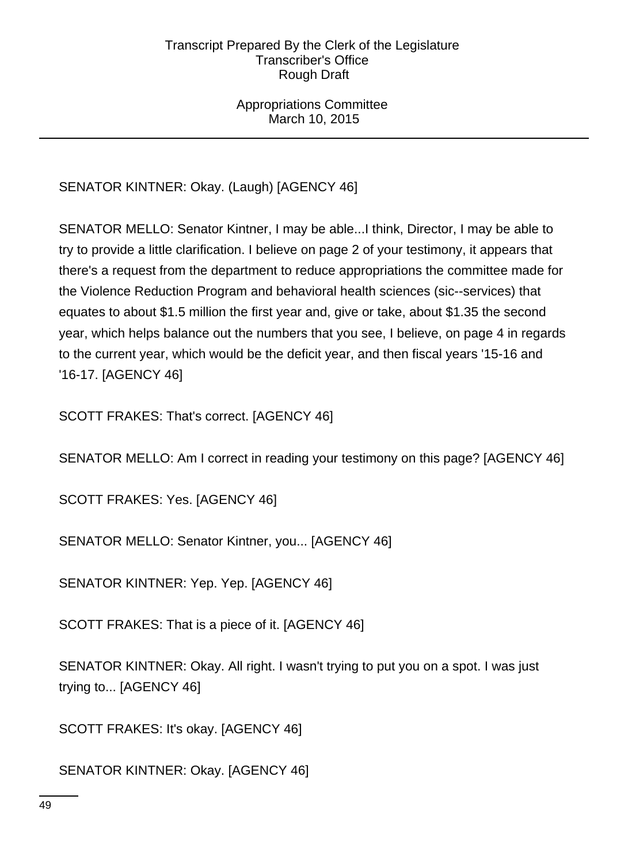# Appropriations Committee March 10, 2015

# SENATOR KINTNER: Okay. (Laugh) [AGENCY 46]

SENATOR MELLO: Senator Kintner, I may be able...I think, Director, I may be able to try to provide a little clarification. I believe on page 2 of your testimony, it appears that there's a request from the department to reduce appropriations the committee made for the Violence Reduction Program and behavioral health sciences (sic--services) that equates to about \$1.5 million the first year and, give or take, about \$1.35 the second year, which helps balance out the numbers that you see, I believe, on page 4 in regards to the current year, which would be the deficit year, and then fiscal years '15-16 and '16-17. [AGENCY 46]

SCOTT FRAKES: That's correct. [AGENCY 46]

SENATOR MELLO: Am I correct in reading your testimony on this page? [AGENCY 46]

SCOTT FRAKES: Yes. [AGENCY 46]

SENATOR MELLO: Senator Kintner, you... [AGENCY 46]

SENATOR KINTNER: Yep. Yep. [AGENCY 46]

SCOTT FRAKES: That is a piece of it. [AGENCY 46]

SENATOR KINTNER: Okay. All right. I wasn't trying to put you on a spot. I was just trying to... [AGENCY 46]

SCOTT FRAKES: It's okay. [AGENCY 46]

SENATOR KINTNER: Okay. [AGENCY 46]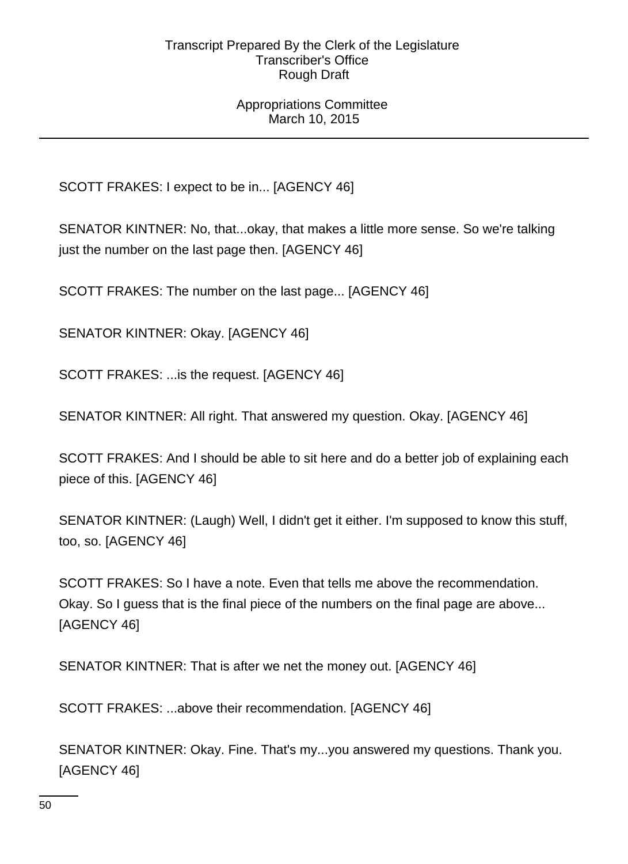### Appropriations Committee March 10, 2015

SCOTT FRAKES: I expect to be in... [AGENCY 46]

SENATOR KINTNER: No, that...okay, that makes a little more sense. So we're talking just the number on the last page then. [AGENCY 46]

SCOTT FRAKES: The number on the last page... [AGENCY 46]

SENATOR KINTNER: Okay. [AGENCY 46]

SCOTT FRAKES: ...is the request. [AGENCY 46]

SENATOR KINTNER: All right. That answered my question. Okay. [AGENCY 46]

SCOTT FRAKES: And I should be able to sit here and do a better job of explaining each piece of this. [AGENCY 46]

SENATOR KINTNER: (Laugh) Well, I didn't get it either. I'm supposed to know this stuff, too, so. [AGENCY 46]

SCOTT FRAKES: So I have a note. Even that tells me above the recommendation. Okay. So I guess that is the final piece of the numbers on the final page are above... [AGENCY 46]

SENATOR KINTNER: That is after we net the money out. [AGENCY 46]

SCOTT FRAKES: ...above their recommendation. [AGENCY 46]

SENATOR KINTNER: Okay. Fine. That's my...you answered my questions. Thank you. [AGENCY 46]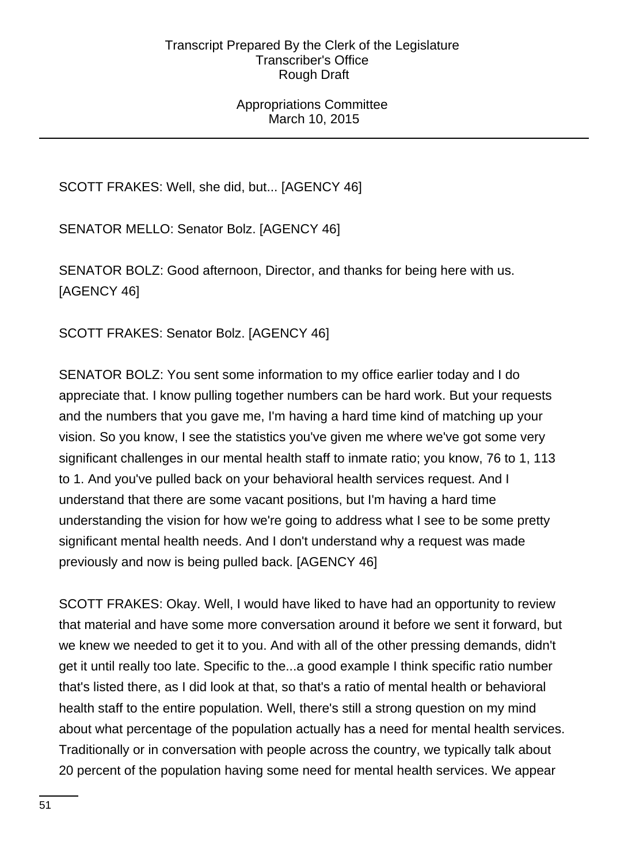### Appropriations Committee March 10, 2015

SCOTT FRAKES: Well, she did, but... [AGENCY 46]

SENATOR MELLO: Senator Bolz. [AGENCY 46]

SENATOR BOLZ: Good afternoon, Director, and thanks for being here with us. [AGENCY 46]

SCOTT FRAKES: Senator Bolz. [AGENCY 46]

SENATOR BOLZ: You sent some information to my office earlier today and I do appreciate that. I know pulling together numbers can be hard work. But your requests and the numbers that you gave me, I'm having a hard time kind of matching up your vision. So you know, I see the statistics you've given me where we've got some very significant challenges in our mental health staff to inmate ratio; you know, 76 to 1, 113 to 1. And you've pulled back on your behavioral health services request. And I understand that there are some vacant positions, but I'm having a hard time understanding the vision for how we're going to address what I see to be some pretty significant mental health needs. And I don't understand why a request was made previously and now is being pulled back. [AGENCY 46]

SCOTT FRAKES: Okay. Well, I would have liked to have had an opportunity to review that material and have some more conversation around it before we sent it forward, but we knew we needed to get it to you. And with all of the other pressing demands, didn't get it until really too late. Specific to the...a good example I think specific ratio number that's listed there, as I did look at that, so that's a ratio of mental health or behavioral health staff to the entire population. Well, there's still a strong question on my mind about what percentage of the population actually has a need for mental health services. Traditionally or in conversation with people across the country, we typically talk about 20 percent of the population having some need for mental health services. We appear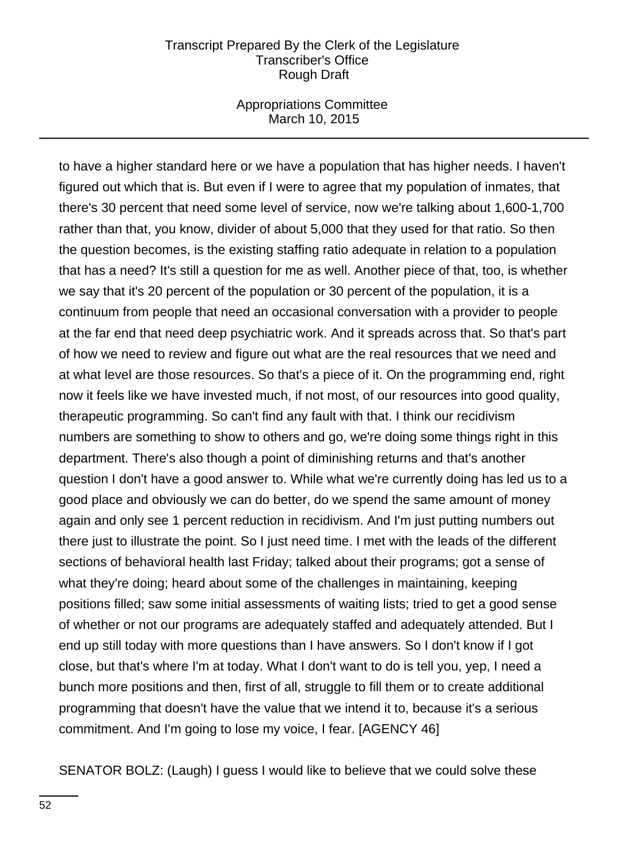### Appropriations Committee March 10, 2015

to have a higher standard here or we have a population that has higher needs. I haven't figured out which that is. But even if I were to agree that my population of inmates, that there's 30 percent that need some level of service, now we're talking about 1,600-1,700 rather than that, you know, divider of about 5,000 that they used for that ratio. So then the question becomes, is the existing staffing ratio adequate in relation to a population that has a need? It's still a question for me as well. Another piece of that, too, is whether we say that it's 20 percent of the population or 30 percent of the population, it is a continuum from people that need an occasional conversation with a provider to people at the far end that need deep psychiatric work. And it spreads across that. So that's part of how we need to review and figure out what are the real resources that we need and at what level are those resources. So that's a piece of it. On the programming end, right now it feels like we have invested much, if not most, of our resources into good quality, therapeutic programming. So can't find any fault with that. I think our recidivism numbers are something to show to others and go, we're doing some things right in this department. There's also though a point of diminishing returns and that's another question I don't have a good answer to. While what we're currently doing has led us to a good place and obviously we can do better, do we spend the same amount of money again and only see 1 percent reduction in recidivism. And I'm just putting numbers out there just to illustrate the point. So I just need time. I met with the leads of the different sections of behavioral health last Friday; talked about their programs; got a sense of what they're doing; heard about some of the challenges in maintaining, keeping positions filled; saw some initial assessments of waiting lists; tried to get a good sense of whether or not our programs are adequately staffed and adequately attended. But I end up still today with more questions than I have answers. So I don't know if I got close, but that's where I'm at today. What I don't want to do is tell you, yep, I need a bunch more positions and then, first of all, struggle to fill them or to create additional programming that doesn't have the value that we intend it to, because it's a serious commitment. And I'm going to lose my voice, I fear. [AGENCY 46]

SENATOR BOLZ: (Laugh) I guess I would like to believe that we could solve these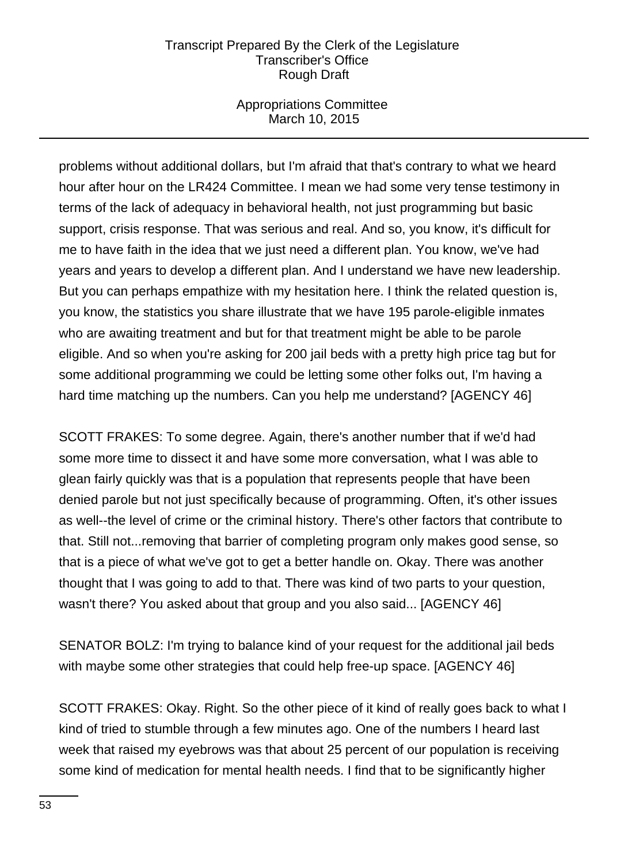# Appropriations Committee March 10, 2015

problems without additional dollars, but I'm afraid that that's contrary to what we heard hour after hour on the LR424 Committee. I mean we had some very tense testimony in terms of the lack of adequacy in behavioral health, not just programming but basic support, crisis response. That was serious and real. And so, you know, it's difficult for me to have faith in the idea that we just need a different plan. You know, we've had years and years to develop a different plan. And I understand we have new leadership. But you can perhaps empathize with my hesitation here. I think the related question is, you know, the statistics you share illustrate that we have 195 parole-eligible inmates who are awaiting treatment and but for that treatment might be able to be parole eligible. And so when you're asking for 200 jail beds with a pretty high price tag but for some additional programming we could be letting some other folks out, I'm having a hard time matching up the numbers. Can you help me understand? [AGENCY 46]

SCOTT FRAKES: To some degree. Again, there's another number that if we'd had some more time to dissect it and have some more conversation, what I was able to glean fairly quickly was that is a population that represents people that have been denied parole but not just specifically because of programming. Often, it's other issues as well--the level of crime or the criminal history. There's other factors that contribute to that. Still not...removing that barrier of completing program only makes good sense, so that is a piece of what we've got to get a better handle on. Okay. There was another thought that I was going to add to that. There was kind of two parts to your question, wasn't there? You asked about that group and you also said... [AGENCY 46]

SENATOR BOLZ: I'm trying to balance kind of your request for the additional jail beds with maybe some other strategies that could help free-up space. [AGENCY 46]

SCOTT FRAKES: Okay. Right. So the other piece of it kind of really goes back to what I kind of tried to stumble through a few minutes ago. One of the numbers I heard last week that raised my eyebrows was that about 25 percent of our population is receiving some kind of medication for mental health needs. I find that to be significantly higher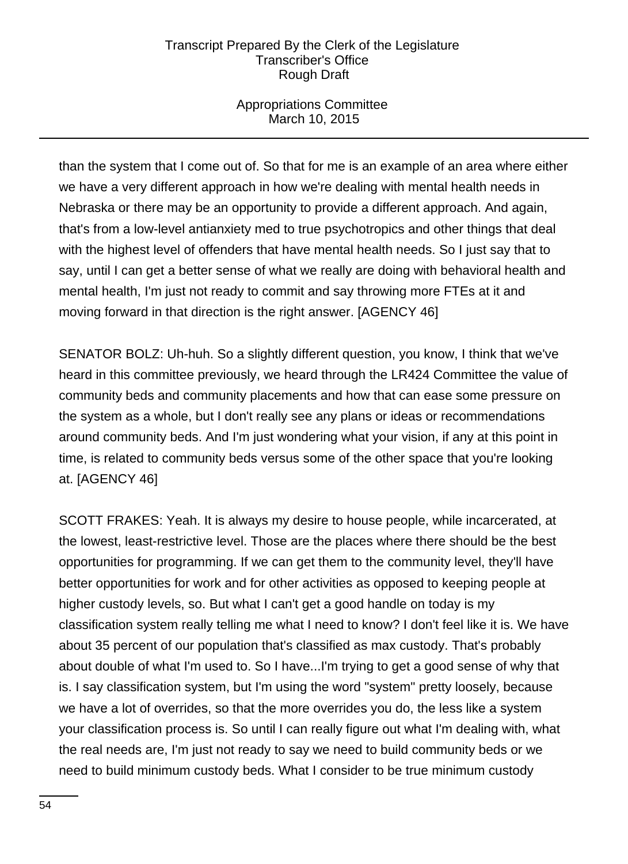# Appropriations Committee March 10, 2015

than the system that I come out of. So that for me is an example of an area where either we have a very different approach in how we're dealing with mental health needs in Nebraska or there may be an opportunity to provide a different approach. And again, that's from a low-level antianxiety med to true psychotropics and other things that deal with the highest level of offenders that have mental health needs. So I just say that to say, until I can get a better sense of what we really are doing with behavioral health and mental health, I'm just not ready to commit and say throwing more FTEs at it and moving forward in that direction is the right answer. [AGENCY 46]

SENATOR BOLZ: Uh-huh. So a slightly different question, you know, I think that we've heard in this committee previously, we heard through the LR424 Committee the value of community beds and community placements and how that can ease some pressure on the system as a whole, but I don't really see any plans or ideas or recommendations around community beds. And I'm just wondering what your vision, if any at this point in time, is related to community beds versus some of the other space that you're looking at. [AGENCY 46]

SCOTT FRAKES: Yeah. It is always my desire to house people, while incarcerated, at the lowest, least-restrictive level. Those are the places where there should be the best opportunities for programming. If we can get them to the community level, they'll have better opportunities for work and for other activities as opposed to keeping people at higher custody levels, so. But what I can't get a good handle on today is my classification system really telling me what I need to know? I don't feel like it is. We have about 35 percent of our population that's classified as max custody. That's probably about double of what I'm used to. So I have...I'm trying to get a good sense of why that is. I say classification system, but I'm using the word "system" pretty loosely, because we have a lot of overrides, so that the more overrides you do, the less like a system your classification process is. So until I can really figure out what I'm dealing with, what the real needs are, I'm just not ready to say we need to build community beds or we need to build minimum custody beds. What I consider to be true minimum custody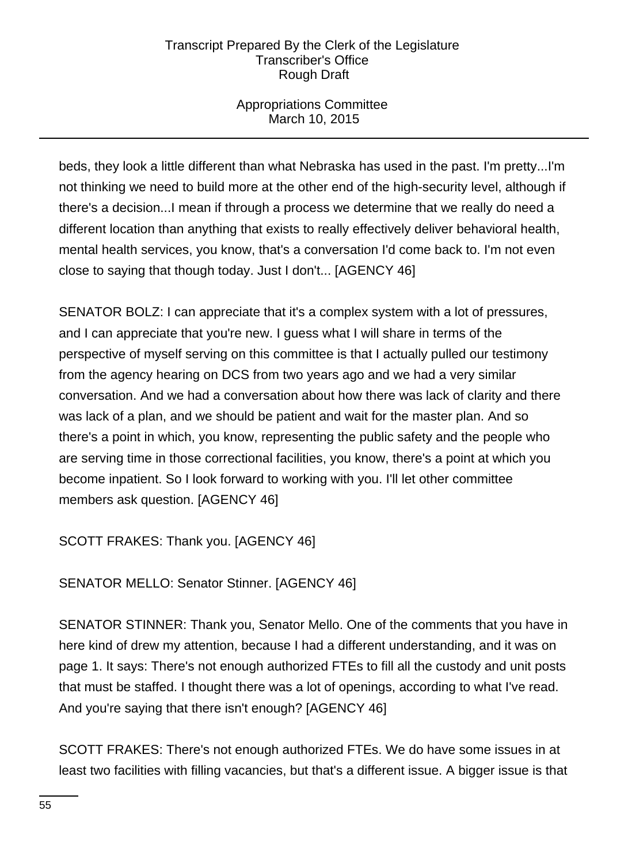# Appropriations Committee March 10, 2015

beds, they look a little different than what Nebraska has used in the past. I'm pretty...I'm not thinking we need to build more at the other end of the high-security level, although if there's a decision...I mean if through a process we determine that we really do need a different location than anything that exists to really effectively deliver behavioral health, mental health services, you know, that's a conversation I'd come back to. I'm not even close to saying that though today. Just I don't... [AGENCY 46]

SENATOR BOLZ: I can appreciate that it's a complex system with a lot of pressures, and I can appreciate that you're new. I guess what I will share in terms of the perspective of myself serving on this committee is that I actually pulled our testimony from the agency hearing on DCS from two years ago and we had a very similar conversation. And we had a conversation about how there was lack of clarity and there was lack of a plan, and we should be patient and wait for the master plan. And so there's a point in which, you know, representing the public safety and the people who are serving time in those correctional facilities, you know, there's a point at which you become inpatient. So I look forward to working with you. I'll let other committee members ask question. [AGENCY 46]

SCOTT FRAKES: Thank you. [AGENCY 46]

SENATOR MELLO: Senator Stinner. [AGENCY 46]

SENATOR STINNER: Thank you, Senator Mello. One of the comments that you have in here kind of drew my attention, because I had a different understanding, and it was on page 1. It says: There's not enough authorized FTEs to fill all the custody and unit posts that must be staffed. I thought there was a lot of openings, according to what I've read. And you're saying that there isn't enough? [AGENCY 46]

SCOTT FRAKES: There's not enough authorized FTEs. We do have some issues in at least two facilities with filling vacancies, but that's a different issue. A bigger issue is that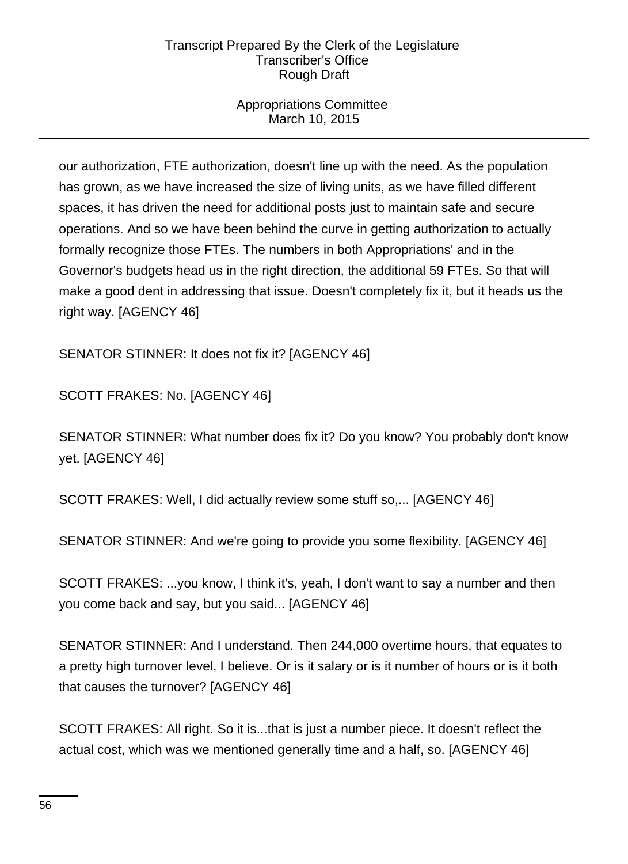# Appropriations Committee March 10, 2015

our authorization, FTE authorization, doesn't line up with the need. As the population has grown, as we have increased the size of living units, as we have filled different spaces, it has driven the need for additional posts just to maintain safe and secure operations. And so we have been behind the curve in getting authorization to actually formally recognize those FTEs. The numbers in both Appropriations' and in the Governor's budgets head us in the right direction, the additional 59 FTEs. So that will make a good dent in addressing that issue. Doesn't completely fix it, but it heads us the right way. [AGENCY 46]

SENATOR STINNER: It does not fix it? [AGENCY 46]

SCOTT FRAKES: No. [AGENCY 46]

SENATOR STINNER: What number does fix it? Do you know? You probably don't know yet. [AGENCY 46]

SCOTT FRAKES: Well, I did actually review some stuff so,... [AGENCY 46]

SENATOR STINNER: And we're going to provide you some flexibility. [AGENCY 46]

SCOTT FRAKES: ...you know, I think it's, yeah, I don't want to say a number and then you come back and say, but you said... [AGENCY 46]

SENATOR STINNER: And I understand. Then 244,000 overtime hours, that equates to a pretty high turnover level, I believe. Or is it salary or is it number of hours or is it both that causes the turnover? [AGENCY 46]

SCOTT FRAKES: All right. So it is...that is just a number piece. It doesn't reflect the actual cost, which was we mentioned generally time and a half, so. [AGENCY 46]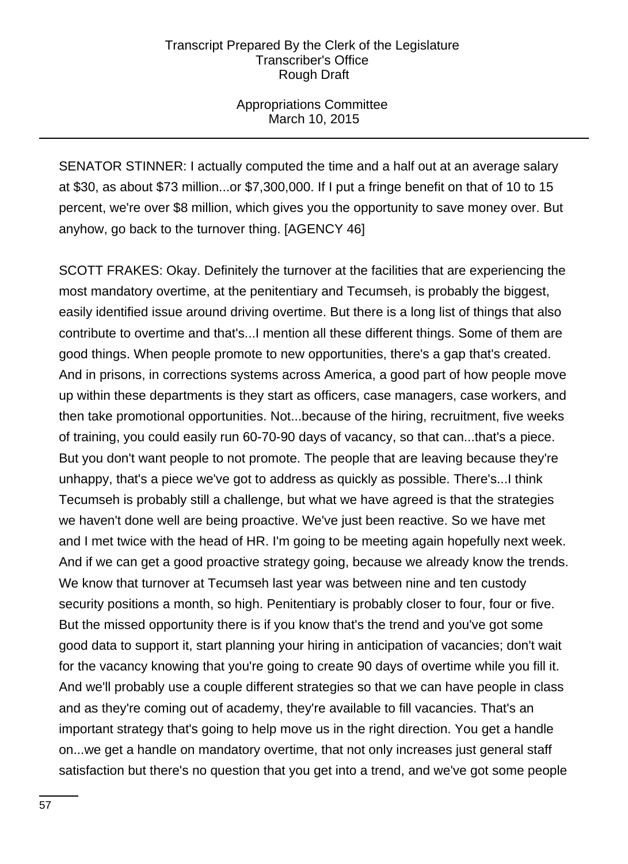# Appropriations Committee March 10, 2015

SENATOR STINNER: I actually computed the time and a half out at an average salary at \$30, as about \$73 million...or \$7,300,000. If I put a fringe benefit on that of 10 to 15 percent, we're over \$8 million, which gives you the opportunity to save money over. But anyhow, go back to the turnover thing. [AGENCY 46]

SCOTT FRAKES: Okay. Definitely the turnover at the facilities that are experiencing the most mandatory overtime, at the penitentiary and Tecumseh, is probably the biggest, easily identified issue around driving overtime. But there is a long list of things that also contribute to overtime and that's...I mention all these different things. Some of them are good things. When people promote to new opportunities, there's a gap that's created. And in prisons, in corrections systems across America, a good part of how people move up within these departments is they start as officers, case managers, case workers, and then take promotional opportunities. Not...because of the hiring, recruitment, five weeks of training, you could easily run 60-70-90 days of vacancy, so that can...that's a piece. But you don't want people to not promote. The people that are leaving because they're unhappy, that's a piece we've got to address as quickly as possible. There's...I think Tecumseh is probably still a challenge, but what we have agreed is that the strategies we haven't done well are being proactive. We've just been reactive. So we have met and I met twice with the head of HR. I'm going to be meeting again hopefully next week. And if we can get a good proactive strategy going, because we already know the trends. We know that turnover at Tecumseh last year was between nine and ten custody security positions a month, so high. Penitentiary is probably closer to four, four or five. But the missed opportunity there is if you know that's the trend and you've got some good data to support it, start planning your hiring in anticipation of vacancies; don't wait for the vacancy knowing that you're going to create 90 days of overtime while you fill it. And we'll probably use a couple different strategies so that we can have people in class and as they're coming out of academy, they're available to fill vacancies. That's an important strategy that's going to help move us in the right direction. You get a handle on...we get a handle on mandatory overtime, that not only increases just general staff satisfaction but there's no question that you get into a trend, and we've got some people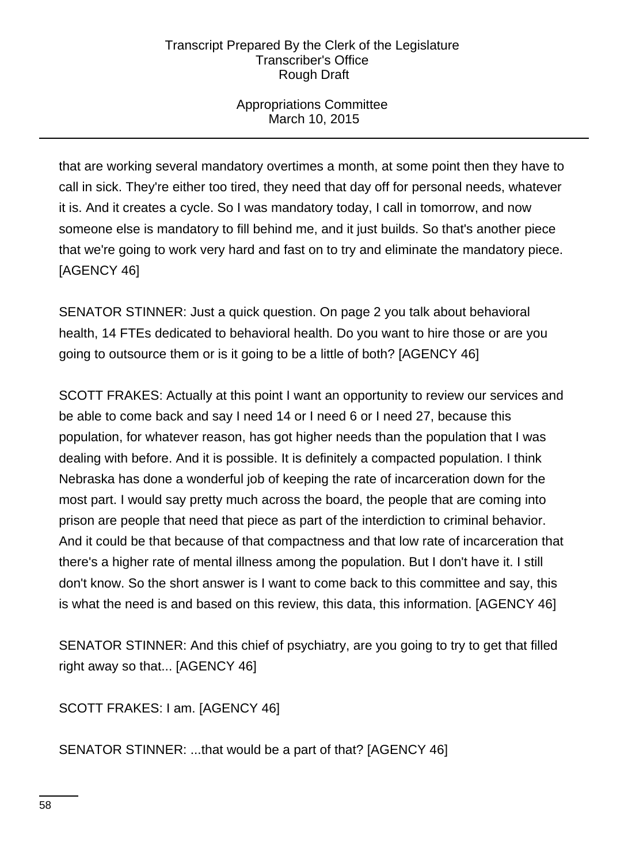# Appropriations Committee March 10, 2015

that are working several mandatory overtimes a month, at some point then they have to call in sick. They're either too tired, they need that day off for personal needs, whatever it is. And it creates a cycle. So I was mandatory today, I call in tomorrow, and now someone else is mandatory to fill behind me, and it just builds. So that's another piece that we're going to work very hard and fast on to try and eliminate the mandatory piece. [AGENCY 46]

SENATOR STINNER: Just a quick question. On page 2 you talk about behavioral health, 14 FTEs dedicated to behavioral health. Do you want to hire those or are you going to outsource them or is it going to be a little of both? [AGENCY 46]

SCOTT FRAKES: Actually at this point I want an opportunity to review our services and be able to come back and say I need 14 or I need 6 or I need 27, because this population, for whatever reason, has got higher needs than the population that I was dealing with before. And it is possible. It is definitely a compacted population. I think Nebraska has done a wonderful job of keeping the rate of incarceration down for the most part. I would say pretty much across the board, the people that are coming into prison are people that need that piece as part of the interdiction to criminal behavior. And it could be that because of that compactness and that low rate of incarceration that there's a higher rate of mental illness among the population. But I don't have it. I still don't know. So the short answer is I want to come back to this committee and say, this is what the need is and based on this review, this data, this information. [AGENCY 46]

SENATOR STINNER: And this chief of psychiatry, are you going to try to get that filled right away so that... [AGENCY 46]

SCOTT FRAKES: I am. [AGENCY 46]

SENATOR STINNER: ...that would be a part of that? [AGENCY 46]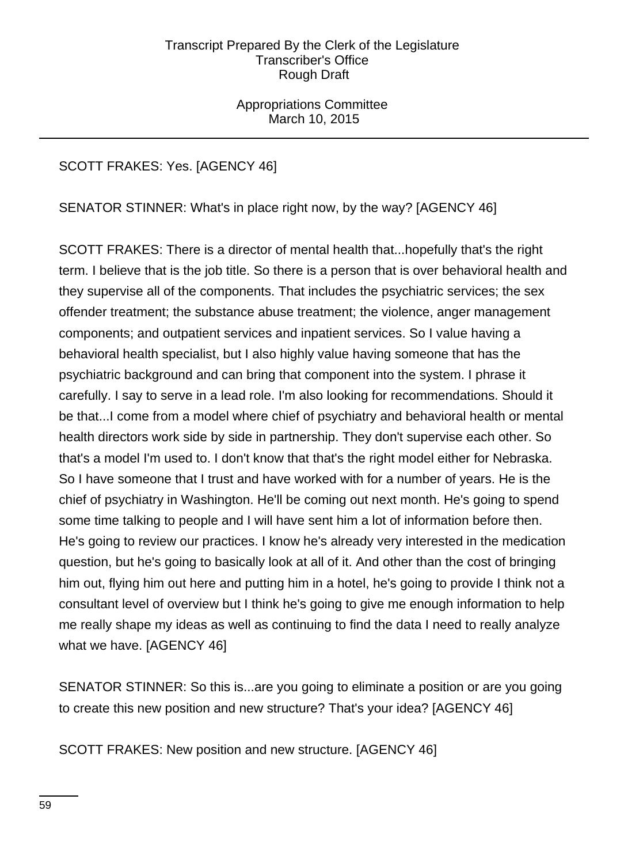Appropriations Committee March 10, 2015

# SCOTT FRAKES: Yes. [AGENCY 46]

SENATOR STINNER: What's in place right now, by the way? [AGENCY 46]

SCOTT FRAKES: There is a director of mental health that...hopefully that's the right term. I believe that is the job title. So there is a person that is over behavioral health and they supervise all of the components. That includes the psychiatric services; the sex offender treatment; the substance abuse treatment; the violence, anger management components; and outpatient services and inpatient services. So I value having a behavioral health specialist, but I also highly value having someone that has the psychiatric background and can bring that component into the system. I phrase it carefully. I say to serve in a lead role. I'm also looking for recommendations. Should it be that...I come from a model where chief of psychiatry and behavioral health or mental health directors work side by side in partnership. They don't supervise each other. So that's a model I'm used to. I don't know that that's the right model either for Nebraska. So I have someone that I trust and have worked with for a number of years. He is the chief of psychiatry in Washington. He'll be coming out next month. He's going to spend some time talking to people and I will have sent him a lot of information before then. He's going to review our practices. I know he's already very interested in the medication question, but he's going to basically look at all of it. And other than the cost of bringing him out, flying him out here and putting him in a hotel, he's going to provide I think not a consultant level of overview but I think he's going to give me enough information to help me really shape my ideas as well as continuing to find the data I need to really analyze what we have. [AGENCY 46]

SENATOR STINNER: So this is...are you going to eliminate a position or are you going to create this new position and new structure? That's your idea? [AGENCY 46]

SCOTT FRAKES: New position and new structure. [AGENCY 46]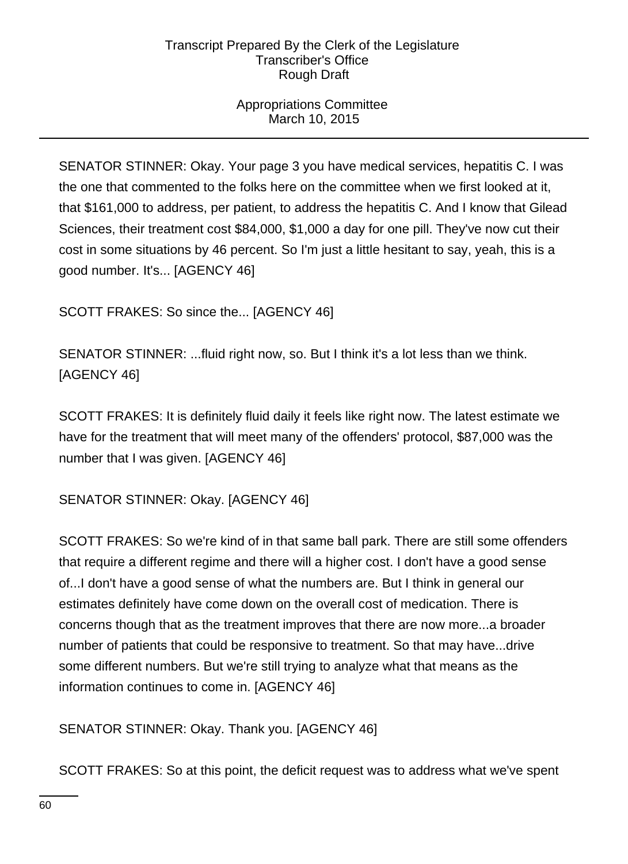# Appropriations Committee March 10, 2015

SENATOR STINNER: Okay. Your page 3 you have medical services, hepatitis C. I was the one that commented to the folks here on the committee when we first looked at it, that \$161,000 to address, per patient, to address the hepatitis C. And I know that Gilead Sciences, their treatment cost \$84,000, \$1,000 a day for one pill. They've now cut their cost in some situations by 46 percent. So I'm just a little hesitant to say, yeah, this is a good number. It's... [AGENCY 46]

SCOTT FRAKES: So since the... [AGENCY 46]

SENATOR STINNER: ...fluid right now, so. But I think it's a lot less than we think. [AGENCY 46]

SCOTT FRAKES: It is definitely fluid daily it feels like right now. The latest estimate we have for the treatment that will meet many of the offenders' protocol, \$87,000 was the number that I was given. [AGENCY 46]

SENATOR STINNER: Okay. [AGENCY 46]

SCOTT FRAKES: So we're kind of in that same ball park. There are still some offenders that require a different regime and there will a higher cost. I don't have a good sense of...I don't have a good sense of what the numbers are. But I think in general our estimates definitely have come down on the overall cost of medication. There is concerns though that as the treatment improves that there are now more...a broader number of patients that could be responsive to treatment. So that may have...drive some different numbers. But we're still trying to analyze what that means as the information continues to come in. [AGENCY 46]

SENATOR STINNER: Okay. Thank you. [AGENCY 46]

SCOTT FRAKES: So at this point, the deficit request was to address what we've spent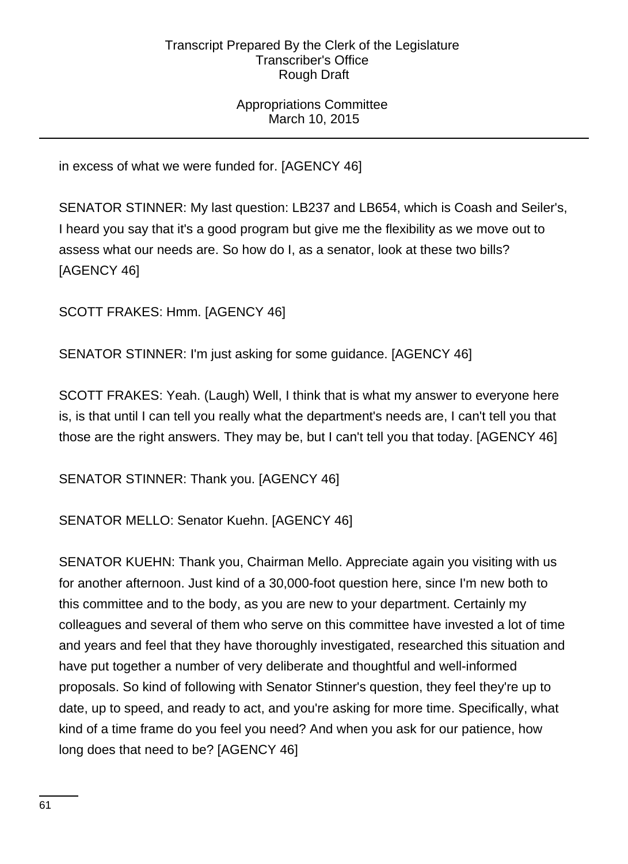Appropriations Committee March 10, 2015

in excess of what we were funded for. [AGENCY 46]

SENATOR STINNER: My last question: LB237 and LB654, which is Coash and Seiler's, I heard you say that it's a good program but give me the flexibility as we move out to assess what our needs are. So how do I, as a senator, look at these two bills? [AGENCY 46]

SCOTT FRAKES: Hmm. [AGENCY 46]

SENATOR STINNER: I'm just asking for some guidance. [AGENCY 46]

SCOTT FRAKES: Yeah. (Laugh) Well, I think that is what my answer to everyone here is, is that until I can tell you really what the department's needs are, I can't tell you that those are the right answers. They may be, but I can't tell you that today. [AGENCY 46]

SENATOR STINNER: Thank you. [AGENCY 46]

SENATOR MELLO: Senator Kuehn. [AGENCY 46]

SENATOR KUEHN: Thank you, Chairman Mello. Appreciate again you visiting with us for another afternoon. Just kind of a 30,000-foot question here, since I'm new both to this committee and to the body, as you are new to your department. Certainly my colleagues and several of them who serve on this committee have invested a lot of time and years and feel that they have thoroughly investigated, researched this situation and have put together a number of very deliberate and thoughtful and well-informed proposals. So kind of following with Senator Stinner's question, they feel they're up to date, up to speed, and ready to act, and you're asking for more time. Specifically, what kind of a time frame do you feel you need? And when you ask for our patience, how long does that need to be? [AGENCY 46]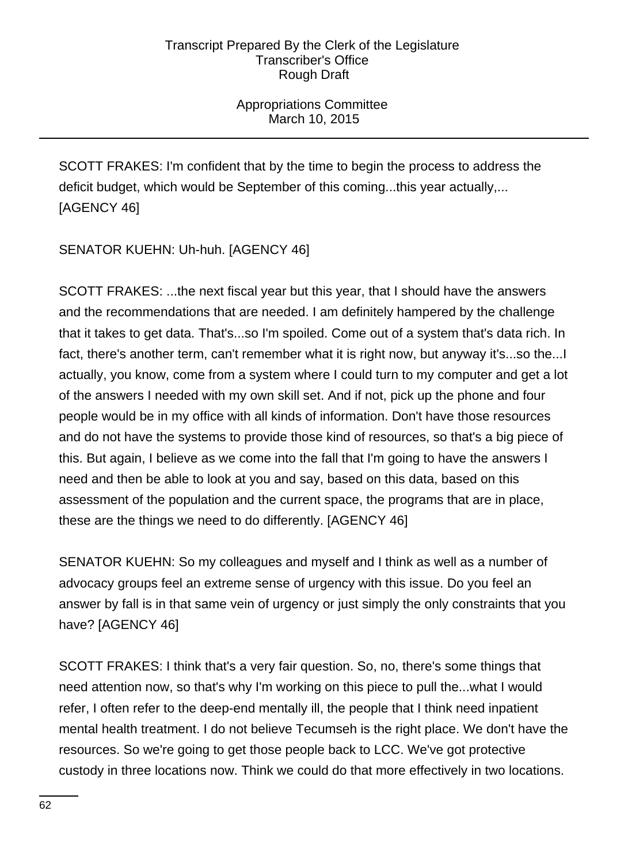Appropriations Committee March 10, 2015

SCOTT FRAKES: I'm confident that by the time to begin the process to address the deficit budget, which would be September of this coming...this year actually,... [AGENCY 46]

SENATOR KUEHN: Uh-huh. [AGENCY 46]

SCOTT FRAKES: ...the next fiscal year but this year, that I should have the answers and the recommendations that are needed. I am definitely hampered by the challenge that it takes to get data. That's...so I'm spoiled. Come out of a system that's data rich. In fact, there's another term, can't remember what it is right now, but anyway it's...so the...I actually, you know, come from a system where I could turn to my computer and get a lot of the answers I needed with my own skill set. And if not, pick up the phone and four people would be in my office with all kinds of information. Don't have those resources and do not have the systems to provide those kind of resources, so that's a big piece of this. But again, I believe as we come into the fall that I'm going to have the answers I need and then be able to look at you and say, based on this data, based on this assessment of the population and the current space, the programs that are in place, these are the things we need to do differently. [AGENCY 46]

SENATOR KUEHN: So my colleagues and myself and I think as well as a number of advocacy groups feel an extreme sense of urgency with this issue. Do you feel an answer by fall is in that same vein of urgency or just simply the only constraints that you have? [AGENCY 46]

SCOTT FRAKES: I think that's a very fair question. So, no, there's some things that need attention now, so that's why I'm working on this piece to pull the...what I would refer, I often refer to the deep-end mentally ill, the people that I think need inpatient mental health treatment. I do not believe Tecumseh is the right place. We don't have the resources. So we're going to get those people back to LCC. We've got protective custody in three locations now. Think we could do that more effectively in two locations.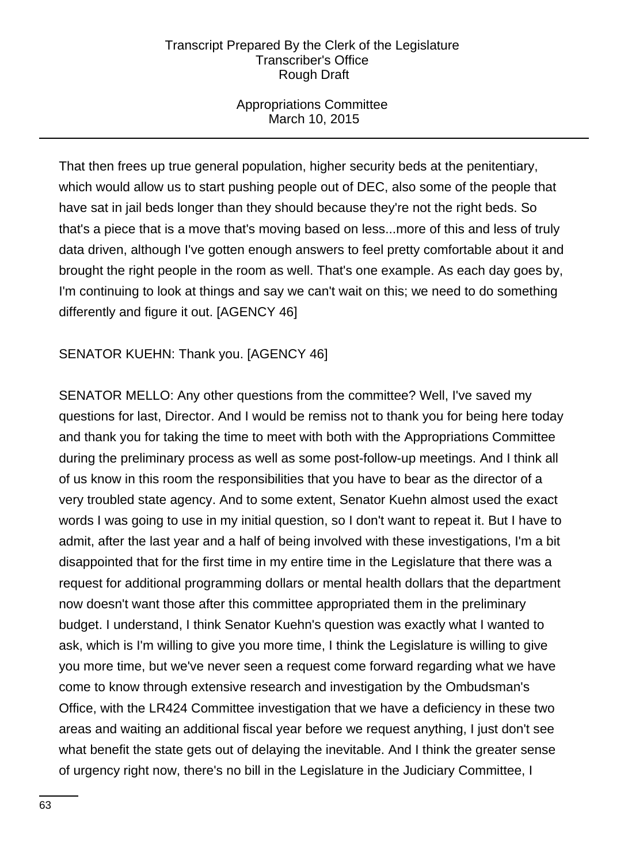# Appropriations Committee March 10, 2015

That then frees up true general population, higher security beds at the penitentiary, which would allow us to start pushing people out of DEC, also some of the people that have sat in jail beds longer than they should because they're not the right beds. So that's a piece that is a move that's moving based on less...more of this and less of truly data driven, although I've gotten enough answers to feel pretty comfortable about it and brought the right people in the room as well. That's one example. As each day goes by, I'm continuing to look at things and say we can't wait on this; we need to do something differently and figure it out. [AGENCY 46]

# SENATOR KUEHN: Thank you. [AGENCY 46]

SENATOR MELLO: Any other questions from the committee? Well, I've saved my questions for last, Director. And I would be remiss not to thank you for being here today and thank you for taking the time to meet with both with the Appropriations Committee during the preliminary process as well as some post-follow-up meetings. And I think all of us know in this room the responsibilities that you have to bear as the director of a very troubled state agency. And to some extent, Senator Kuehn almost used the exact words I was going to use in my initial question, so I don't want to repeat it. But I have to admit, after the last year and a half of being involved with these investigations, I'm a bit disappointed that for the first time in my entire time in the Legislature that there was a request for additional programming dollars or mental health dollars that the department now doesn't want those after this committee appropriated them in the preliminary budget. I understand, I think Senator Kuehn's question was exactly what I wanted to ask, which is I'm willing to give you more time, I think the Legislature is willing to give you more time, but we've never seen a request come forward regarding what we have come to know through extensive research and investigation by the Ombudsman's Office, with the LR424 Committee investigation that we have a deficiency in these two areas and waiting an additional fiscal year before we request anything, I just don't see what benefit the state gets out of delaying the inevitable. And I think the greater sense of urgency right now, there's no bill in the Legislature in the Judiciary Committee, I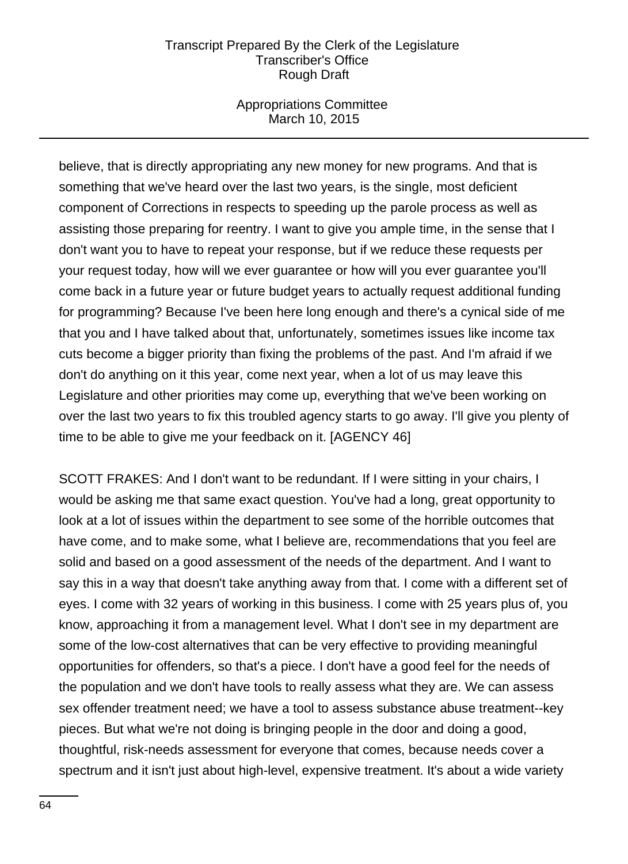## Appropriations Committee March 10, 2015

believe, that is directly appropriating any new money for new programs. And that is something that we've heard over the last two years, is the single, most deficient component of Corrections in respects to speeding up the parole process as well as assisting those preparing for reentry. I want to give you ample time, in the sense that I don't want you to have to repeat your response, but if we reduce these requests per your request today, how will we ever guarantee or how will you ever guarantee you'll come back in a future year or future budget years to actually request additional funding for programming? Because I've been here long enough and there's a cynical side of me that you and I have talked about that, unfortunately, sometimes issues like income tax cuts become a bigger priority than fixing the problems of the past. And I'm afraid if we don't do anything on it this year, come next year, when a lot of us may leave this Legislature and other priorities may come up, everything that we've been working on over the last two years to fix this troubled agency starts to go away. I'll give you plenty of time to be able to give me your feedback on it. [AGENCY 46]

SCOTT FRAKES: And I don't want to be redundant. If I were sitting in your chairs, I would be asking me that same exact question. You've had a long, great opportunity to look at a lot of issues within the department to see some of the horrible outcomes that have come, and to make some, what I believe are, recommendations that you feel are solid and based on a good assessment of the needs of the department. And I want to say this in a way that doesn't take anything away from that. I come with a different set of eyes. I come with 32 years of working in this business. I come with 25 years plus of, you know, approaching it from a management level. What I don't see in my department are some of the low-cost alternatives that can be very effective to providing meaningful opportunities for offenders, so that's a piece. I don't have a good feel for the needs of the population and we don't have tools to really assess what they are. We can assess sex offender treatment need; we have a tool to assess substance abuse treatment--key pieces. But what we're not doing is bringing people in the door and doing a good, thoughtful, risk-needs assessment for everyone that comes, because needs cover a spectrum and it isn't just about high-level, expensive treatment. It's about a wide variety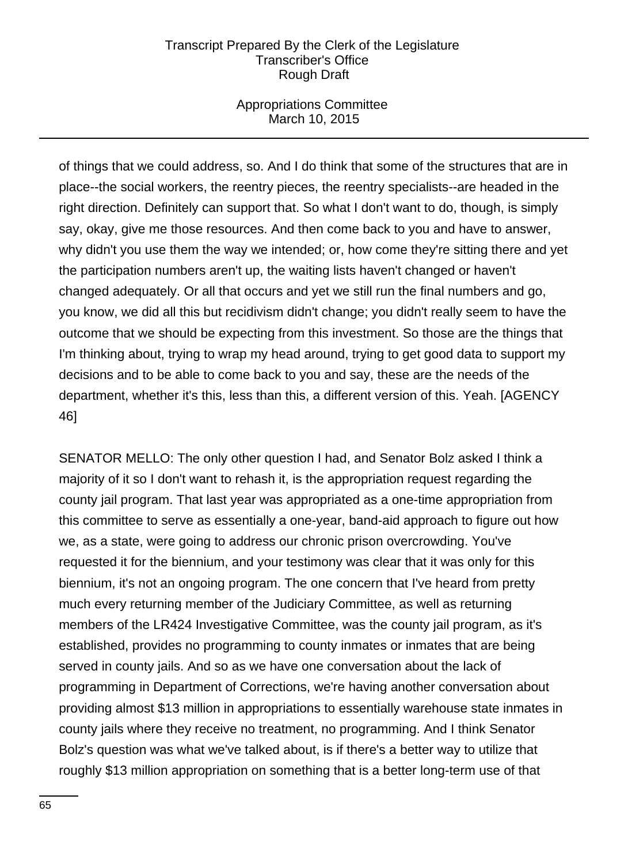# Appropriations Committee March 10, 2015

of things that we could address, so. And I do think that some of the structures that are in place--the social workers, the reentry pieces, the reentry specialists--are headed in the right direction. Definitely can support that. So what I don't want to do, though, is simply say, okay, give me those resources. And then come back to you and have to answer, why didn't you use them the way we intended; or, how come they're sitting there and yet the participation numbers aren't up, the waiting lists haven't changed or haven't changed adequately. Or all that occurs and yet we still run the final numbers and go, you know, we did all this but recidivism didn't change; you didn't really seem to have the outcome that we should be expecting from this investment. So those are the things that I'm thinking about, trying to wrap my head around, trying to get good data to support my decisions and to be able to come back to you and say, these are the needs of the department, whether it's this, less than this, a different version of this. Yeah. [AGENCY 46]

SENATOR MELLO: The only other question I had, and Senator Bolz asked I think a majority of it so I don't want to rehash it, is the appropriation request regarding the county jail program. That last year was appropriated as a one-time appropriation from this committee to serve as essentially a one-year, band-aid approach to figure out how we, as a state, were going to address our chronic prison overcrowding. You've requested it for the biennium, and your testimony was clear that it was only for this biennium, it's not an ongoing program. The one concern that I've heard from pretty much every returning member of the Judiciary Committee, as well as returning members of the LR424 Investigative Committee, was the county jail program, as it's established, provides no programming to county inmates or inmates that are being served in county jails. And so as we have one conversation about the lack of programming in Department of Corrections, we're having another conversation about providing almost \$13 million in appropriations to essentially warehouse state inmates in county jails where they receive no treatment, no programming. And I think Senator Bolz's question was what we've talked about, is if there's a better way to utilize that roughly \$13 million appropriation on something that is a better long-term use of that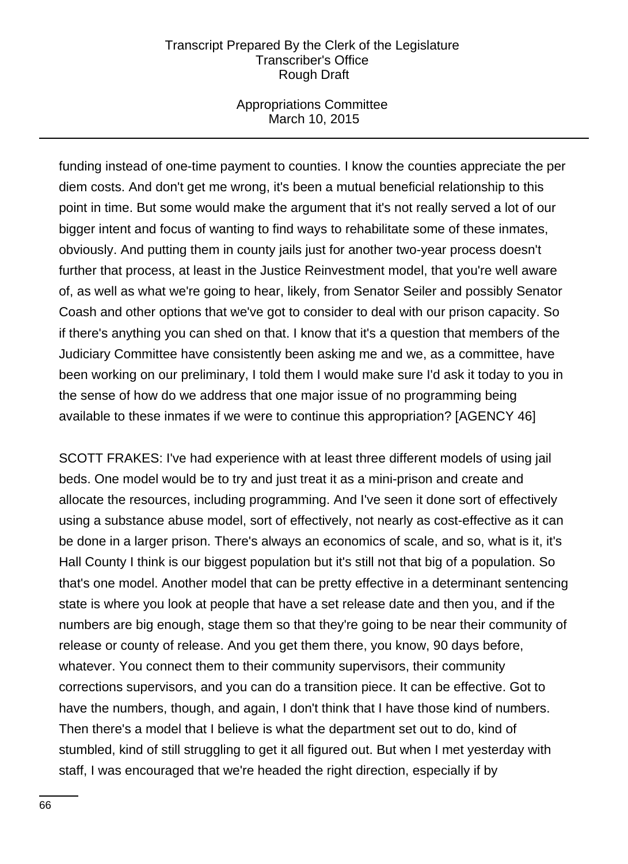### Appropriations Committee March 10, 2015

funding instead of one-time payment to counties. I know the counties appreciate the per diem costs. And don't get me wrong, it's been a mutual beneficial relationship to this point in time. But some would make the argument that it's not really served a lot of our bigger intent and focus of wanting to find ways to rehabilitate some of these inmates, obviously. And putting them in county jails just for another two-year process doesn't further that process, at least in the Justice Reinvestment model, that you're well aware of, as well as what we're going to hear, likely, from Senator Seiler and possibly Senator Coash and other options that we've got to consider to deal with our prison capacity. So if there's anything you can shed on that. I know that it's a question that members of the Judiciary Committee have consistently been asking me and we, as a committee, have been working on our preliminary, I told them I would make sure I'd ask it today to you in the sense of how do we address that one major issue of no programming being available to these inmates if we were to continue this appropriation? [AGENCY 46]

SCOTT FRAKES: I've had experience with at least three different models of using jail beds. One model would be to try and just treat it as a mini-prison and create and allocate the resources, including programming. And I've seen it done sort of effectively using a substance abuse model, sort of effectively, not nearly as cost-effective as it can be done in a larger prison. There's always an economics of scale, and so, what is it, it's Hall County I think is our biggest population but it's still not that big of a population. So that's one model. Another model that can be pretty effective in a determinant sentencing state is where you look at people that have a set release date and then you, and if the numbers are big enough, stage them so that they're going to be near their community of release or county of release. And you get them there, you know, 90 days before, whatever. You connect them to their community supervisors, their community corrections supervisors, and you can do a transition piece. It can be effective. Got to have the numbers, though, and again, I don't think that I have those kind of numbers. Then there's a model that I believe is what the department set out to do, kind of stumbled, kind of still struggling to get it all figured out. But when I met yesterday with staff, I was encouraged that we're headed the right direction, especially if by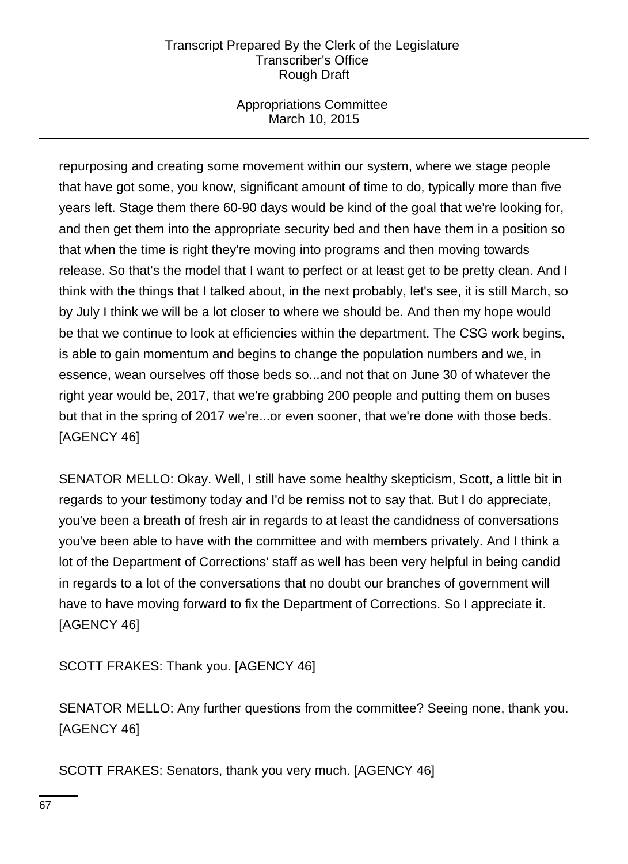# Appropriations Committee March 10, 2015

repurposing and creating some movement within our system, where we stage people that have got some, you know, significant amount of time to do, typically more than five years left. Stage them there 60-90 days would be kind of the goal that we're looking for, and then get them into the appropriate security bed and then have them in a position so that when the time is right they're moving into programs and then moving towards release. So that's the model that I want to perfect or at least get to be pretty clean. And I think with the things that I talked about, in the next probably, let's see, it is still March, so by July I think we will be a lot closer to where we should be. And then my hope would be that we continue to look at efficiencies within the department. The CSG work begins, is able to gain momentum and begins to change the population numbers and we, in essence, wean ourselves off those beds so...and not that on June 30 of whatever the right year would be, 2017, that we're grabbing 200 people and putting them on buses but that in the spring of 2017 we're...or even sooner, that we're done with those beds. [AGENCY 46]

SENATOR MELLO: Okay. Well, I still have some healthy skepticism, Scott, a little bit in regards to your testimony today and I'd be remiss not to say that. But I do appreciate, you've been a breath of fresh air in regards to at least the candidness of conversations you've been able to have with the committee and with members privately. And I think a lot of the Department of Corrections' staff as well has been very helpful in being candid in regards to a lot of the conversations that no doubt our branches of government will have to have moving forward to fix the Department of Corrections. So I appreciate it. [AGENCY 46]

SCOTT FRAKES: Thank you. [AGENCY 46]

SENATOR MELLO: Any further questions from the committee? Seeing none, thank you. [AGENCY 46]

SCOTT FRAKES: Senators, thank you very much. [AGENCY 46]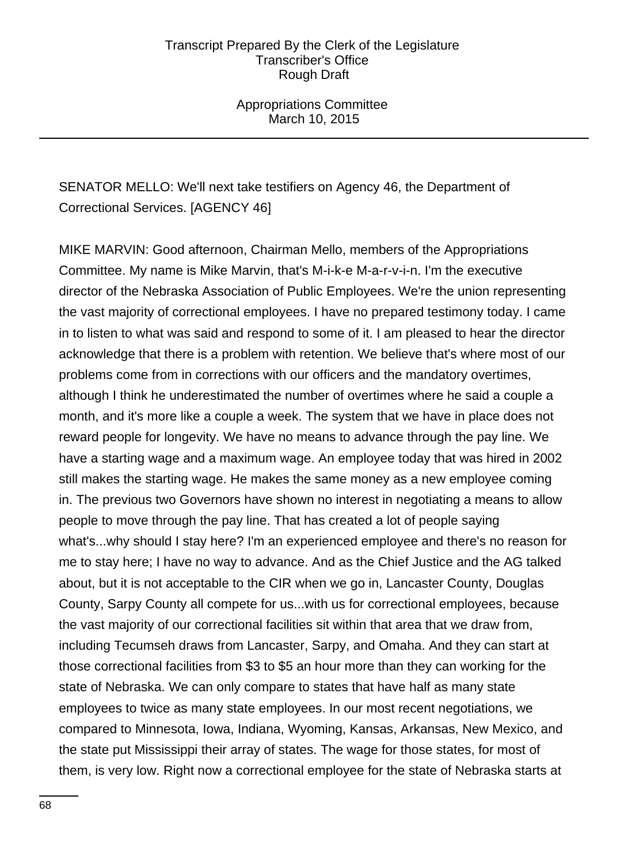Appropriations Committee March 10, 2015

# SENATOR MELLO: We'll next take testifiers on Agency 46, the Department of Correctional Services. [AGENCY 46]

MIKE MARVIN: Good afternoon, Chairman Mello, members of the Appropriations Committee. My name is Mike Marvin, that's M-i-k-e M-a-r-v-i-n. I'm the executive director of the Nebraska Association of Public Employees. We're the union representing the vast majority of correctional employees. I have no prepared testimony today. I came in to listen to what was said and respond to some of it. I am pleased to hear the director acknowledge that there is a problem with retention. We believe that's where most of our problems come from in corrections with our officers and the mandatory overtimes, although I think he underestimated the number of overtimes where he said a couple a month, and it's more like a couple a week. The system that we have in place does not reward people for longevity. We have no means to advance through the pay line. We have a starting wage and a maximum wage. An employee today that was hired in 2002 still makes the starting wage. He makes the same money as a new employee coming in. The previous two Governors have shown no interest in negotiating a means to allow people to move through the pay line. That has created a lot of people saying what's...why should I stay here? I'm an experienced employee and there's no reason for me to stay here; I have no way to advance. And as the Chief Justice and the AG talked about, but it is not acceptable to the CIR when we go in, Lancaster County, Douglas County, Sarpy County all compete for us...with us for correctional employees, because the vast majority of our correctional facilities sit within that area that we draw from, including Tecumseh draws from Lancaster, Sarpy, and Omaha. And they can start at those correctional facilities from \$3 to \$5 an hour more than they can working for the state of Nebraska. We can only compare to states that have half as many state employees to twice as many state employees. In our most recent negotiations, we compared to Minnesota, Iowa, Indiana, Wyoming, Kansas, Arkansas, New Mexico, and the state put Mississippi their array of states. The wage for those states, for most of them, is very low. Right now a correctional employee for the state of Nebraska starts at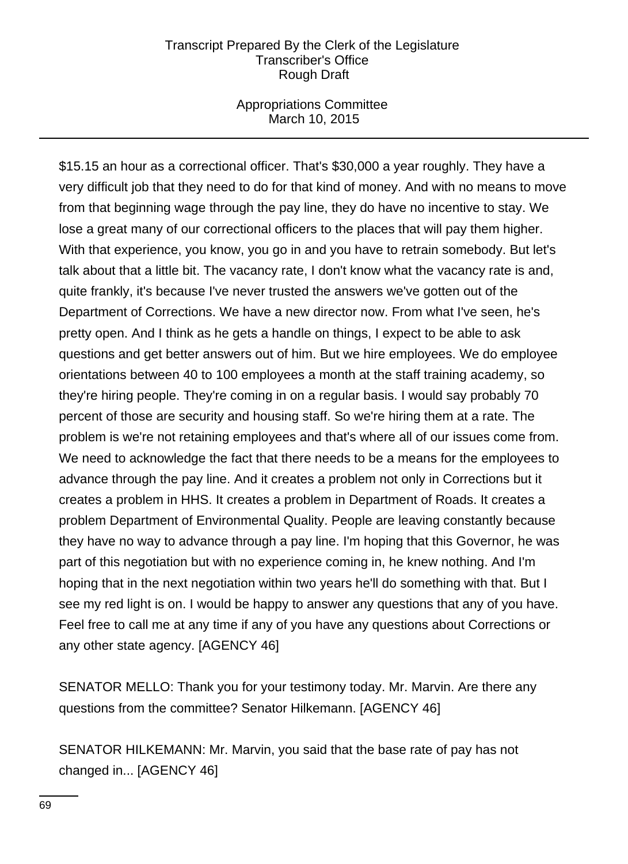Appropriations Committee March 10, 2015

\$15.15 an hour as a correctional officer. That's \$30,000 a year roughly. They have a very difficult job that they need to do for that kind of money. And with no means to move from that beginning wage through the pay line, they do have no incentive to stay. We lose a great many of our correctional officers to the places that will pay them higher. With that experience, you know, you go in and you have to retrain somebody. But let's talk about that a little bit. The vacancy rate, I don't know what the vacancy rate is and, quite frankly, it's because I've never trusted the answers we've gotten out of the Department of Corrections. We have a new director now. From what I've seen, he's pretty open. And I think as he gets a handle on things, I expect to be able to ask questions and get better answers out of him. But we hire employees. We do employee orientations between 40 to 100 employees a month at the staff training academy, so they're hiring people. They're coming in on a regular basis. I would say probably 70 percent of those are security and housing staff. So we're hiring them at a rate. The problem is we're not retaining employees and that's where all of our issues come from. We need to acknowledge the fact that there needs to be a means for the employees to advance through the pay line. And it creates a problem not only in Corrections but it creates a problem in HHS. It creates a problem in Department of Roads. It creates a problem Department of Environmental Quality. People are leaving constantly because they have no way to advance through a pay line. I'm hoping that this Governor, he was part of this negotiation but with no experience coming in, he knew nothing. And I'm hoping that in the next negotiation within two years he'll do something with that. But I see my red light is on. I would be happy to answer any questions that any of you have. Feel free to call me at any time if any of you have any questions about Corrections or any other state agency. [AGENCY 46]

SENATOR MELLO: Thank you for your testimony today. Mr. Marvin. Are there any questions from the committee? Senator Hilkemann. [AGENCY 46]

SENATOR HILKEMANN: Mr. Marvin, you said that the base rate of pay has not changed in... [AGENCY 46]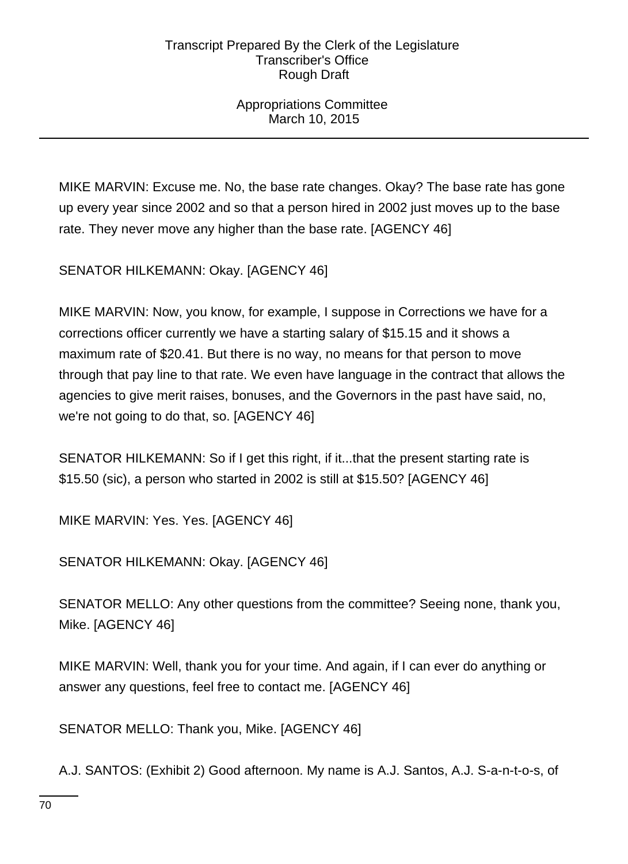Appropriations Committee March 10, 2015

MIKE MARVIN: Excuse me. No, the base rate changes. Okay? The base rate has gone up every year since 2002 and so that a person hired in 2002 just moves up to the base rate. They never move any higher than the base rate. [AGENCY 46]

SENATOR HILKEMANN: Okay. [AGENCY 46]

MIKE MARVIN: Now, you know, for example, I suppose in Corrections we have for a corrections officer currently we have a starting salary of \$15.15 and it shows a maximum rate of \$20.41. But there is no way, no means for that person to move through that pay line to that rate. We even have language in the contract that allows the agencies to give merit raises, bonuses, and the Governors in the past have said, no, we're not going to do that, so. [AGENCY 46]

SENATOR HILKEMANN: So if I get this right, if it...that the present starting rate is \$15.50 (sic), a person who started in 2002 is still at \$15.50? [AGENCY 46]

MIKE MARVIN: Yes. Yes. [AGENCY 46]

SENATOR HILKEMANN: Okay. [AGENCY 46]

SENATOR MELLO: Any other questions from the committee? Seeing none, thank you, Mike. [AGENCY 46]

MIKE MARVIN: Well, thank you for your time. And again, if I can ever do anything or answer any questions, feel free to contact me. [AGENCY 46]

SENATOR MELLO: Thank you, Mike. [AGENCY 46]

A.J. SANTOS: (Exhibit 2) Good afternoon. My name is A.J. Santos, A.J. S-a-n-t-o-s, of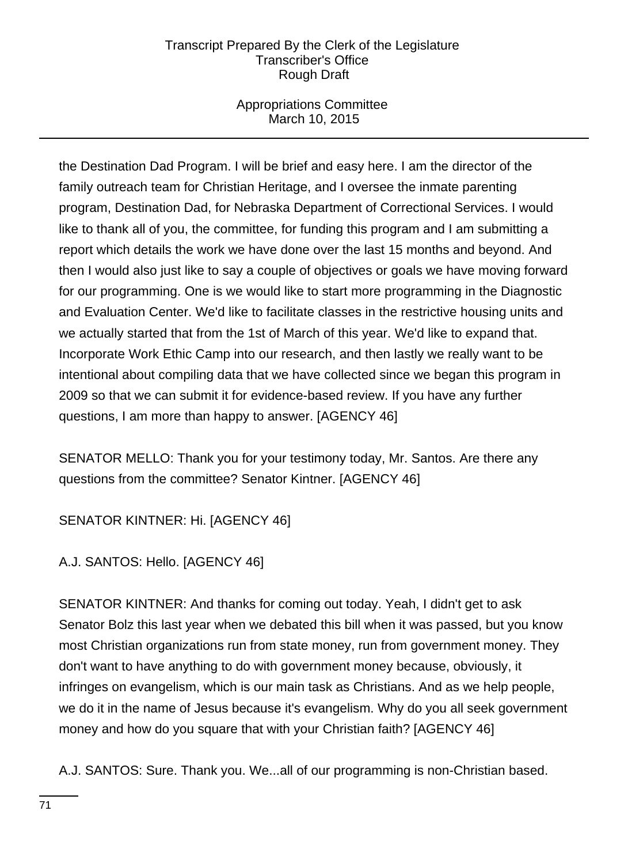# Appropriations Committee March 10, 2015

the Destination Dad Program. I will be brief and easy here. I am the director of the family outreach team for Christian Heritage, and I oversee the inmate parenting program, Destination Dad, for Nebraska Department of Correctional Services. I would like to thank all of you, the committee, for funding this program and I am submitting a report which details the work we have done over the last 15 months and beyond. And then I would also just like to say a couple of objectives or goals we have moving forward for our programming. One is we would like to start more programming in the Diagnostic and Evaluation Center. We'd like to facilitate classes in the restrictive housing units and we actually started that from the 1st of March of this year. We'd like to expand that. Incorporate Work Ethic Camp into our research, and then lastly we really want to be intentional about compiling data that we have collected since we began this program in 2009 so that we can submit it for evidence-based review. If you have any further questions, I am more than happy to answer. [AGENCY 46]

SENATOR MELLO: Thank you for your testimony today, Mr. Santos. Are there any questions from the committee? Senator Kintner. [AGENCY 46]

SENATOR KINTNER: Hi. [AGENCY 46]

A.J. SANTOS: Hello. [AGENCY 46]

SENATOR KINTNER: And thanks for coming out today. Yeah, I didn't get to ask Senator Bolz this last year when we debated this bill when it was passed, but you know most Christian organizations run from state money, run from government money. They don't want to have anything to do with government money because, obviously, it infringes on evangelism, which is our main task as Christians. And as we help people, we do it in the name of Jesus because it's evangelism. Why do you all seek government money and how do you square that with your Christian faith? [AGENCY 46]

A.J. SANTOS: Sure. Thank you. We...all of our programming is non-Christian based.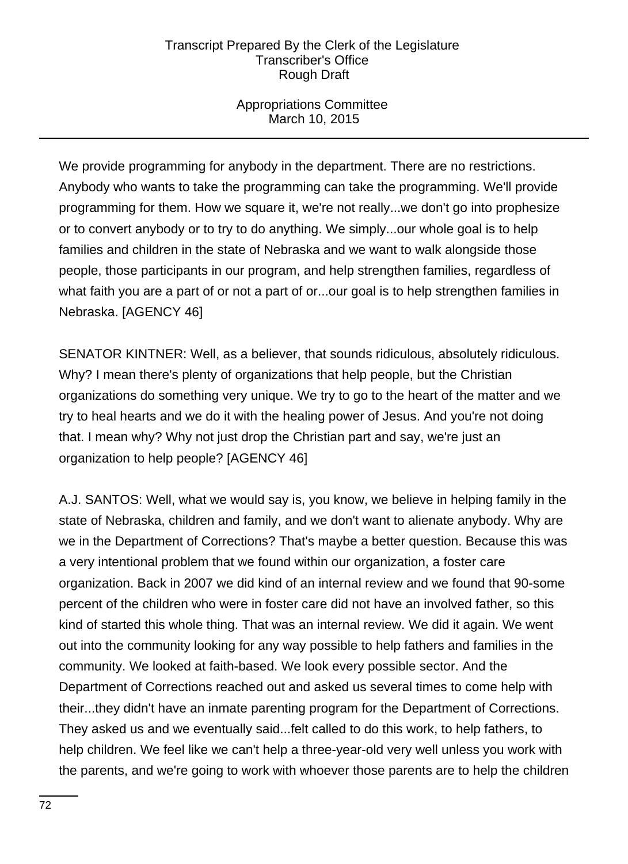Appropriations Committee March 10, 2015

We provide programming for anybody in the department. There are no restrictions. Anybody who wants to take the programming can take the programming. We'll provide programming for them. How we square it, we're not really...we don't go into prophesize or to convert anybody or to try to do anything. We simply...our whole goal is to help families and children in the state of Nebraska and we want to walk alongside those people, those participants in our program, and help strengthen families, regardless of what faith you are a part of or not a part of or...our goal is to help strengthen families in Nebraska. [AGENCY 46]

SENATOR KINTNER: Well, as a believer, that sounds ridiculous, absolutely ridiculous. Why? I mean there's plenty of organizations that help people, but the Christian organizations do something very unique. We try to go to the heart of the matter and we try to heal hearts and we do it with the healing power of Jesus. And you're not doing that. I mean why? Why not just drop the Christian part and say, we're just an organization to help people? [AGENCY 46]

A.J. SANTOS: Well, what we would say is, you know, we believe in helping family in the state of Nebraska, children and family, and we don't want to alienate anybody. Why are we in the Department of Corrections? That's maybe a better question. Because this was a very intentional problem that we found within our organization, a foster care organization. Back in 2007 we did kind of an internal review and we found that 90-some percent of the children who were in foster care did not have an involved father, so this kind of started this whole thing. That was an internal review. We did it again. We went out into the community looking for any way possible to help fathers and families in the community. We looked at faith-based. We look every possible sector. And the Department of Corrections reached out and asked us several times to come help with their...they didn't have an inmate parenting program for the Department of Corrections. They asked us and we eventually said...felt called to do this work, to help fathers, to help children. We feel like we can't help a three-year-old very well unless you work with the parents, and we're going to work with whoever those parents are to help the children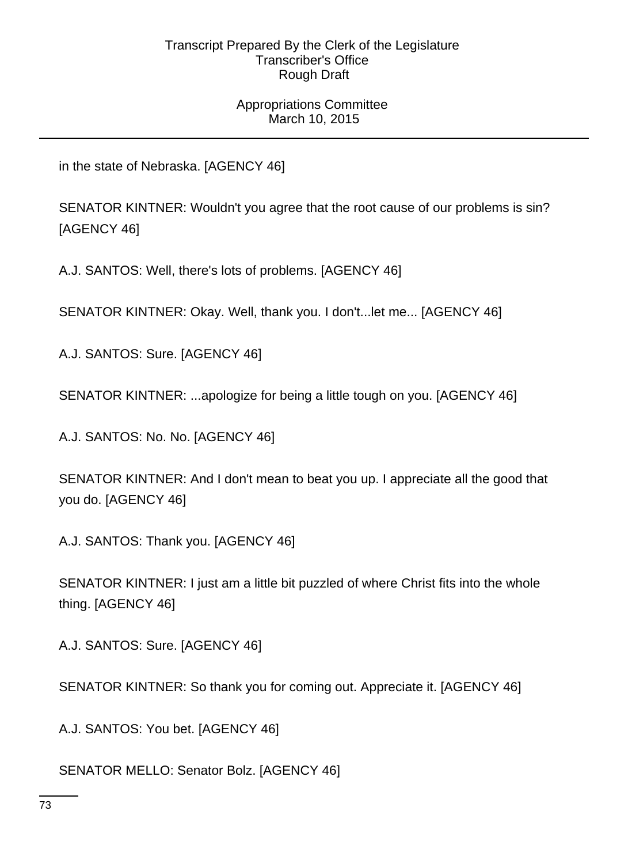# Appropriations Committee March 10, 2015

in the state of Nebraska. [AGENCY 46]

SENATOR KINTNER: Wouldn't you agree that the root cause of our problems is sin? [AGENCY 46]

A.J. SANTOS: Well, there's lots of problems. [AGENCY 46]

SENATOR KINTNER: Okay. Well, thank you. I don't...let me... [AGENCY 46]

A.J. SANTOS: Sure. [AGENCY 46]

SENATOR KINTNER: ...apologize for being a little tough on you. [AGENCY 46]

A.J. SANTOS: No. No. [AGENCY 46]

SENATOR KINTNER: And I don't mean to beat you up. I appreciate all the good that you do. [AGENCY 46]

A.J. SANTOS: Thank you. [AGENCY 46]

SENATOR KINTNER: I just am a little bit puzzled of where Christ fits into the whole thing. [AGENCY 46]

A.J. SANTOS: Sure. [AGENCY 46]

SENATOR KINTNER: So thank you for coming out. Appreciate it. [AGENCY 46]

A.J. SANTOS: You bet. [AGENCY 46]

SENATOR MELLO: Senator Bolz. [AGENCY 46]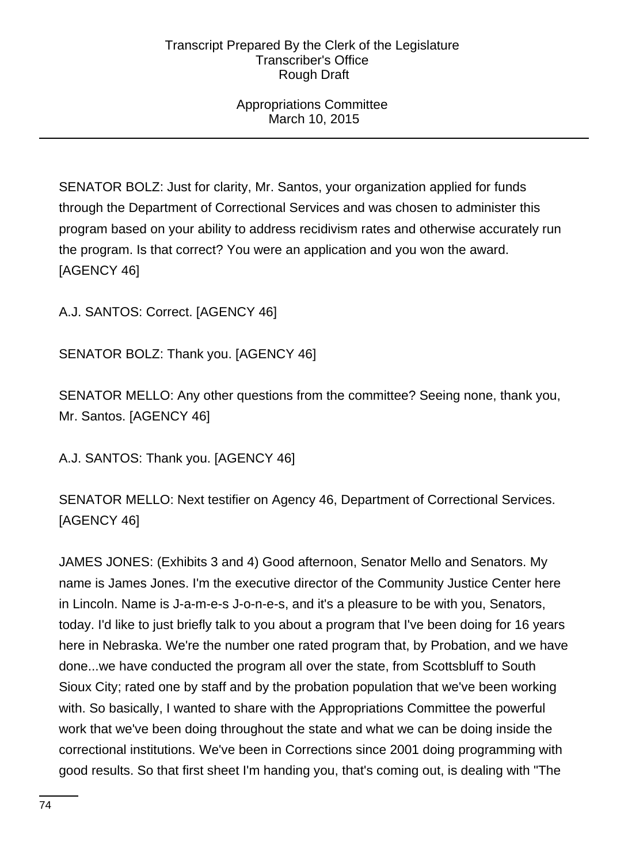# Appropriations Committee March 10, 2015

SENATOR BOLZ: Just for clarity, Mr. Santos, your organization applied for funds through the Department of Correctional Services and was chosen to administer this program based on your ability to address recidivism rates and otherwise accurately run the program. Is that correct? You were an application and you won the award. [AGENCY 46]

A.J. SANTOS: Correct. [AGENCY 46]

SENATOR BOLZ: Thank you. [AGENCY 46]

SENATOR MELLO: Any other questions from the committee? Seeing none, thank you, Mr. Santos. [AGENCY 46]

A.J. SANTOS: Thank you. [AGENCY 46]

SENATOR MELLO: Next testifier on Agency 46, Department of Correctional Services. [AGENCY 46]

JAMES JONES: (Exhibits 3 and 4) Good afternoon, Senator Mello and Senators. My name is James Jones. I'm the executive director of the Community Justice Center here in Lincoln. Name is J-a-m-e-s J-o-n-e-s, and it's a pleasure to be with you, Senators, today. I'd like to just briefly talk to you about a program that I've been doing for 16 years here in Nebraska. We're the number one rated program that, by Probation, and we have done...we have conducted the program all over the state, from Scottsbluff to South Sioux City; rated one by staff and by the probation population that we've been working with. So basically, I wanted to share with the Appropriations Committee the powerful work that we've been doing throughout the state and what we can be doing inside the correctional institutions. We've been in Corrections since 2001 doing programming with good results. So that first sheet I'm handing you, that's coming out, is dealing with "The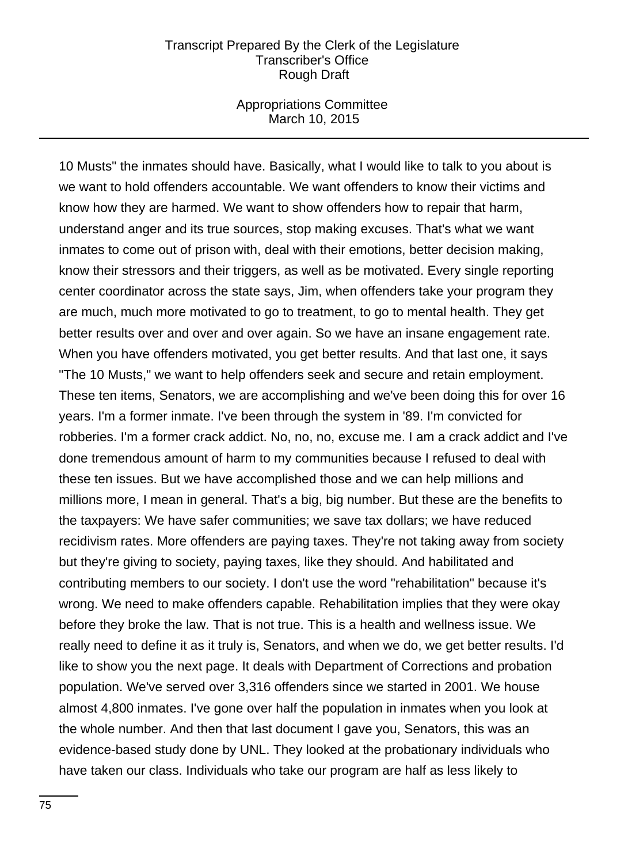#### Appropriations Committee March 10, 2015

10 Musts" the inmates should have. Basically, what I would like to talk to you about is we want to hold offenders accountable. We want offenders to know their victims and know how they are harmed. We want to show offenders how to repair that harm, understand anger and its true sources, stop making excuses. That's what we want inmates to come out of prison with, deal with their emotions, better decision making, know their stressors and their triggers, as well as be motivated. Every single reporting center coordinator across the state says, Jim, when offenders take your program they are much, much more motivated to go to treatment, to go to mental health. They get better results over and over and over again. So we have an insane engagement rate. When you have offenders motivated, you get better results. And that last one, it says "The 10 Musts," we want to help offenders seek and secure and retain employment. These ten items, Senators, we are accomplishing and we've been doing this for over 16 years. I'm a former inmate. I've been through the system in '89. I'm convicted for robberies. I'm a former crack addict. No, no, no, excuse me. I am a crack addict and I've done tremendous amount of harm to my communities because I refused to deal with these ten issues. But we have accomplished those and we can help millions and millions more, I mean in general. That's a big, big number. But these are the benefits to the taxpayers: We have safer communities; we save tax dollars; we have reduced recidivism rates. More offenders are paying taxes. They're not taking away from society but they're giving to society, paying taxes, like they should. And habilitated and contributing members to our society. I don't use the word "rehabilitation" because it's wrong. We need to make offenders capable. Rehabilitation implies that they were okay before they broke the law. That is not true. This is a health and wellness issue. We really need to define it as it truly is, Senators, and when we do, we get better results. I'd like to show you the next page. It deals with Department of Corrections and probation population. We've served over 3,316 offenders since we started in 2001. We house almost 4,800 inmates. I've gone over half the population in inmates when you look at the whole number. And then that last document I gave you, Senators, this was an evidence-based study done by UNL. They looked at the probationary individuals who have taken our class. Individuals who take our program are half as less likely to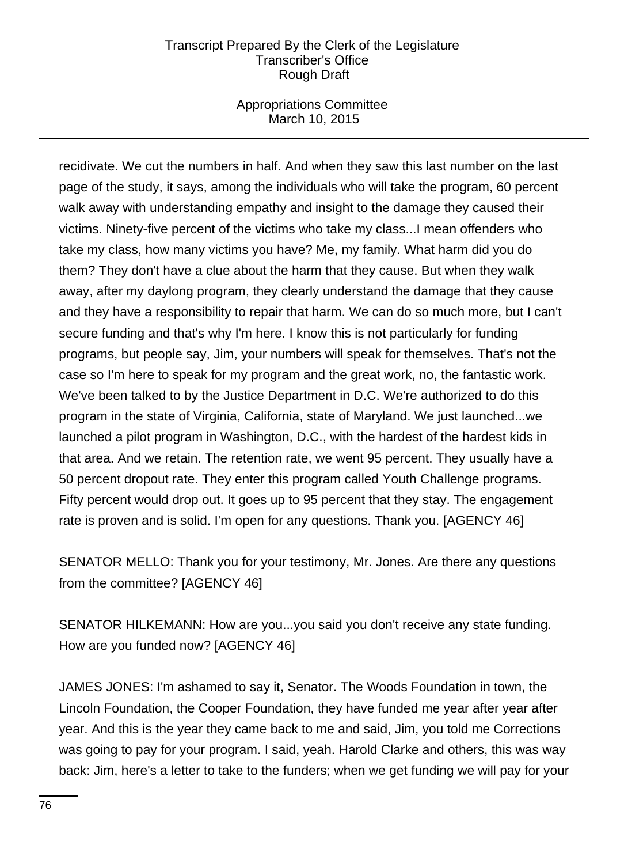# Appropriations Committee March 10, 2015

recidivate. We cut the numbers in half. And when they saw this last number on the last page of the study, it says, among the individuals who will take the program, 60 percent walk away with understanding empathy and insight to the damage they caused their victims. Ninety-five percent of the victims who take my class...I mean offenders who take my class, how many victims you have? Me, my family. What harm did you do them? They don't have a clue about the harm that they cause. But when they walk away, after my daylong program, they clearly understand the damage that they cause and they have a responsibility to repair that harm. We can do so much more, but I can't secure funding and that's why I'm here. I know this is not particularly for funding programs, but people say, Jim, your numbers will speak for themselves. That's not the case so I'm here to speak for my program and the great work, no, the fantastic work. We've been talked to by the Justice Department in D.C. We're authorized to do this program in the state of Virginia, California, state of Maryland. We just launched...we launched a pilot program in Washington, D.C., with the hardest of the hardest kids in that area. And we retain. The retention rate, we went 95 percent. They usually have a 50 percent dropout rate. They enter this program called Youth Challenge programs. Fifty percent would drop out. It goes up to 95 percent that they stay. The engagement rate is proven and is solid. I'm open for any questions. Thank you. [AGENCY 46]

SENATOR MELLO: Thank you for your testimony, Mr. Jones. Are there any questions from the committee? [AGENCY 46]

SENATOR HILKEMANN: How are you...you said you don't receive any state funding. How are you funded now? [AGENCY 46]

JAMES JONES: I'm ashamed to say it, Senator. The Woods Foundation in town, the Lincoln Foundation, the Cooper Foundation, they have funded me year after year after year. And this is the year they came back to me and said, Jim, you told me Corrections was going to pay for your program. I said, yeah. Harold Clarke and others, this was way back: Jim, here's a letter to take to the funders; when we get funding we will pay for your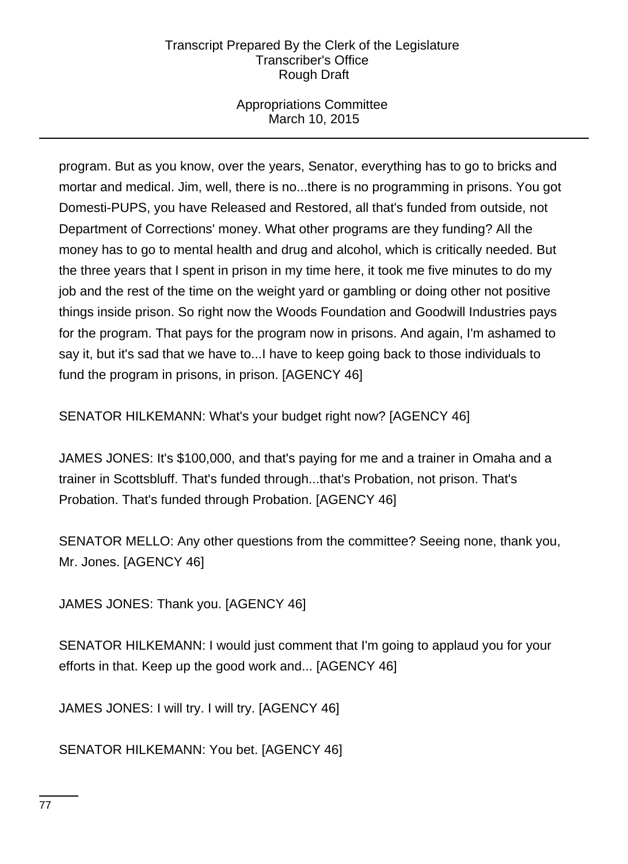# Appropriations Committee March 10, 2015

program. But as you know, over the years, Senator, everything has to go to bricks and mortar and medical. Jim, well, there is no...there is no programming in prisons. You got Domesti-PUPS, you have Released and Restored, all that's funded from outside, not Department of Corrections' money. What other programs are they funding? All the money has to go to mental health and drug and alcohol, which is critically needed. But the three years that I spent in prison in my time here, it took me five minutes to do my job and the rest of the time on the weight yard or gambling or doing other not positive things inside prison. So right now the Woods Foundation and Goodwill Industries pays for the program. That pays for the program now in prisons. And again, I'm ashamed to say it, but it's sad that we have to...I have to keep going back to those individuals to fund the program in prisons, in prison. [AGENCY 46]

SENATOR HILKEMANN: What's your budget right now? [AGENCY 46]

JAMES JONES: It's \$100,000, and that's paying for me and a trainer in Omaha and a trainer in Scottsbluff. That's funded through...that's Probation, not prison. That's Probation. That's funded through Probation. [AGENCY 46]

SENATOR MELLO: Any other questions from the committee? Seeing none, thank you, Mr. Jones. [AGENCY 46]

JAMES JONES: Thank you. [AGENCY 46]

SENATOR HILKEMANN: I would just comment that I'm going to applaud you for your efforts in that. Keep up the good work and... [AGENCY 46]

JAMES JONES: I will try. I will try. [AGENCY 46]

SENATOR HILKEMANN: You bet. [AGENCY 46]